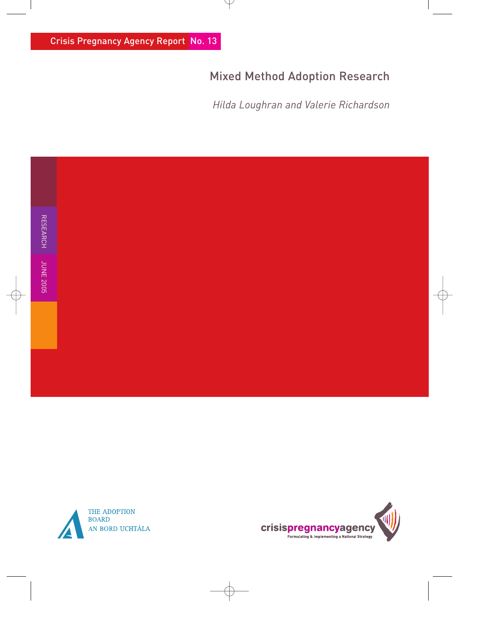# Mixed Method Adoption Research

*Hilda Loughran and Valerie Richardson* 



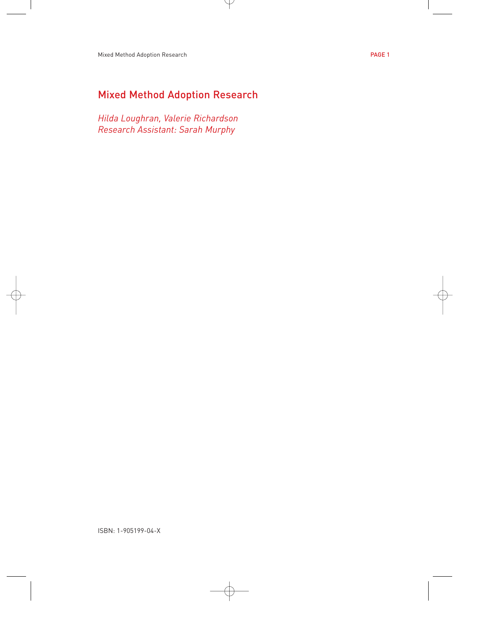## Mixed Method Adoption Research

*Hilda Loughran, Valerie Richardson Research Assistant: Sarah Murphy*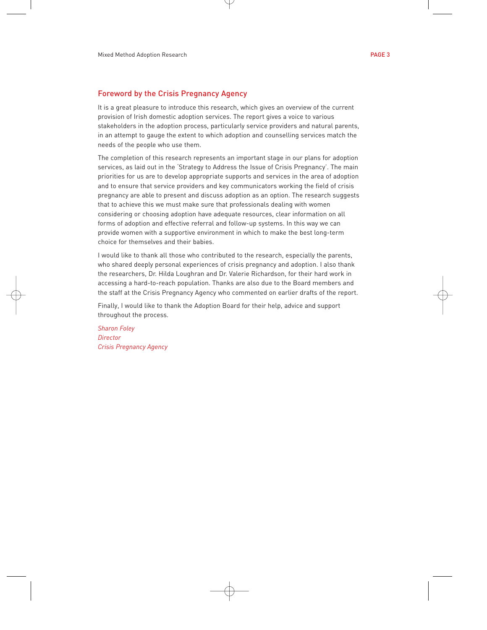#### Foreword by the Crisis Pregnancy Agency

It is a great pleasure to introduce this research, which gives an overview of the current provision of Irish domestic adoption services. The report gives a voice to various stakeholders in the adoption process, particularly service providers and natural parents, in an attempt to gauge the extent to which adoption and counselling services match the needs of the people who use them.

The completion of this research represents an important stage in our plans for adoption services, as laid out in the 'Strategy to Address the Issue of Crisis Pregnancy'. The main priorities for us are to develop appropriate supports and services in the area of adoption and to ensure that service providers and key communicators working the field of crisis pregnancy are able to present and discuss adoption as an option. The research suggests that to achieve this we must make sure that professionals dealing with women considering or choosing adoption have adequate resources, clear information on all forms of adoption and effective referral and follow-up systems. In this way we can provide women with a supportive environment in which to make the best long-term choice for themselves and their babies.

I would like to thank all those who contributed to the research, especially the parents, who shared deeply personal experiences of crisis pregnancy and adoption. I also thank the researchers, Dr. Hilda Loughran and Dr. Valerie Richardson, for their hard work in accessing a hard-to-reach population. Thanks are also due to the Board members and the staff at the Crisis Pregnancy Agency who commented on earlier drafts of the report.

Finally, I would like to thank the Adoption Board for their help, advice and support throughout the process.

*Sharon Foley Director Crisis Pregnancy Agency*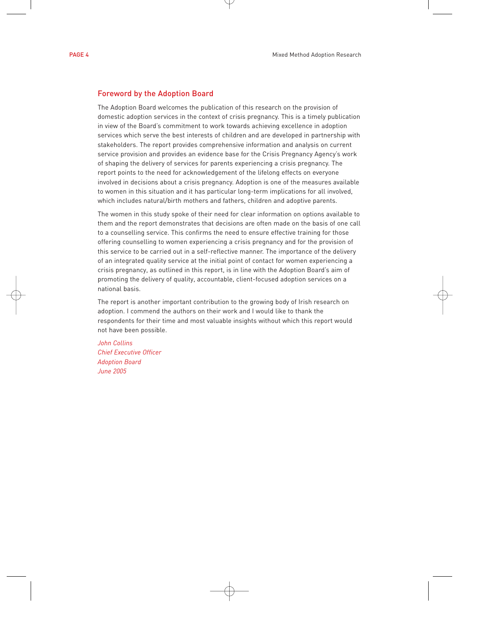#### Foreword by the Adoption Board

The Adoption Board welcomes the publication of this research on the provision of domestic adoption services in the context of crisis pregnancy. This is a timely publication in view of the Board's commitment to work towards achieving excellence in adoption services which serve the best interests of children and are developed in partnership with stakeholders. The report provides comprehensive information and analysis on current service provision and provides an evidence base for the Crisis Pregnancy Agency's work of shaping the delivery of services for parents experiencing a crisis pregnancy. The report points to the need for acknowledgement of the lifelong effects on everyone involved in decisions about a crisis pregnancy. Adoption is one of the measures available to women in this situation and it has particular long-term implications for all involved, which includes natural/birth mothers and fathers, children and adoptive parents.

The women in this study spoke of their need for clear information on options available to them and the report demonstrates that decisions are often made on the basis of one call to a counselling service. This confirms the need to ensure effective training for those offering counselling to women experiencing a crisis pregnancy and for the provision of this service to be carried out in a self-reflective manner. The importance of the delivery of an integrated quality service at the initial point of contact for women experiencing a crisis pregnancy, as outlined in this report, is in line with the Adoption Board's aim of promoting the delivery of quality, accountable, client-focused adoption services on a national basis.

The report is another important contribution to the growing body of Irish research on adoption. I commend the authors on their work and I would like to thank the respondents for their time and most valuable insights without which this report would not have been possible.

*John Collins Chief Executive Officer Adoption Board June 2005*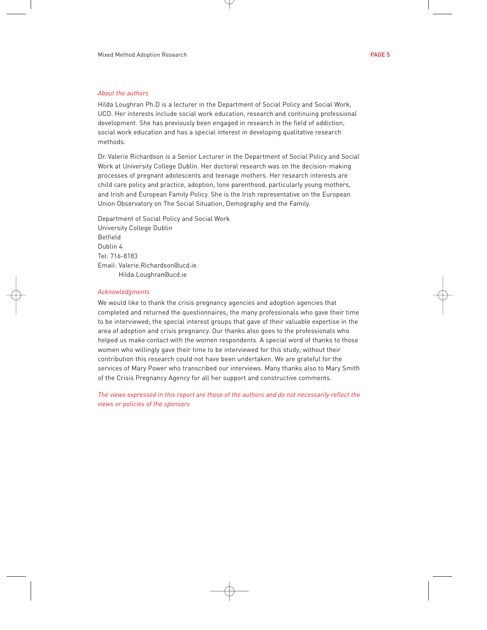#### *About the authors*

Hilda Loughran Ph.D is a lecturer in the Department of Social Policy and Social Work, UCD. Her interests include social work education, research and continuing professional development. She has previously been engaged in research in the field of addiction, social work education and has a special interest in developing qualitative research methods.

Dr. Valerie Richardson is a Senior Lecturer in the Department of Social Policy and Social Work at University College Dublin. Her doctoral research was on the decision-making processes of pregnant adolescents and teenage mothers. Her research interests are child care policy and practice, adoption, lone parenthood, particularly young mothers, and Irish and European Family Policy. She is the Irish representative on the European Union Observatory on The Social Situation, Demography and the Family.

Department of Social Policy and Social Work University College Dublin Belfield Dublin 4 Tel: 716-8183 Email: Valerie.Richardson@ucd.ie Hilda.Loughran@ucd.ie

#### *Acknowledgments*

We would like to thank the crisis pregnancy agencies and adoption agencies that completed and returned the questionnaires; the many professionals who gave their time to be interviewed; the special interest groups that gave of their valuable expertise in the area of adoption and crisis pregnancy. Our thanks also goes to the professionals who helped us make contact with the women respondents. A special word of thanks to those women who willingly gave their time to be interviewed for this study; without their contribution this research could not have been undertaken. We are grateful for the services of Mary Power who transcribed our interviews. Many thanks also to Mary Smith of the Crisis Pregnancy Agency for all her support and constructive comments.

*The views expressed in this report are those of the authors and do not necessarily reflect the views or policies of the sponsors*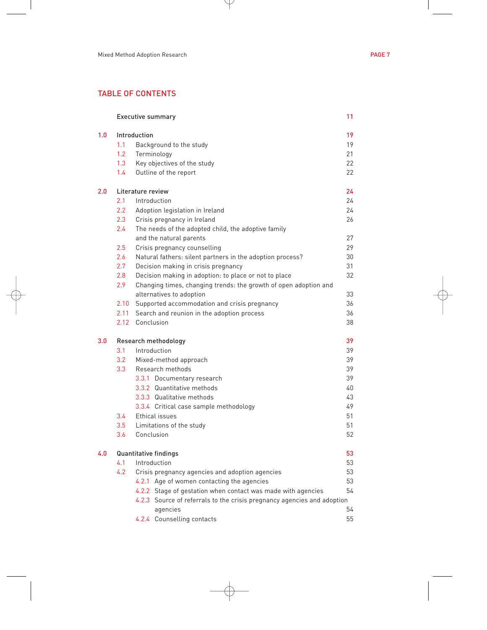## TABLE OF CONTENTS

|     |                             | <b>Executive summary</b>                                                | 11 |
|-----|-----------------------------|-------------------------------------------------------------------------|----|
| 1.0 | Introduction                |                                                                         | 19 |
|     | 1.1                         | Background to the study                                                 | 19 |
|     | 1.2                         | Terminology                                                             | 21 |
|     | 1.3                         | Key objectives of the study                                             | 22 |
|     | 1.4                         | Outline of the report                                                   | 22 |
| 2.0 | Literature review           |                                                                         | 24 |
|     | 2.1                         | Introduction                                                            | 24 |
|     | 2.2                         | Adoption legislation in Ireland                                         | 24 |
|     | 2.3                         | Crisis pregnancy in Ireland                                             | 26 |
|     | 2.4                         | The needs of the adopted child, the adoptive family                     |    |
|     |                             | and the natural parents                                                 | 27 |
|     | 2.5                         | Crisis pregnancy counselling                                            | 29 |
|     | 2.6                         | Natural fathers: silent partners in the adoption process?               | 30 |
|     | 2.7                         | Decision making in crisis pregnancy                                     | 31 |
|     | 2.8                         | Decision making in adoption: to place or not to place                   | 32 |
|     | 2.9                         | Changing times, changing trends: the growth of open adoption and        |    |
|     |                             | alternatives to adoption                                                | 33 |
|     | 2.10                        | Supported accommodation and crisis pregnancy                            | 36 |
|     | 2.11                        | Search and reunion in the adoption process                              | 36 |
|     | 2.12                        | Conclusion                                                              | 38 |
| 3.0 | Research methodology        |                                                                         | 39 |
|     | 3.1                         | Introduction                                                            | 39 |
|     | 3.2                         | Mixed-method approach                                                   | 39 |
|     | 3.3 <sub>2</sub>            | Research methods                                                        | 39 |
|     |                             | 3.3.1 Documentary research                                              | 39 |
|     |                             | 3.3.2 Quantitative methods                                              | 40 |
|     |                             | 3.3.3 Qualitative methods                                               | 43 |
|     |                             | 3.3.4 Critical case sample methodology                                  | 49 |
|     | $3.4^{\circ}$               | Ethical issues                                                          | 51 |
|     | 3.5                         | Limitations of the study                                                | 51 |
|     | 3.6                         | Conclusion                                                              | 52 |
| 4.0 | 53<br>Quantitative findings |                                                                         |    |
|     | 4.1                         | Introduction                                                            | 53 |
|     | 4.2                         | Crisis pregnancy agencies and adoption agencies                         | 53 |
|     |                             | 4.2.1 Age of women contacting the agencies                              | 53 |
|     |                             | 4.2.2 Stage of gestation when contact was made with agencies            | 54 |
|     |                             | 4.2.3 Source of referrals to the crisis pregnancy agencies and adoption |    |
|     |                             | agencies                                                                | 54 |
|     |                             | 4.2.4 Counselling contacts                                              | 55 |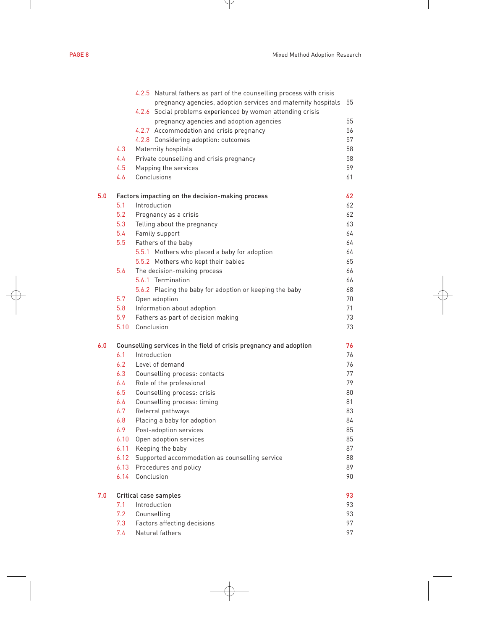|  | - 11 |
|--|------|

|     |      | 4.2.5 Natural fathers as part of the counselling process with crisis |    |
|-----|------|----------------------------------------------------------------------|----|
|     |      | pregnancy agencies, adoption services and maternity hospitals        | 55 |
|     |      | 4.2.6 Social problems experienced by women attending crisis          |    |
|     |      | pregnancy agencies and adoption agencies                             | 55 |
|     |      | 4.2.7 Accommodation and crisis pregnancy                             | 56 |
|     |      | 4.2.8 Considering adoption: outcomes                                 | 57 |
|     | 4.3  | Maternity hospitals                                                  | 58 |
|     | 4.4  | Private counselling and crisis pregnancy                             | 58 |
|     | 4.5  | Mapping the services                                                 | 59 |
|     | 4.6  | Conclusions                                                          | 61 |
| 5.0 |      | Factors impacting on the decision-making process                     | 62 |
|     | 5.1  | Introduction                                                         | 62 |
|     | 5.2  | Pregnancy as a crisis                                                | 62 |
|     | 5.3  | Telling about the pregnancy                                          | 63 |
|     | 5.4  | Family support                                                       | 64 |
|     | 5.5  | Fathers of the baby                                                  | 64 |
|     |      | 5.5.1 Mothers who placed a baby for adoption                         | 64 |
|     |      | 5.5.2 Mothers who kept their babies                                  | 65 |
|     | 5.6  | The decision-making process                                          | 66 |
|     |      | 5.6.1 Termination                                                    | 66 |
|     |      | 5.6.2 Placing the baby for adoption or keeping the baby              | 68 |
|     | 5.7  | Open adoption                                                        | 70 |
|     | 5.8  | Information about adoption                                           | 71 |
|     | 5.9  | Fathers as part of decision making                                   | 73 |
|     | 5.10 | Conclusion                                                           | 73 |
| 6.0 |      | Counselling services in the field of crisis pregnancy and adoption   | 76 |
|     | 6.1  | Introduction                                                         | 76 |
|     | 6.2  | Level of demand                                                      | 76 |
|     | 6.3  | Counselling process: contacts                                        | 77 |
|     | 6.4  | Role of the professional                                             | 79 |
|     | 6.5  | Counselling process: crisis                                          | 80 |
|     | 6.6  | Counselling process: timing                                          | 81 |
|     | 6.7  | Referral pathways                                                    | 83 |
|     | 6.8  | Placing a baby for adoption                                          | 84 |
|     | 6.9  | Post-adoption services                                               | 85 |
|     | 6.10 | Open adoption services                                               | 85 |
|     |      | 6.11 Keeping the baby                                                | 87 |
|     | 6.12 | Supported accommodation as counselling service                       | 88 |
|     | 6.13 | Procedures and policy                                                | 89 |
|     | 6.14 | Conclusion                                                           | 90 |
| 7.0 |      | Critical case samples                                                | 93 |
|     | 7.1  | Introduction                                                         | 93 |
|     | 7.2  | Counselling                                                          | 93 |
|     | 7.3  | Factors affecting decisions                                          | 97 |
|     | 7.4  | Natural fathers                                                      | 97 |
|     |      |                                                                      |    |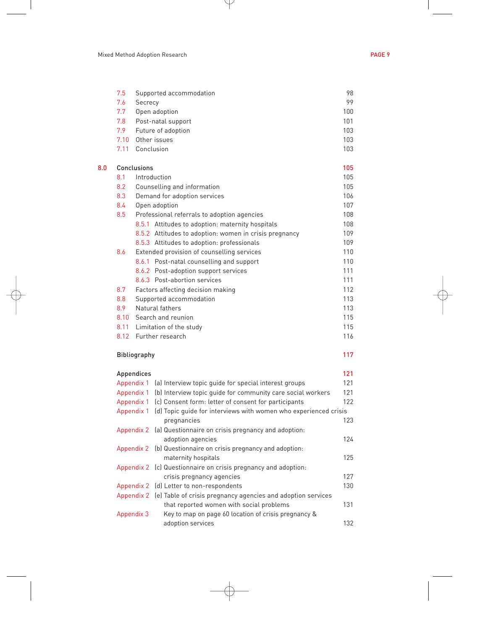|     | 7.5         | Supported accommodation                                | 98  |
|-----|-------------|--------------------------------------------------------|-----|
|     | 7.6         | Secrecy                                                | 99  |
|     | 7.7         | Open adoption                                          | 100 |
|     | 7.8         | Post-natal support                                     | 101 |
|     | 7.9         | Future of adoption                                     | 103 |
|     | 7.10        | Other issues                                           | 103 |
|     | 7.11        | Conclusion                                             | 103 |
| 0.8 | Conclusions |                                                        | 105 |
|     | 8.1         | Introduction                                           | 105 |
|     | 8.2         | Counselling and information                            | 105 |
|     | 8.3         | Demand for adoption services                           | 106 |
|     | 8.4         | Open adoption                                          | 107 |
|     | 8.5         | Professional referrals to adoption agencies            | 108 |
|     |             | 8.5.1 Attitudes to adoption: maternity hospitals       | 108 |
|     |             | 8.5.2 Attitudes to adoption: women in crisis pregnancy | 109 |
|     |             | 8.5.3 Attitudes to adoption: professionals             | 109 |
|     | 8.6         | Extended provision of counselling services             | 110 |
|     |             | 8.6.1 Post-natal counselling and support               | 110 |
|     |             | 8.6.2 Post-adoption support services                   | 111 |
|     |             | 8.6.3 Post-abortion services                           | 111 |
|     | 8.7         | Factors affecting decision making                      | 112 |
|     | 8.8         | Supported accommodation                                | 113 |
|     | 8.9         | Natural fathers                                        | 113 |
|     | 8.10        | Search and reunion                                     | 115 |
|     | 8.11        | Limitation of the study                                | 115 |

#### Bibliography 117

| Appendices |                                                                         | 121 |
|------------|-------------------------------------------------------------------------|-----|
| Appendix 1 | (a) Interview topic quide for special interest groups                   | 121 |
|            | Appendix 1 (b) Interview topic quide for community care social workers  | 121 |
|            | Appendix 1 (c) Consent form: letter of consent for participants         | 122 |
| Appendix 1 | (d) Topic quide for interviews with women who experienced crisis        |     |
|            | pregnancies                                                             | 123 |
|            | Appendix 2 (a) Questionnaire on crisis pregnancy and adoption:          |     |
|            | adoption agencies                                                       | 124 |
|            | Appendix 2 (b) Questionnaire on crisis pregnancy and adoption:          |     |
|            | maternity hospitals                                                     | 125 |
|            | Appendix 2 (c) Questionnaire on crisis pregnancy and adoption:          |     |
|            | crisis pregnancy agencies                                               | 127 |
|            | Appendix 2 (d) Letter to non-respondents                                | 130 |
|            | Appendix 2 (e) Table of crisis pregnancy agencies and adoption services |     |
|            | that reported women with social problems                                | 131 |
| Appendix 3 | Key to map on page 60 location of crisis pregnancy &                    |     |
|            | adoption services                                                       | 132 |

8.12 Further research 116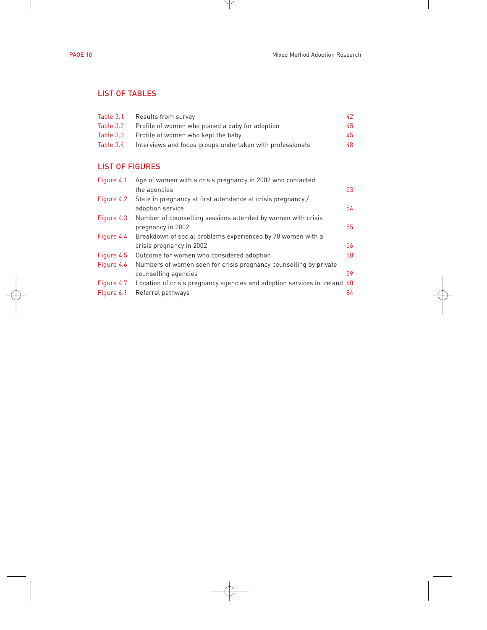### LIST OF TABLES

| Results from survey                                       | 42 |
|-----------------------------------------------------------|----|
| Profile of women who placed a baby for adoption           | 45 |
| Profile of women who kept the baby                        | 45 |
| Interviews and focus groups undertaken with professionals | 48 |
|                                                           |    |

## LIST OF FIGURES

| Figure 4.1 | Age of women with a crisis pregnancy in 2002 who contacted                |    |
|------------|---------------------------------------------------------------------------|----|
|            | the agencies                                                              | 53 |
| Figure 4.2 | State in pregnancy at first attendance at crisis pregnancy /              |    |
|            | adoption service                                                          | 54 |
| Figure 4.3 | Number of counselling sessions attended by women with crisis              |    |
|            | pregnancy in 2002                                                         | 55 |
| Figure 4.4 | Breakdown of social problems experienced by 78 women with a               |    |
|            | crisis pregnancy in 2002                                                  | 56 |
| Figure 4.5 | Outcome for women who considered adoption                                 | 58 |
| Figure 4.6 | Numbers of women seen for crisis pregnancy counselling by private         |    |
|            | counselling agencies                                                      | 59 |
| Figure 4.7 | Location of crisis pregnancy agencies and adoption services in Ireland 60 |    |
| Figure 6.1 | Referral pathways                                                         | 84 |
|            |                                                                           |    |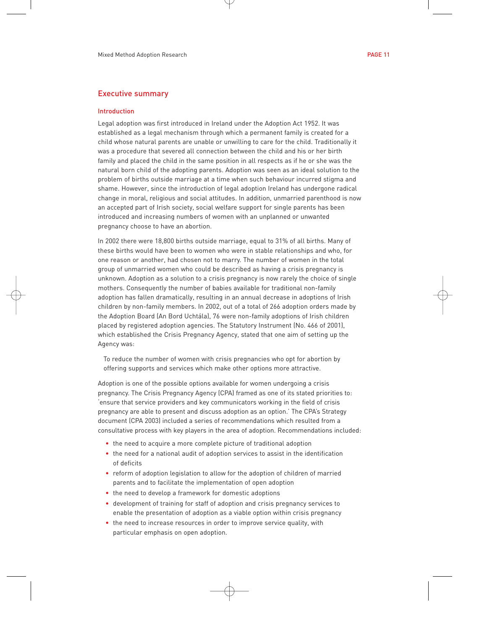#### Executive summary

#### Introduction

Legal adoption was first introduced in Ireland under the Adoption Act 1952. It was established as a legal mechanism through which a permanent family is created for a child whose natural parents are unable or unwilling to care for the child. Traditionally it was a procedure that severed all connection between the child and his or her birth family and placed the child in the same position in all respects as if he or she was the natural born child of the adopting parents. Adoption was seen as an ideal solution to the problem of births outside marriage at a time when such behaviour incurred stigma and shame. However, since the introduction of legal adoption Ireland has undergone radical change in moral, religious and social attitudes. In addition, unmarried parenthood is now an accepted part of Irish society, social welfare support for single parents has been introduced and increasing numbers of women with an unplanned or unwanted pregnancy choose to have an abortion.

In 2002 there were 18,800 births outside marriage, equal to 31% of all births. Many of these births would have been to women who were in stable relationships and who, for one reason or another, had chosen not to marry. The number of women in the total group of unmarried women who could be described as having a crisis pregnancy is unknown. Adoption as a solution to a crisis pregnancy is now rarely the choice of single mothers. Consequently the number of babies available for traditional non-family adoption has fallen dramatically, resulting in an annual decrease in adoptions of Irish children by non-family members. In 2002, out of a total of 266 adoption orders made by the Adoption Board (An Bord Uchtála), 76 were non-family adoptions of Irish children placed by registered adoption agencies. The Statutory Instrument (No. 466 of 2001), which established the Crisis Pregnancy Agency, stated that one aim of setting up the Agency was:

To reduce the number of women with crisis pregnancies who opt for abortion by offering supports and services which make other options more attractive.

Adoption is one of the possible options available for women undergoing a crisis pregnancy. The Crisis Pregnancy Agency (CPA) framed as one of its stated priorities to: 'ensure that service providers and key communicators working in the field of crisis pregnancy are able to present and discuss adoption as an option.' The CPA's Strategy document (CPA 2003) included a series of recommendations which resulted from a consultative process with key players in the area of adoption. Recommendations included:

- the need to acquire a more complete picture of traditional adoption
- the need for a national audit of adoption services to assist in the identification of deficits
- reform of adoption legislation to allow for the adoption of children of married parents and to facilitate the implementation of open adoption
- the need to develop a framework for domestic adoptions
- development of training for staff of adoption and crisis pregnancy services to enable the presentation of adoption as a viable option within crisis pregnancy
- the need to increase resources in order to improve service quality, with particular emphasis on open adoption.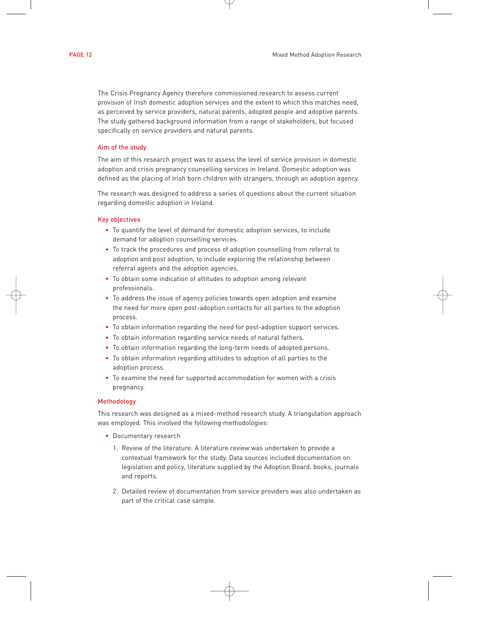The Crisis Pregnancy Agency therefore commissioned research to assess current provision of Irish domestic adoption services and the extent to which this matches need, as perceived by service providers, natural parents, adopted people and adoptive parents. The study gathered background information from a range of stakeholders, but focused specifically on service providers and natural parents.

#### Aim of the study

The aim of this research project was to assess the level of service provision in domestic adoption and crisis pregnancy counselling services in Ireland. Domestic adoption was defined as the placing of Irish born children with strangers, through an adoption agency.

The research was designed to address a series of questions about the current situation regarding domestic adoption in Ireland.

#### Key objectives

- To quantify the level of demand for domestic adoption services, to include demand for adoption counselling services.
- To track the procedures and process of adoption counselling from referral to adoption and post adoption, to include exploring the relationship between referral agents and the adoption agencies.
- To obtain some indication of attitudes to adoption among relevant professionals.
- To address the issue of agency policies towards open adoption and examine the need for more open post-adoption contacts for all parties to the adoption process.
- To obtain information regarding the need for post-adoption support services.
- To obtain information regarding service needs of natural fathers.
- To obtain information regarding the long-term needs of adopted persons.
- To obtain information regarding attitudes to adoption of all parties to the adoption process.
- To examine the need for supported accommodation for women with a crisis pregnancy.

#### Methodology

This research was designed as a mixed-method research study. A triangulation approach was employed. This involved the following methodologies:

- Documentary research
	- 1. Review of the literature: A literature review was undertaken to provide a contextual framework for the study. Data sources included documentation on legislation and policy, literature supplied by the Adoption Board, books, journals and reports.
	- 2. Detailed review of documentation from service providers was also undertaken as part of the critical case sample.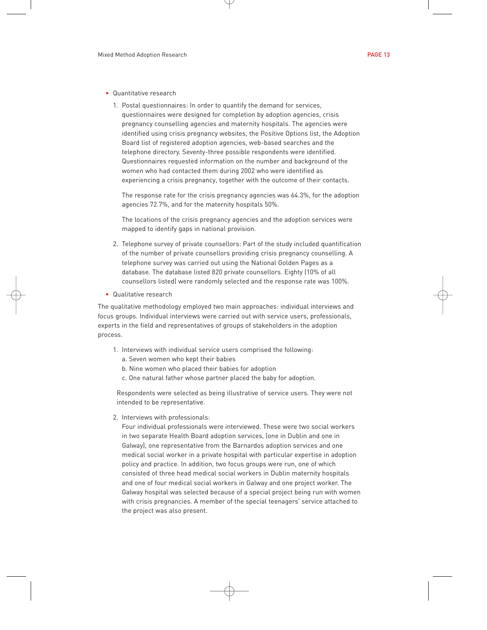- Quantitative research
	- 1. Postal questionnaires: In order to quantify the demand for services, questionnaires were designed for completion by adoption agencies, crisis pregnancy counselling agencies and maternity hospitals. The agencies were identified using crisis pregnancy websites, the Positive Options list, the Adoption Board list of registered adoption agencies, web-based searches and the telephone directory. Seventy-three possible respondents were identified. Questionnaires requested information on the number and background of the women who had contacted them during 2002 who were identified as experiencing a crisis pregnancy, together with the outcome of their contacts.

The response rate for the crisis pregnancy agencies was 64.3%, for the adoption agencies 72.7%, and for the maternity hospitals 50%.

The locations of the crisis pregnancy agencies and the adoption services were mapped to identify gaps in national provision.

- 2. Telephone survey of private counsellors: Part of the study included quantification of the number of private counsellors providing crisis pregnancy counselling. A telephone survey was carried out using the National Golden Pages as a database. The database listed 820 private counsellors. Eighty (10% of all counsellors listed) were randomly selected and the response rate was 100%.
- Qualitative research

The qualitative methodology employed two main approaches: individual interviews and focus groups. Individual interviews were carried out with service users, professionals, experts in the field and representatives of groups of stakeholders in the adoption process.

- 1. Interviews with individual service users comprised the following:
	- a. Seven women who kept their babies
	- b. Nine women who placed their babies for adoption
	- c. One natural father whose partner placed the baby for adoption.

Respondents were selected as being illustrative of service users. They were not intended to be representative.

2. Interviews with professionals:

Four individual professionals were interviewed. These were two social workers in two separate Health Board adoption services, (one in Dublin and one in Galway), one representative from the Barnardos adoption services and one medical social worker in a private hospital with particular expertise in adoption policy and practice. In addition, two focus groups were run, one of which consisted of three head medical social workers in Dublin maternity hospitals and one of four medical social workers in Galway and one project worker. The Galway hospital was selected because of a special project being run with women with crisis pregnancies. A member of the special teenagers' service attached to the project was also present.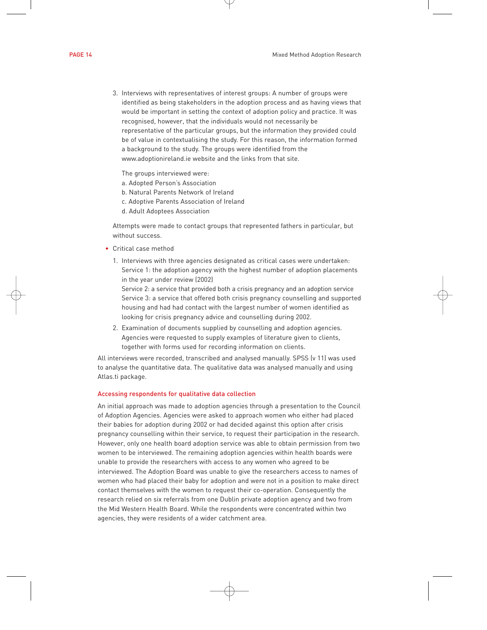3. Interviews with representatives of interest groups: A number of groups were identified as being stakeholders in the adoption process and as having views that would be important in setting the context of adoption policy and practice. It was recognised, however, that the individuals would not necessarily be representative of the particular groups, but the information they provided could be of value in contextualising the study. For this reason, the information formed a background to the study. The groups were identified from the www.adoptionireland.ie website and the links from that site.

The groups interviewed were:

- a. Adopted Person's Association
- b. Natural Parents Network of Ireland
- c. Adoptive Parents Association of Ireland
- d. Adult Adoptees Association

Attempts were made to contact groups that represented fathers in particular, but without success.

- Critical case method
	- 1. Interviews with three agencies designated as critical cases were undertaken: Service 1: the adoption agency with the highest number of adoption placements in the year under review (2002)

Service 2: a service that provided both a crisis pregnancy and an adoption service Service 3: a service that offered both crisis pregnancy counselling and supported housing and had had contact with the largest number of women identified as looking for crisis pregnancy advice and counselling during 2002.

2. Examination of documents supplied by counselling and adoption agencies. Agencies were requested to supply examples of literature given to clients, together with forms used for recording information on clients.

All interviews were recorded, transcribed and analysed manually. SPSS (v 11) was used to analyse the quantitative data. The qualitative data was analysed manually and using Atlas.ti package.

#### Accessing respondents for qualitative data collection

An initial approach was made to adoption agencies through a presentation to the Council of Adoption Agencies. Agencies were asked to approach women who either had placed their babies for adoption during 2002 or had decided against this option after crisis pregnancy counselling within their service, to request their participation in the research. However, only one health board adoption service was able to obtain permission from two women to be interviewed. The remaining adoption agencies within health boards were unable to provide the researchers with access to any women who agreed to be interviewed. The Adoption Board was unable to give the researchers access to names of women who had placed their baby for adoption and were not in a position to make direct contact themselves with the women to request their co-operation. Consequently the research relied on six referrals from one Dublin private adoption agency and two from the Mid Western Health Board. While the respondents were concentrated within two agencies, they were residents of a wider catchment area.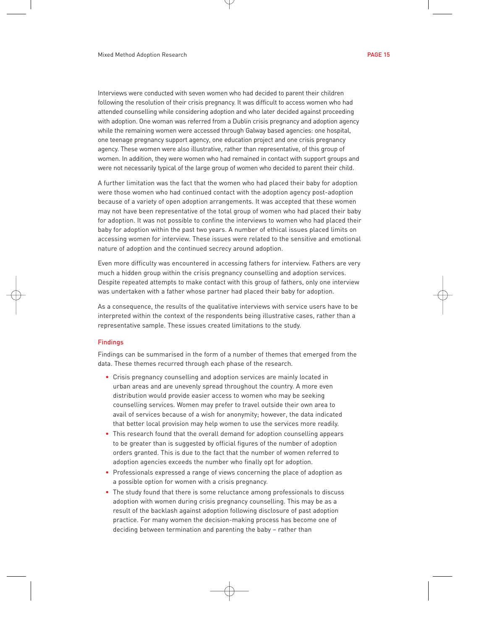Interviews were conducted with seven women who had decided to parent their children following the resolution of their crisis pregnancy. It was difficult to access women who had attended counselling while considering adoption and who later decided against proceeding with adoption. One woman was referred from a Dublin crisis pregnancy and adoption agency while the remaining women were accessed through Galway based agencies: one hospital, one teenage pregnancy support agency, one education project and one crisis pregnancy agency. These women were also illustrative, rather than representative, of this group of women. In addition, they were women who had remained in contact with support groups and were not necessarily typical of the large group of women who decided to parent their child.

A further limitation was the fact that the women who had placed their baby for adoption were those women who had continued contact with the adoption agency post-adoption because of a variety of open adoption arrangements. It was accepted that these women may not have been representative of the total group of women who had placed their baby for adoption. It was not possible to confine the interviews to women who had placed their baby for adoption within the past two years. A number of ethical issues placed limits on accessing women for interview. These issues were related to the sensitive and emotional nature of adoption and the continued secrecy around adoption.

Even more difficulty was encountered in accessing fathers for interview. Fathers are very much a hidden group within the crisis pregnancy counselling and adoption services. Despite repeated attempts to make contact with this group of fathers, only one interview was undertaken with a father whose partner had placed their baby for adoption.

As a consequence, the results of the qualitative interviews with service users have to be interpreted within the context of the respondents being illustrative cases, rather than a representative sample. These issues created limitations to the study.

#### Findings

Findings can be summarised in the form of a number of themes that emerged from the data. These themes recurred through each phase of the research.

- Crisis pregnancy counselling and adoption services are mainly located in urban areas and are unevenly spread throughout the country. A more even distribution would provide easier access to women who may be seeking counselling services. Women may prefer to travel outside their own area to avail of services because of a wish for anonymity; however, the data indicated that better local provision may help women to use the services more readily.
- This research found that the overall demand for adoption counselling appears to be greater than is suggested by official figures of the number of adoption orders granted. This is due to the fact that the number of women referred to adoption agencies exceeds the number who finally opt for adoption.
- Professionals expressed a range of views concerning the place of adoption as a possible option for women with a crisis pregnancy.
- The study found that there is some reluctance among professionals to discuss adoption with women during crisis pregnancy counselling. This may be as a result of the backlash against adoption following disclosure of past adoption practice. For many women the decision-making process has become one of deciding between termination and parenting the baby – rather than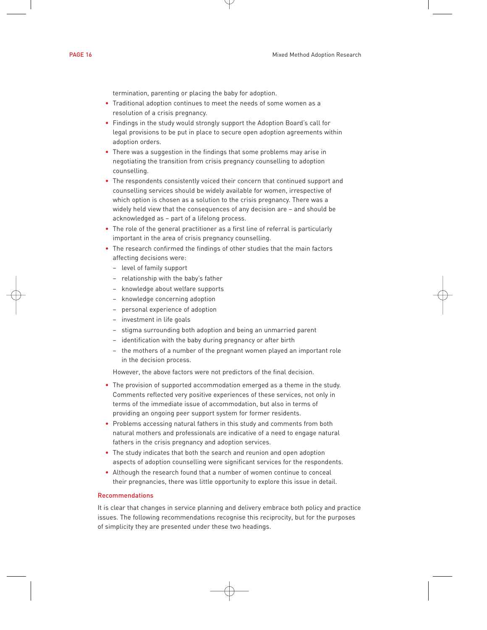termination, parenting or placing the baby for adoption.

- Traditional adoption continues to meet the needs of some women as a resolution of a crisis pregnancy.
- Findings in the study would strongly support the Adoption Board's call for legal provisions to be put in place to secure open adoption agreements within adoption orders.
- There was a suggestion in the findings that some problems may arise in negotiating the transition from crisis pregnancy counselling to adoption counselling.
- The respondents consistently voiced their concern that continued support and counselling services should be widely available for women, irrespective of which option is chosen as a solution to the crisis pregnancy. There was a widely held view that the consequences of any decision are – and should be acknowledged as – part of a lifelong process.
- The role of the general practitioner as a first line of referral is particularly important in the area of crisis pregnancy counselling.
- The research confirmed the findings of other studies that the main factors affecting decisions were:
	- level of family support
	- relationship with the baby's father
	- knowledge about welfare supports
	- knowledge concerning adoption
	- personal experience of adoption
	- investment in life goals
	- stigma surrounding both adoption and being an unmarried parent
	- identification with the baby during pregnancy or after birth
	- the mothers of a number of the pregnant women played an important role in the decision process.

However, the above factors were not predictors of the final decision.

- The provision of supported accommodation emerged as a theme in the study. Comments reflected very positive experiences of these services, not only in terms of the immediate issue of accommodation, but also in terms of providing an ongoing peer support system for former residents.
- Problems accessing natural fathers in this study and comments from both natural mothers and professionals are indicative of a need to engage natural fathers in the crisis pregnancy and adoption services.
- The study indicates that both the search and reunion and open adoption aspects of adoption counselling were significant services for the respondents.
- Although the research found that a number of women continue to conceal their pregnancies, there was little opportunity to explore this issue in detail.

#### Recommendations

It is clear that changes in service planning and delivery embrace both policy and practice issues. The following recommendations recognise this reciprocity, but for the purposes of simplicity they are presented under these two headings.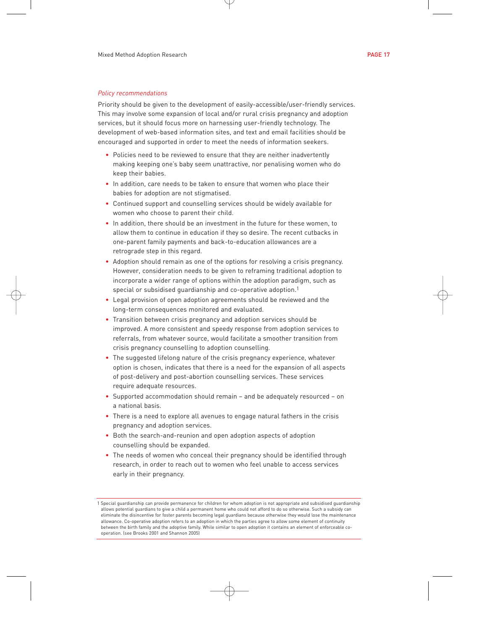#### *Policy recommendations*

Priority should be given to the development of easily-accessible/user-friendly services. This may involve some expansion of local and/or rural crisis pregnancy and adoption services, but it should focus more on harnessing user-friendly technology. The development of web-based information sites, and text and email facilities should be encouraged and supported in order to meet the needs of information seekers.

- Policies need to be reviewed to ensure that they are neither inadvertently making keeping one's baby seem unattractive, nor penalising women who do keep their babies.
- In addition, care needs to be taken to ensure that women who place their babies for adoption are not stigmatised.
- Continued support and counselling services should be widely available for women who choose to parent their child.
- In addition, there should be an investment in the future for these women, to allow them to continue in education if they so desire. The recent cutbacks in one-parent family payments and back-to-education allowances are a retrograde step in this regard.
- Adoption should remain as one of the options for resolving a crisis pregnancy. However, consideration needs to be given to reframing traditional adoption to incorporate a wider range of options within the adoption paradigm, such as special or subsidised guardianship and co-operative adoption.<sup>1</sup>
- Legal provision of open adoption agreements should be reviewed and the long-term consequences monitored and evaluated.
- Transition between crisis pregnancy and adoption services should be improved. A more consistent and speedy response from adoption services to referrals, from whatever source, would facilitate a smoother transition from crisis pregnancy counselling to adoption counselling.
- The suggested lifelong nature of the crisis pregnancy experience, whatever option is chosen, indicates that there is a need for the expansion of all aspects of post-delivery and post-abortion counselling services. These services require adequate resources.
- Supported accommodation should remain and be adequately resourced on a national basis.
- There is a need to explore all avenues to engage natural fathers in the crisis pregnancy and adoption services.
- Both the search-and-reunion and open adoption aspects of adoption counselling should be expanded.
- The needs of women who conceal their pregnancy should be identified through research, in order to reach out to women who feel unable to access services early in their pregnancy.

<sup>1</sup> Special guardianship can provide permanence for children for whom adoption is not appropriate and subsidised guardianship allows potential guardians to give a child a permanent home who could not afford to do so otherwise. Such a subsidy can eliminate the disincentive for foster parents becoming legal guardians because otherwise they would lose the maintenance allowance. Co-operative adoption refers to an adoption in which the parties agree to allow some element of continuity between the birth family and the adoptive family. While similar to open adoption it contains an element of enforceable cooperation. (see Brooks 2001 and Shannon 2005)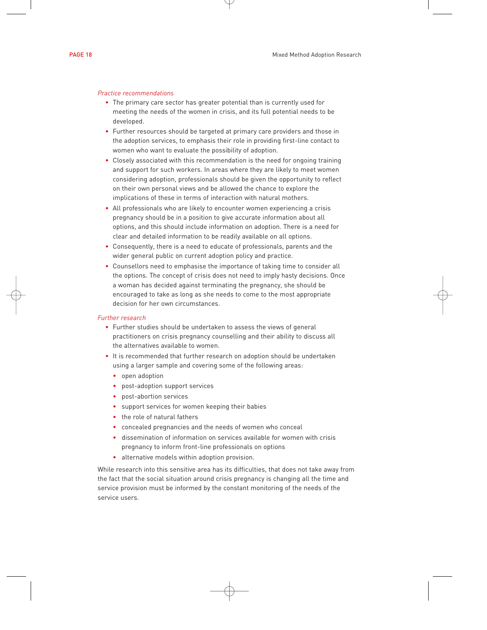#### *Practice recommendations*

- The primary care sector has greater potential than is currently used for meeting the needs of the women in crisis, and its full potential needs to be developed.
- Further resources should be targeted at primary care providers and those in the adoption services, to emphasis their role in providing first-line contact to women who want to evaluate the possibility of adoption.
- Closely associated with this recommendation is the need for ongoing training and support for such workers. In areas where they are likely to meet women considering adoption, professionals should be given the opportunity to reflect on their own personal views and be allowed the chance to explore the implications of these in terms of interaction with natural mothers.
- All professionals who are likely to encounter women experiencing a crisis pregnancy should be in a position to give accurate information about all options, and this should include information on adoption. There is a need for clear and detailed information to be readily available on all options.
- Consequently, there is a need to educate of professionals, parents and the wider general public on current adoption policy and practice.
- Counsellors need to emphasise the importance of taking time to consider all the options. The concept of crisis does not need to imply hasty decisions. Once a woman has decided against terminating the pregnancy, she should be encouraged to take as long as she needs to come to the most appropriate decision for her own circumstances.

#### *Further research*

- Further studies should be undertaken to assess the views of general practitioners on crisis pregnancy counselling and their ability to discuss all the alternatives available to women.
- It is recommended that further research on adoption should be undertaken using a larger sample and covering some of the following areas:
	- open adoption
	- post-adoption support services
	- post-abortion services
	- support services for women keeping their babies
	- the role of natural fathers
	- concealed pregnancies and the needs of women who conceal
	- dissemination of information on services available for women with crisis pregnancy to inform front-line professionals on options
	- alternative models within adoption provision.

While research into this sensitive area has its difficulties, that does not take away from the fact that the social situation around crisis pregnancy is changing all the time and service provision must be informed by the constant monitoring of the needs of the service users.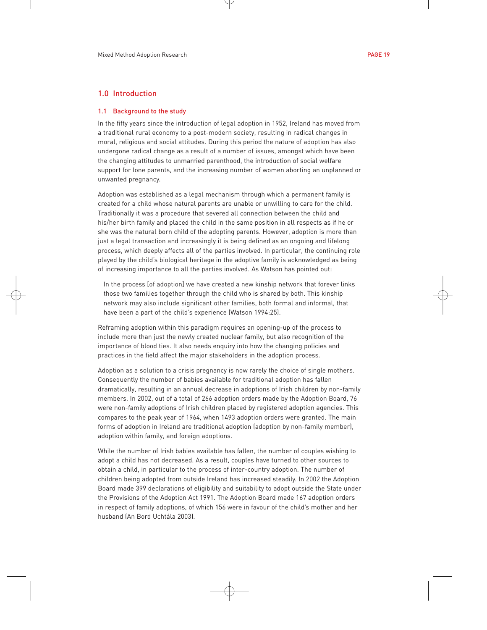#### 1.0 Introduction

#### 1.1 Background to the study

In the fifty years since the introduction of legal adoption in 1952, Ireland has moved from a traditional rural economy to a post-modern society, resulting in radical changes in moral, religious and social attitudes. During this period the nature of adoption has also undergone radical change as a result of a number of issues, amongst which have been the changing attitudes to unmarried parenthood, the introduction of social welfare support for lone parents, and the increasing number of women aborting an unplanned or unwanted pregnancy.

Adoption was established as a legal mechanism through which a permanent family is created for a child whose natural parents are unable or unwilling to care for the child. Traditionally it was a procedure that severed all connection between the child and his/her birth family and placed the child in the same position in all respects as if he or she was the natural born child of the adopting parents. However, adoption is more than just a legal transaction and increasingly it is being defined as an ongoing and lifelong process, which deeply affects all of the parties involved. In particular, the continuing role played by the child's biological heritage in the adoptive family is acknowledged as being of increasing importance to all the parties involved. As Watson has pointed out:

In the process [of adoption] we have created a new kinship network that forever links those two families together through the child who is shared by both. This kinship network may also include significant other families, both formal and informal, that have been a part of the child's experience (Watson 1994:25).

Reframing adoption within this paradigm requires an opening-up of the process to include more than just the newly created nuclear family, but also recognition of the importance of blood ties. It also needs enquiry into how the changing policies and practices in the field affect the major stakeholders in the adoption process.

Adoption as a solution to a crisis pregnancy is now rarely the choice of single mothers. Consequently the number of babies available for traditional adoption has fallen dramatically, resulting in an annual decrease in adoptions of Irish children by non-family members. In 2002, out of a total of 266 adoption orders made by the Adoption Board, 76 were non-family adoptions of Irish children placed by registered adoption agencies. This compares to the peak year of 1964, when 1493 adoption orders were granted. The main forms of adoption in Ireland are traditional adoption (adoption by non-family member), adoption within family, and foreign adoptions.

While the number of Irish babies available has fallen, the number of couples wishing to adopt a child has not decreased. As a result, couples have turned to other sources to obtain a child, in particular to the process of inter-country adoption. The number of children being adopted from outside Ireland has increased steadily. In 2002 the Adoption Board made 399 declarations of eligibility and suitability to adopt outside the State under the Provisions of the Adoption Act 1991. The Adoption Board made 167 adoption orders in respect of family adoptions, of which 156 were in favour of the child's mother and her husband (An Bord Uchtála 2003).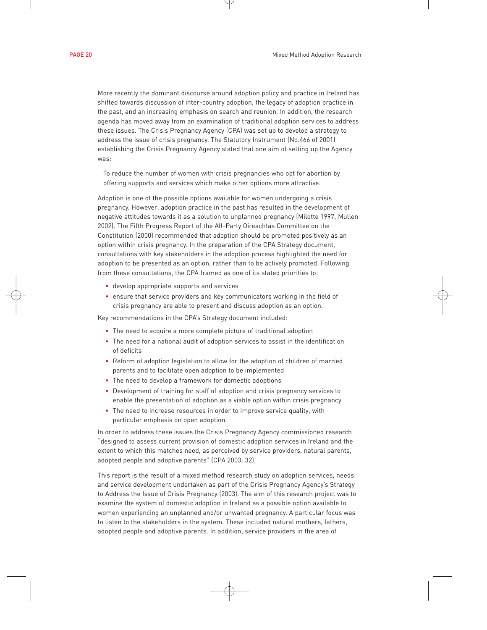More recently the dominant discourse around adoption policy and practice in Ireland has shifted towards discussion of inter-country adoption, the legacy of adoption practice in the past, and an increasing emphasis on search and reunion. In addition, the research agenda has moved away from an examination of traditional adoption services to address these issues. The Crisis Pregnancy Agency (CPA) was set up to develop a strategy to address the issue of crisis pregnancy. The Statutory Instrument (No.466 of 2001) establishing the Crisis Pregnancy Agency stated that one aim of setting up the Agency was:

To reduce the number of women with crisis pregnancies who opt for abortion by offering supports and services which make other options more attractive.

Adoption is one of the possible options available for women undergoing a crisis pregnancy. However, adoption practice in the past has resulted in the development of negative attitudes towards it as a solution to unplanned pregnancy (Milotte 1997, Mullen 2002). The Fifth Progress Report of the All-Party Oireachtas Committee on the Constitution (2000) recommended that adoption should be promoted positively as an option within crisis pregnancy. In the preparation of the CPA Strategy document, consultations with key stakeholders in the adoption process highlighted the need for adoption to be presented as an option, rather than to be actively promoted. Following from these consultations, the CPA framed as one of its stated priorities to:

- develop appropriate supports and services
- ensure that service providers and key communicators working in the field of crisis pregnancy are able to present and discuss adoption as an option.

Key recommendations in the CPA's Strategy document included:

- The need to acquire a more complete picture of traditional adoption
- The need for a national audit of adoption services to assist in the identification of deficits
- Reform of adoption legislation to allow for the adoption of children of married parents and to facilitate open adoption to be implemented
- The need to develop a framework for domestic adoptions
- Development of training for staff of adoption and crisis pregnancy services to enable the presentation of adoption as a viable option within crisis pregnancy
- The need to increase resources in order to improve service quality, with particular emphasis on open adoption.

In order to address these issues the Crisis Pregnancy Agency commissioned research "designed to assess current provision of domestic adoption services in Ireland and the extent to which this matches need, as perceived by service providers, natural parents, adopted people and adoptive parents" (CPA 2003: 32).

This report is the result of a mixed method research study on adoption services, needs and service development undertaken as part of the Crisis Pregnancy Agency's Strategy to Address the Issue of Crisis Pregnancy (2003). The aim of this research project was to examine the system of domestic adoption in Ireland as a possible option available to women experiencing an unplanned and/or unwanted pregnancy. A particular focus was to listen to the stakeholders in the system. These included natural mothers, fathers, adopted people and adoptive parents. In addition, service providers in the area of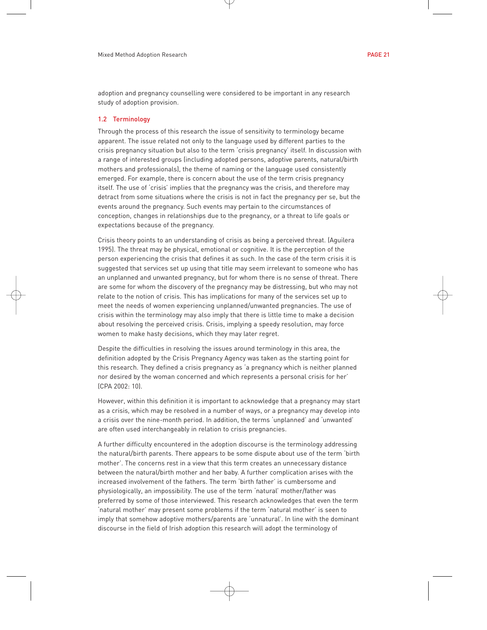adoption and pregnancy counselling were considered to be important in any research study of adoption provision.

#### 1.2 Terminology

Through the process of this research the issue of sensitivity to terminology became apparent. The issue related not only to the language used by different parties to the crisis pregnancy situation but also to the term 'crisis pregnancy' itself. In discussion with a range of interested groups (including adopted persons, adoptive parents, natural/birth mothers and professionals), the theme of naming or the language used consistently emerged. For example, there is concern about the use of the term crisis pregnancy itself. The use of 'crisis' implies that the pregnancy was the crisis, and therefore may detract from some situations where the crisis is not in fact the pregnancy per se, but the events around the pregnancy. Such events may pertain to the circumstances of conception, changes in relationships due to the pregnancy, or a threat to life goals or expectations because of the pregnancy.

Crisis theory points to an understanding of crisis as being a perceived threat. (Aguilera 1995). The threat may be physical, emotional or cognitive. It is the perception of the person experiencing the crisis that defines it as such. In the case of the term crisis it is suggested that services set up using that title may seem irrelevant to someone who has an unplanned and unwanted pregnancy, but for whom there is no sense of threat. There are some for whom the discovery of the pregnancy may be distressing, but who may not relate to the notion of crisis. This has implications for many of the services set up to meet the needs of women experiencing unplanned/unwanted pregnancies. The use of crisis within the terminology may also imply that there is little time to make a decision about resolving the perceived crisis. Crisis, implying a speedy resolution, may force women to make hasty decisions, which they may later regret.

Despite the difficulties in resolving the issues around terminology in this area, the definition adopted by the Crisis Pregnancy Agency was taken as the starting point for this research. They defined a crisis pregnancy as 'a pregnancy which is neither planned nor desired by the woman concerned and which represents a personal crisis for her' (CPA 2002: 10).

However, within this definition it is important to acknowledge that a pregnancy may start as a crisis, which may be resolved in a number of ways, or a pregnancy may develop into a crisis over the nine-month period. In addition, the terms 'unplanned' and 'unwanted' are often used interchangeably in relation to crisis pregnancies.

A further difficulty encountered in the adoption discourse is the terminology addressing the natural/birth parents. There appears to be some dispute about use of the term 'birth mother'. The concerns rest in a view that this term creates an unnecessary distance between the natural/birth mother and her baby. A further complication arises with the increased involvement of the fathers. The term 'birth father' is cumbersome and physiologically, an impossibility. The use of the term 'natural' mother/father was preferred by some of those interviewed. This research acknowledges that even the term 'natural mother' may present some problems if the term 'natural mother' is seen to imply that somehow adoptive mothers/parents are 'unnatural'. In line with the dominant discourse in the field of Irish adoption this research will adopt the terminology of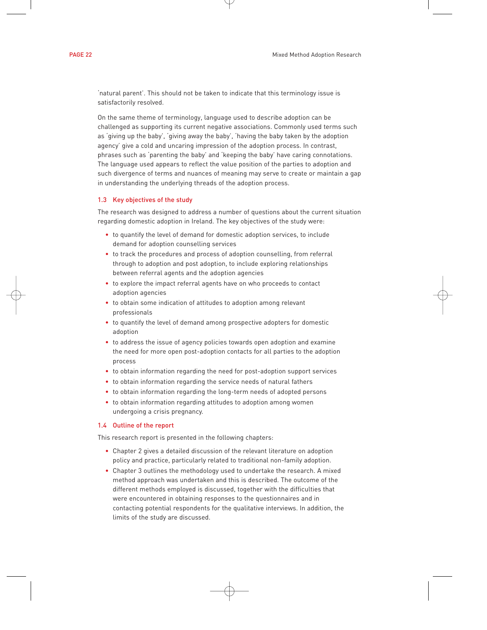'natural parent'. This should not be taken to indicate that this terminology issue is satisfactorily resolved.

On the same theme of terminology, language used to describe adoption can be challenged as supporting its current negative associations. Commonly used terms such as 'giving up the baby', 'giving away the baby', 'having the baby taken by the adoption agency' give a cold and uncaring impression of the adoption process. In contrast, phrases such as 'parenting the baby' and 'keeping the baby' have caring connotations. The language used appears to reflect the value position of the parties to adoption and such divergence of terms and nuances of meaning may serve to create or maintain a gap in understanding the underlying threads of the adoption process.

#### 1.3 Key objectives of the study

The research was designed to address a number of questions about the current situation regarding domestic adoption in Ireland. The key objectives of the study were:

- to quantify the level of demand for domestic adoption services, to include demand for adoption counselling services
- to track the procedures and process of adoption counselling, from referral through to adoption and post adoption, to include exploring relationships between referral agents and the adoption agencies
- to explore the impact referral agents have on who proceeds to contact adoption agencies
- to obtain some indication of attitudes to adoption among relevant professionals
- to quantify the level of demand among prospective adopters for domestic adoption
- to address the issue of agency policies towards open adoption and examine the need for more open post-adoption contacts for all parties to the adoption process
- to obtain information regarding the need for post-adoption support services
- to obtain information regarding the service needs of natural fathers
- to obtain information regarding the long-term needs of adopted persons
- to obtain information regarding attitudes to adoption among women undergoing a crisis pregnancy.

#### 1.4 Outline of the report

This research report is presented in the following chapters:

- Chapter 2 gives a detailed discussion of the relevant literature on adoption policy and practice, particularly related to traditional non-family adoption.
- Chapter 3 outlines the methodology used to undertake the research. A mixed method approach was undertaken and this is described. The outcome of the different methods employed is discussed, together with the difficulties that were encountered in obtaining responses to the questionnaires and in contacting potential respondents for the qualitative interviews. In addition, the limits of the study are discussed.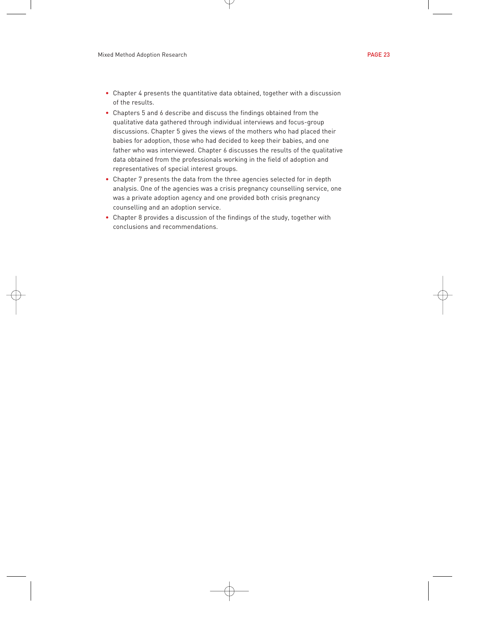- Chapter 4 presents the quantitative data obtained, together with a discussion of the results.
- Chapters 5 and 6 describe and discuss the findings obtained from the qualitative data gathered through individual interviews and focus-group discussions. Chapter 5 gives the views of the mothers who had placed their babies for adoption, those who had decided to keep their babies, and one father who was interviewed. Chapter 6 discusses the results of the qualitative data obtained from the professionals working in the field of adoption and representatives of special interest groups.
- Chapter 7 presents the data from the three agencies selected for in depth analysis. One of the agencies was a crisis pregnancy counselling service, one was a private adoption agency and one provided both crisis pregnancy counselling and an adoption service.
- Chapter 8 provides a discussion of the findings of the study, together with conclusions and recommendations.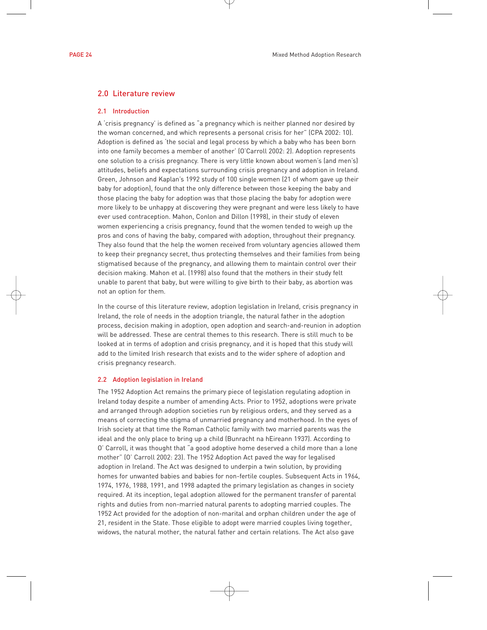#### 2.0 Literature review

#### 2.1 Introduction

A 'crisis pregnancy' is defined as "a pregnancy which is neither planned nor desired by the woman concerned, and which represents a personal crisis for her" (CPA 2002: 10). Adoption is defined as 'the social and legal process by which a baby who has been born into one family becomes a member of another' (O'Carroll 2002: 2). Adoption represents one solution to a crisis pregnancy. There is very little known about women's (and men's) attitudes, beliefs and expectations surrounding crisis pregnancy and adoption in Ireland. Green, Johnson and Kaplan's 1992 study of 100 single women (21 of whom gave up their baby for adoption), found that the only difference between those keeping the baby and those placing the baby for adoption was that those placing the baby for adoption were more likely to be unhappy at discovering they were pregnant and were less likely to have ever used contraception. Mahon, Conlon and Dillon (1998), in their study of eleven women experiencing a crisis pregnancy, found that the women tended to weigh up the pros and cons of having the baby, compared with adoption, throughout their pregnancy. They also found that the help the women received from voluntary agencies allowed them to keep their pregnancy secret, thus protecting themselves and their families from being stigmatised because of the pregnancy, and allowing them to maintain control over their decision making. Mahon et al. (1998) also found that the mothers in their study felt unable to parent that baby, but were willing to give birth to their baby, as abortion was not an option for them.

In the course of this literature review, adoption legislation in Ireland, crisis pregnancy in Ireland, the role of needs in the adoption triangle, the natural father in the adoption process, decision making in adoption, open adoption and search-and-reunion in adoption will be addressed. These are central themes to this research. There is still much to be looked at in terms of adoption and crisis pregnancy, and it is hoped that this study will add to the limited Irish research that exists and to the wider sphere of adoption and crisis pregnancy research.

#### 2.2 Adoption legislation in Ireland

The 1952 Adoption Act remains the primary piece of legislation regulating adoption in Ireland today despite a number of amending Acts. Prior to 1952, adoptions were private and arranged through adoption societies run by religious orders, and they served as a means of correcting the stigma of unmarried pregnancy and motherhood. In the eyes of Irish society at that time the Roman Catholic family with two married parents was the ideal and the only place to bring up a child (Bunracht na hEireann 1937). According to O' Carroll, it was thought that "a good adoptive home deserved a child more than a lone mother" (O' Carroll 2002: 23). The 1952 Adoption Act paved the way for legalised adoption in Ireland. The Act was designed to underpin a twin solution, by providing homes for unwanted babies and babies for non-fertile couples. Subsequent Acts in 1964, 1974, 1976, 1988, 1991, and 1998 adapted the primary legislation as changes in society required. At its inception, legal adoption allowed for the permanent transfer of parental rights and duties from non-married natural parents to adopting married couples. The 1952 Act provided for the adoption of non-marital and orphan children under the age of 21, resident in the State. Those eligible to adopt were married couples living together, widows, the natural mother, the natural father and certain relations. The Act also gave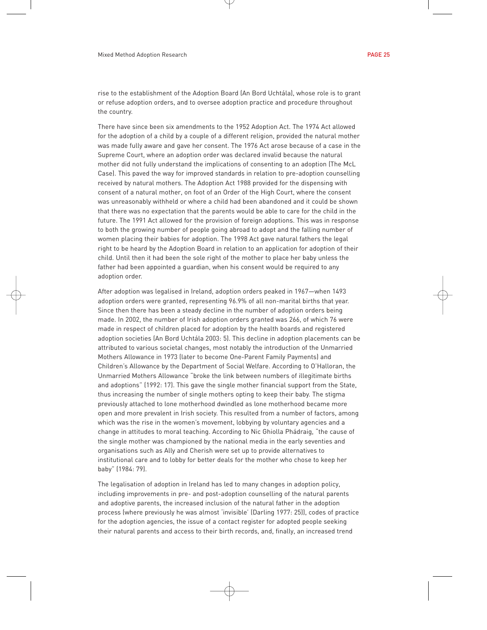rise to the establishment of the Adoption Board (An Bord Uchtála), whose role is to grant or refuse adoption orders, and to oversee adoption practice and procedure throughout the country.

There have since been six amendments to the 1952 Adoption Act. The 1974 Act allowed for the adoption of a child by a couple of a different religion, provided the natural mother was made fully aware and gave her consent. The 1976 Act arose because of a case in the Supreme Court, where an adoption order was declared invalid because the natural mother did not fully understand the implications of consenting to an adoption (The McL Case). This paved the way for improved standards in relation to pre-adoption counselling received by natural mothers. The Adoption Act 1988 provided for the dispensing with consent of a natural mother, on foot of an Order of the High Court, where the consent was unreasonably withheld or where a child had been abandoned and it could be shown that there was no expectation that the parents would be able to care for the child in the future. The 1991 Act allowed for the provision of foreign adoptions. This was in response to both the growing number of people going abroad to adopt and the falling number of women placing their babies for adoption. The 1998 Act gave natural fathers the legal right to be heard by the Adoption Board in relation to an application for adoption of their child. Until then it had been the sole right of the mother to place her baby unless the father had been appointed a guardian, when his consent would be required to any adoption order.

After adoption was legalised in Ireland, adoption orders peaked in 1967—when 1493 adoption orders were granted, representing 96.9% of all non-marital births that year. Since then there has been a steady decline in the number of adoption orders being made. In 2002, the number of Irish adoption orders granted was 266, of which 76 were made in respect of children placed for adoption by the health boards and registered adoption societies (An Bord Uchtála 2003: 5). This decline in adoption placements can be attributed to various societal changes, most notably the introduction of the Unmarried Mothers Allowance in 1973 (later to become One-Parent Family Payments) and Children's Allowance by the Department of Social Welfare. According to O'Halloran, the Unmarried Mothers Allowance "broke the link between numbers of illegitimate births and adoptions" (1992: 17). This gave the single mother financial support from the State, thus increasing the number of single mothers opting to keep their baby. The stigma previously attached to lone motherhood dwindled as lone motherhood became more open and more prevalent in Irish society. This resulted from a number of factors, among which was the rise in the women's movement, lobbying by voluntary agencies and a change in attitudes to moral teaching. According to Nic Ghiolla Phádraig, "the cause of the single mother was championed by the national media in the early seventies and organisations such as Ally and Cherish were set up to provide alternatives to institutional care and to lobby for better deals for the mother who chose to keep her baby" (1984: 79).

The legalisation of adoption in Ireland has led to many changes in adoption policy, including improvements in pre- and post-adoption counselling of the natural parents and adoptive parents, the increased inclusion of the natural father in the adoption process (where previously he was almost 'invisible' (Darling 1977: 25)), codes of practice for the adoption agencies, the issue of a contact register for adopted people seeking their natural parents and access to their birth records, and, finally, an increased trend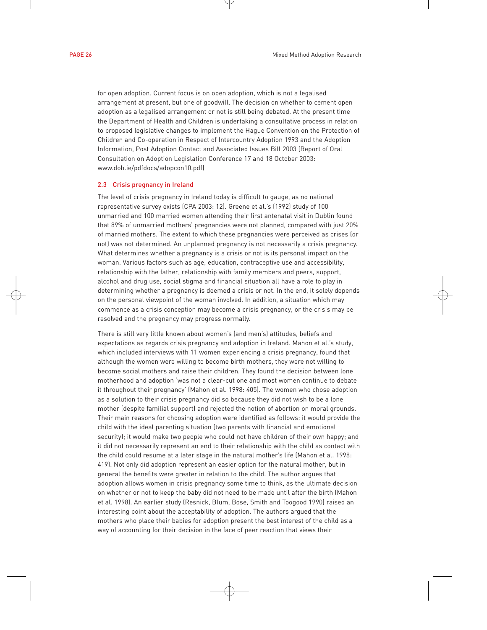for open adoption. Current focus is on open adoption, which is not a legalised arrangement at present, but one of goodwill. The decision on whether to cement open adoption as a legalised arrangement or not is still being debated. At the present time the Department of Health and Children is undertaking a consultative process in relation to proposed legislative changes to implement the Hague Convention on the Protection of Children and Co-operation in Respect of Intercountry Adoption 1993 and the Adoption Information, Post Adoption Contact and Associated Issues Bill 2003 (Report of Oral Consultation on Adoption Legislation Conference 17 and 18 October 2003: www.doh.ie/pdfdocs/adopcon10.pdf)

#### 2.3 Crisis pregnancy in Ireland

The level of crisis pregnancy in Ireland today is difficult to gauge, as no national representative survey exists (CPA 2003: 12). Greene et al.'s (1992) study of 100 unmarried and 100 married women attending their first antenatal visit in Dublin found that 89% of unmarried mothers' pregnancies were not planned, compared with just 20% of married mothers. The extent to which these pregnancies were perceived as crises (or not) was not determined. An unplanned pregnancy is not necessarily a crisis pregnancy. What determines whether a pregnancy is a crisis or not is its personal impact on the woman. Various factors such as age, education, contraceptive use and accessibility, relationship with the father, relationship with family members and peers, support, alcohol and drug use, social stigma and financial situation all have a role to play in determining whether a pregnancy is deemed a crisis or not. In the end, it solely depends on the personal viewpoint of the woman involved. In addition, a situation which may commence as a crisis conception may become a crisis pregnancy, or the crisis may be resolved and the pregnancy may progress normally.

There is still very little known about women's (and men's) attitudes, beliefs and expectations as regards crisis pregnancy and adoption in Ireland. Mahon et al.'s study, which included interviews with 11 women experiencing a crisis pregnancy, found that although the women were willing to become birth mothers, they were not willing to become social mothers and raise their children. They found the decision between lone motherhood and adoption 'was not a clear-cut one and most women continue to debate it throughout their pregnancy' (Mahon et al. 1998: 405). The women who chose adoption as a solution to their crisis pregnancy did so because they did not wish to be a lone mother (despite familial support) and rejected the notion of abortion on moral grounds. Their main reasons for choosing adoption were identified as follows: it would provide the child with the ideal parenting situation (two parents with financial and emotional security); it would make two people who could not have children of their own happy; and it did not necessarily represent an end to their relationship with the child as contact with the child could resume at a later stage in the natural mother's life (Mahon et al. 1998: 419). Not only did adoption represent an easier option for the natural mother, but in general the benefits were greater in relation to the child. The author argues that adoption allows women in crisis pregnancy some time to think, as the ultimate decision on whether or not to keep the baby did not need to be made until after the birth (Mahon et al. 1998). An earlier study (Resnick, Blum, Bose, Smith and Toogood 1990) raised an interesting point about the acceptability of adoption. The authors argued that the mothers who place their babies for adoption present the best interest of the child as a way of accounting for their decision in the face of peer reaction that views their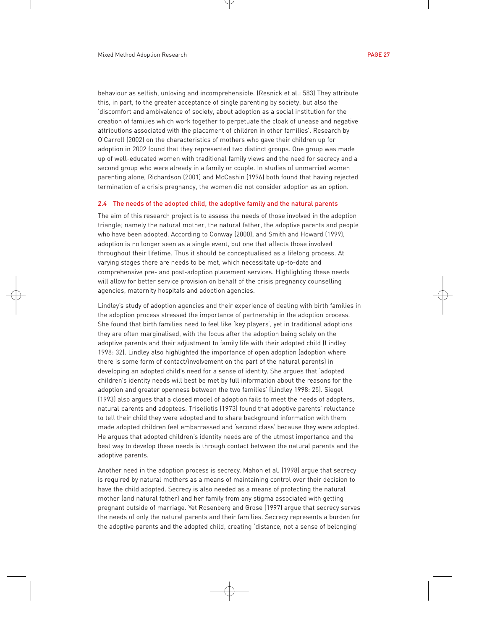behaviour as selfish, unloving and incomprehensible. (Resnick et al.: 583) They attribute this, in part, to the greater acceptance of single parenting by society, but also the 'discomfort and ambivalence of society, about adoption as a social institution for the creation of families which work together to perpetuate the cloak of unease and negative attributions associated with the placement of children in other families'. Research by O'Carroll (2002) on the characteristics of mothers who gave their children up for adoption in 2002 found that they represented two distinct groups. One group was made up of well-educated women with traditional family views and the need for secrecy and a second group who were already in a family or couple. In studies of unmarried women parenting alone, Richardson (2001) and McCashin (1996) both found that having rejected termination of a crisis pregnancy, the women did not consider adoption as an option.

#### 2.4 The needs of the adopted child, the adoptive family and the natural parents

The aim of this research project is to assess the needs of those involved in the adoption triangle; namely the natural mother, the natural father, the adoptive parents and people who have been adopted. According to Conway (2000), and Smith and Howard (1999), adoption is no longer seen as a single event, but one that affects those involved throughout their lifetime. Thus it should be conceptualised as a lifelong process. At varying stages there are needs to be met, which necessitate up-to-date and comprehensive pre- and post-adoption placement services. Highlighting these needs will allow for better service provision on behalf of the crisis pregnancy counselling agencies, maternity hospitals and adoption agencies.

Lindley's study of adoption agencies and their experience of dealing with birth families in the adoption process stressed the importance of partnership in the adoption process. She found that birth families need to feel like 'key players', yet in traditional adoptions they are often marginalised, with the focus after the adoption being solely on the adoptive parents and their adjustment to family life with their adopted child (Lindley 1998: 32). Lindley also highlighted the importance of open adoption (adoption where there is some form of contact/involvement on the part of the natural parents) in developing an adopted child's need for a sense of identity. She argues that 'adopted children's identity needs will best be met by full information about the reasons for the adoption and greater openness between the two families' (Lindley 1998: 25). Siegel (1993) also argues that a closed model of adoption fails to meet the needs of adopters, natural parents and adoptees. Triseliotis (1973) found that adoptive parents' reluctance to tell their child they were adopted and to share background information with them made adopted children feel embarrassed and 'second class' because they were adopted. He argues that adopted children's identity needs are of the utmost importance and the best way to develop these needs is through contact between the natural parents and the adoptive parents.

Another need in the adoption process is secrecy. Mahon et al. (1998) argue that secrecy is required by natural mothers as a means of maintaining control over their decision to have the child adopted. Secrecy is also needed as a means of protecting the natural mother (and natural father) and her family from any stigma associated with getting pregnant outside of marriage. Yet Rosenberg and Grose (1997) argue that secrecy serves the needs of only the natural parents and their families. Secrecy represents a burden for the adoptive parents and the adopted child, creating 'distance, not a sense of belonging'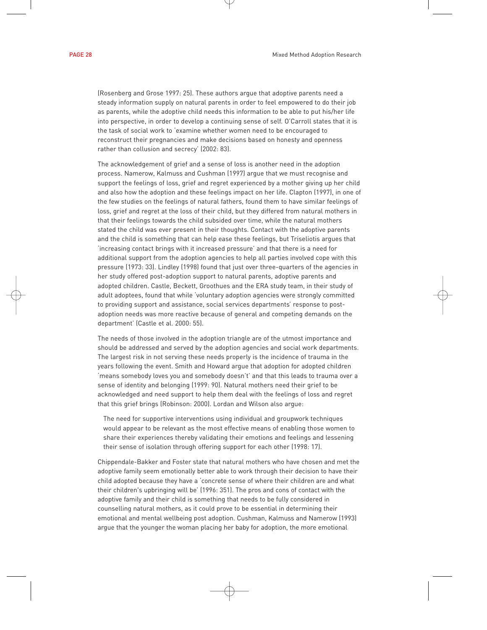(Rosenberg and Grose 1997: 25). These authors argue that adoptive parents need a steady information supply on natural parents in order to feel empowered to do their job as parents, while the adoptive child needs this information to be able to put his/her life into perspective, in order to develop a continuing sense of self. O'Carroll states that it is the task of social work to 'examine whether women need to be encouraged to reconstruct their pregnancies and make decisions based on honesty and openness rather than collusion and secrecy' (2002: 83).

The acknowledgement of grief and a sense of loss is another need in the adoption process. Namerow, Kalmuss and Cushman (1997) argue that we must recognise and support the feelings of loss, grief and regret experienced by a mother giving up her child and also how the adoption and these feelings impact on her life. Clapton (1997), in one of the few studies on the feelings of natural fathers, found them to have similar feelings of loss, grief and regret at the loss of their child, but they differed from natural mothers in that their feelings towards the child subsided over time, while the natural mothers stated the child was ever present in their thoughts. Contact with the adoptive parents and the child is something that can help ease these feelings, but Triseliotis argues that 'increasing contact brings with it increased pressure' and that there is a need for additional support from the adoption agencies to help all parties involved cope with this pressure (1973: 33). Lindley (1998) found that just over three-quarters of the agencies in her study offered post-adoption support to natural parents, adoptive parents and adopted children. Castle, Beckett, Groothues and the ERA study team, in their study of adult adoptees, found that while 'voluntary adoption agencies were strongly committed to providing support and assistance, social services departments' response to postadoption needs was more reactive because of general and competing demands on the department' (Castle et al. 2000: 55).

The needs of those involved in the adoption triangle are of the utmost importance and should be addressed and served by the adoption agencies and social work departments. The largest risk in not serving these needs properly is the incidence of trauma in the years following the event. Smith and Howard argue that adoption for adopted children 'means somebody loves you and somebody doesn't' and that this leads to trauma over a sense of identity and belonging (1999: 90). Natural mothers need their grief to be acknowledged and need support to help them deal with the feelings of loss and regret that this grief brings (Robinson: 2000). Lordan and Wilson also argue:

The need for supportive interventions using individual and groupwork techniques would appear to be relevant as the most effective means of enabling those women to share their experiences thereby validating their emotions and feelings and lessening their sense of isolation through offering support for each other (1998: 17).

Chippendale-Bakker and Foster state that natural mothers who have chosen and met the adoptive family seem emotionally better able to work through their decision to have their child adopted because they have a 'concrete sense of where their children are and what their children's upbringing will be' (1996: 351). The pros and cons of contact with the adoptive family and their child is something that needs to be fully considered in counselling natural mothers, as it could prove to be essential in determining their emotional and mental wellbeing post adoption. Cushman, Kalmuss and Namerow (1993) argue that the younger the woman placing her baby for adoption, the more emotional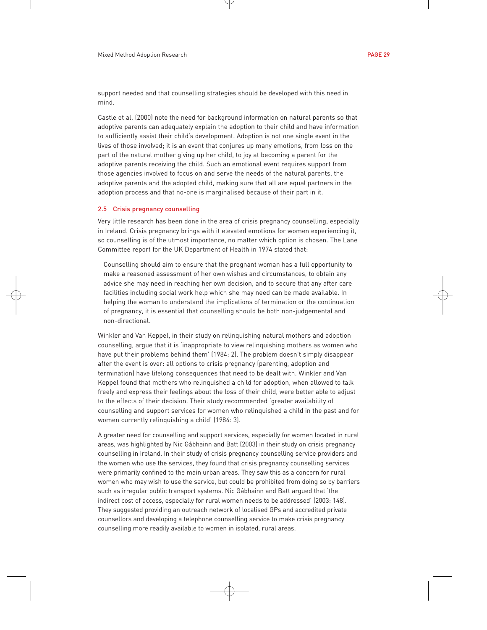support needed and that counselling strategies should be developed with this need in mind.

Castle et al. (2000) note the need for background information on natural parents so that adoptive parents can adequately explain the adoption to their child and have information to sufficiently assist their child's development. Adoption is not one single event in the lives of those involved; it is an event that conjures up many emotions, from loss on the part of the natural mother giving up her child, to joy at becoming a parent for the adoptive parents receiving the child. Such an emotional event requires support from those agencies involved to focus on and serve the needs of the natural parents, the adoptive parents and the adopted child, making sure that all are equal partners in the adoption process and that no-one is marginalised because of their part in it.

#### 2.5 Crisis pregnancy counselling

Very little research has been done in the area of crisis pregnancy counselling, especially in Ireland. Crisis pregnancy brings with it elevated emotions for women experiencing it, so counselling is of the utmost importance, no matter which option is chosen. The Lane Committee report for the UK Department of Health in 1974 stated that:

Counselling should aim to ensure that the pregnant woman has a full opportunity to make a reasoned assessment of her own wishes and circumstances, to obtain any advice she may need in reaching her own decision, and to secure that any after care facilities including social work help which she may need can be made available. In helping the woman to understand the implications of termination or the continuation of pregnancy, it is essential that counselling should be both non-judgemental and non-directional.

Winkler and Van Keppel, in their study on relinquishing natural mothers and adoption counselling, argue that it is 'inappropriate to view relinquishing mothers as women who have put their problems behind them' (1984: 2). The problem doesn't simply disappear after the event is over: all options to crisis pregnancy (parenting, adoption and termination) have lifelong consequences that need to be dealt with. Winkler and Van Keppel found that mothers who relinquished a child for adoption, when allowed to talk freely and express their feelings about the loss of their child, were better able to adjust to the effects of their decision. Their study recommended 'greater availability of counselling and support services for women who relinquished a child in the past and for women currently relinquishing a child' (1984: 3).

A greater need for counselling and support services, especially for women located in rural areas, was highlighted by Nic Gábhainn and Batt (2003) in their study on crisis pregnancy counselling in Ireland. In their study of crisis pregnancy counselling service providers and the women who use the services, they found that crisis pregnancy counselling services were primarily confined to the main urban areas. They saw this as a concern for rural women who may wish to use the service, but could be prohibited from doing so by barriers such as irregular public transport systems. Nic Gábhainn and Batt argued that 'the indirect cost of access, especially for rural women needs to be addressed' (2003: 148). They suggested providing an outreach network of localised GPs and accredited private counsellors and developing a telephone counselling service to make crisis pregnancy counselling more readily available to women in isolated, rural areas.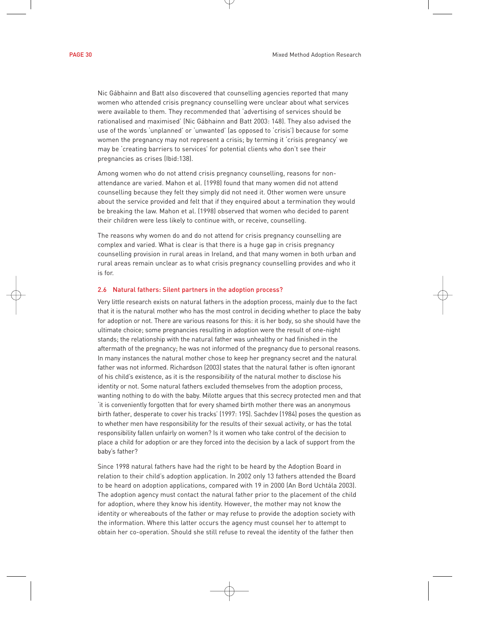Nic Gábhainn and Batt also discovered that counselling agencies reported that many women who attended crisis pregnancy counselling were unclear about what services were available to them. They recommended that 'advertising of services should be rationalised and maximised' (Nic Gábhainn and Batt 2003: 148). They also advised the use of the words 'unplanned' or 'unwanted' (as opposed to 'crisis') because for some women the pregnancy may not represent a crisis; by terming it 'crisis pregnancy' we may be 'creating barriers to services' for potential clients who don't see their pregnancies as crises (Ibid:138).

Among women who do not attend crisis pregnancy counselling, reasons for nonattendance are varied. Mahon et al. (1998) found that many women did not attend counselling because they felt they simply did not need it. Other women were unsure about the service provided and felt that if they enquired about a termination they would be breaking the law. Mahon et al. (1998) observed that women who decided to parent their children were less likely to continue with, or receive, counselling.

The reasons why women do and do not attend for crisis pregnancy counselling are complex and varied. What is clear is that there is a huge gap in crisis pregnancy counselling provision in rural areas in Ireland, and that many women in both urban and rural areas remain unclear as to what crisis pregnancy counselling provides and who it is for.

#### 2.6 Natural fathers: Silent partners in the adoption process?

Very little research exists on natural fathers in the adoption process, mainly due to the fact that it is the natural mother who has the most control in deciding whether to place the baby for adoption or not. There are various reasons for this: it is her body, so she should have the ultimate choice; some pregnancies resulting in adoption were the result of one-night stands; the relationship with the natural father was unhealthy or had finished in the aftermath of the pregnancy; he was not informed of the pregnancy due to personal reasons. In many instances the natural mother chose to keep her pregnancy secret and the natural father was not informed. Richardson (2003) states that the natural father is often ignorant of his child's existence, as it is the responsibility of the natural mother to disclose his identity or not. Some natural fathers excluded themselves from the adoption process, wanting nothing to do with the baby. Milotte argues that this secrecy protected men and that 'it is conveniently forgotten that for every shamed birth mother there was an anonymous birth father, desperate to cover his tracks' (1997: 195). Sachdev (1984) poses the question as to whether men have responsibility for the results of their sexual activity, or has the total responsibility fallen unfairly on women? Is it women who take control of the decision to place a child for adoption or are they forced into the decision by a lack of support from the baby's father?

Since 1998 natural fathers have had the right to be heard by the Adoption Board in relation to their child's adoption application. In 2002 only 13 fathers attended the Board to be heard on adoption applications, compared with 19 in 2000 (An Bord Uchtála 2003). The adoption agency must contact the natural father prior to the placement of the child for adoption, where they know his identity. However, the mother may not know the identity or whereabouts of the father or may refuse to provide the adoption society with the information. Where this latter occurs the agency must counsel her to attempt to obtain her co-operation. Should she still refuse to reveal the identity of the father then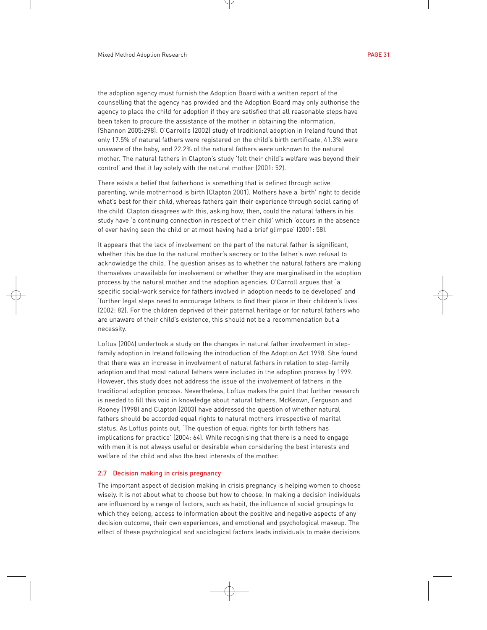the adoption agency must furnish the Adoption Board with a written report of the counselling that the agency has provided and the Adoption Board may only authorise the agency to place the child for adoption if they are satisfied that all reasonable steps have been taken to procure the assistance of the mother in obtaining the information. (Shannon 2005:298). O'Carroll's (2002) study of traditional adoption in Ireland found that only 17.5% of natural fathers were registered on the child's birth certificate, 41.3% were unaware of the baby, and 22.2% of the natural fathers were unknown to the natural mother. The natural fathers in Clapton's study 'felt their child's welfare was beyond their control' and that it lay solely with the natural mother (2001: 52).

There exists a belief that fatherhood is something that is defined through active parenting, while motherhood is birth (Clapton 2001). Mothers have a 'birth' right to decide what's best for their child, whereas fathers gain their experience through social caring of the child. Clapton disagrees with this, asking how, then, could the natural fathers in his study have 'a continuing connection in respect of their child' which 'occurs in the absence of ever having seen the child or at most having had a brief glimpse' (2001: 58).

It appears that the lack of involvement on the part of the natural father is significant, whether this be due to the natural mother's secrecy or to the father's own refusal to acknowledge the child. The question arises as to whether the natural fathers are making themselves unavailable for involvement or whether they are marginalised in the adoption process by the natural mother and the adoption agencies. O'Carroll argues that 'a specific social-work service for fathers involved in adoption needs to be developed' and 'further legal steps need to encourage fathers to find their place in their children's lives' (2002: 82). For the children deprived of their paternal heritage or for natural fathers who are unaware of their child's existence, this should not be a recommendation but a necessity.

Loftus (2004) undertook a study on the changes in natural father involvement in stepfamily adoption in Ireland following the introduction of the Adoption Act 1998. She found that there was an increase in involvement of natural fathers in relation to step-family adoption and that most natural fathers were included in the adoption process by 1999. However, this study does not address the issue of the involvement of fathers in the traditional adoption process. Nevertheless, Loftus makes the point that further research is needed to fill this void in knowledge about natural fathers. McKeown, Ferguson and Rooney (1998) and Clapton (2003) have addressed the question of whether natural fathers should be accorded equal rights to natural mothers irrespective of marital status. As Loftus points out, 'The question of equal rights for birth fathers has implications for practice' (2004: 64). While recognising that there is a need to engage with men it is not always useful or desirable when considering the best interests and welfare of the child and also the best interests of the mother.

#### 2.7 Decision making in crisis pregnancy

The important aspect of decision making in crisis pregnancy is helping women to choose wisely. It is not about what to choose but how to choose. In making a decision individuals are influenced by a range of factors, such as habit, the influence of social groupings to which they belong, access to information about the positive and negative aspects of any decision outcome, their own experiences, and emotional and psychological makeup. The effect of these psychological and sociological factors leads individuals to make decisions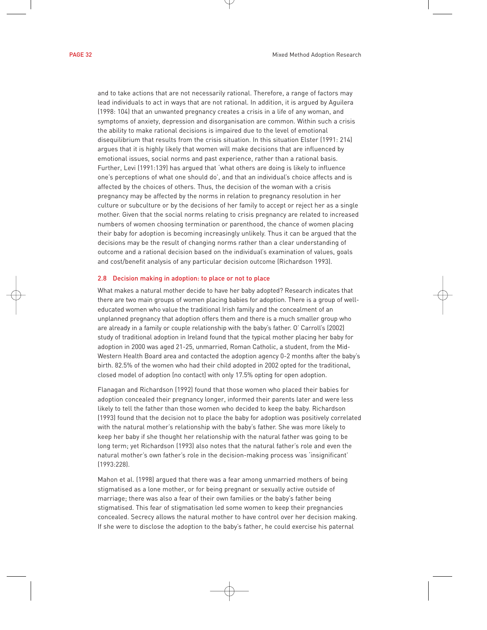and to take actions that are not necessarily rational. Therefore, a range of factors may lead individuals to act in ways that are not rational. In addition, it is argued by Aguilera (1998: 104) that an unwanted pregnancy creates a crisis in a life of any woman, and symptoms of anxiety, depression and disorganisation are common. Within such a crisis the ability to make rational decisions is impaired due to the level of emotional disequilibrium that results from the crisis situation. In this situation Elster (1991: 214) argues that it is highly likely that women will make decisions that are influenced by emotional issues, social norms and past experience, rather than a rational basis. Further, Levi (1991:139) has argued that 'what others are doing is likely to influence one's perceptions of what one should do', and that an individual's choice affects and is affected by the choices of others. Thus, the decision of the woman with a crisis pregnancy may be affected by the norms in relation to pregnancy resolution in her culture or subculture or by the decisions of her family to accept or reject her as a single mother. Given that the social norms relating to crisis pregnancy are related to increased numbers of women choosing termination or parenthood, the chance of women placing their baby for adoption is becoming increasingly unlikely. Thus it can be argued that the decisions may be the result of changing norms rather than a clear understanding of outcome and a rational decision based on the individual's examination of values, goals and cost/benefit analysis of any particular decision outcome (Richardson 1993).

#### 2.8 Decision making in adoption: to place or not to place

What makes a natural mother decide to have her baby adopted? Research indicates that there are two main groups of women placing babies for adoption. There is a group of welleducated women who value the traditional Irish family and the concealment of an unplanned pregnancy that adoption offers them and there is a much smaller group who are already in a family or couple relationship with the baby's father. O' Carroll's (2002) study of traditional adoption in Ireland found that the typical mother placing her baby for adoption in 2000 was aged 21-25, unmarried, Roman Catholic, a student, from the Mid-Western Health Board area and contacted the adoption agency 0-2 months after the baby's birth. 82.5% of the women who had their child adopted in 2002 opted for the traditional, closed model of adoption (no contact) with only 17.5% opting for open adoption.

Flanagan and Richardson (1992) found that those women who placed their babies for adoption concealed their pregnancy longer, informed their parents later and were less likely to tell the father than those women who decided to keep the baby. Richardson (1993) found that the decision not to place the baby for adoption was positively correlated with the natural mother's relationship with the baby's father. She was more likely to keep her baby if she thought her relationship with the natural father was going to be long term; yet Richardson (1993) also notes that the natural father's role and even the natural mother's own father's role in the decision-making process was 'insignificant' (1993:228).

Mahon et al. (1998) argued that there was a fear among unmarried mothers of being stigmatised as a lone mother, or for being pregnant or sexually active outside of marriage; there was also a fear of their own families or the baby's father being stigmatised. This fear of stigmatisation led some women to keep their pregnancies concealed. Secrecy allows the natural mother to have control over her decision making. If she were to disclose the adoption to the baby's father, he could exercise his paternal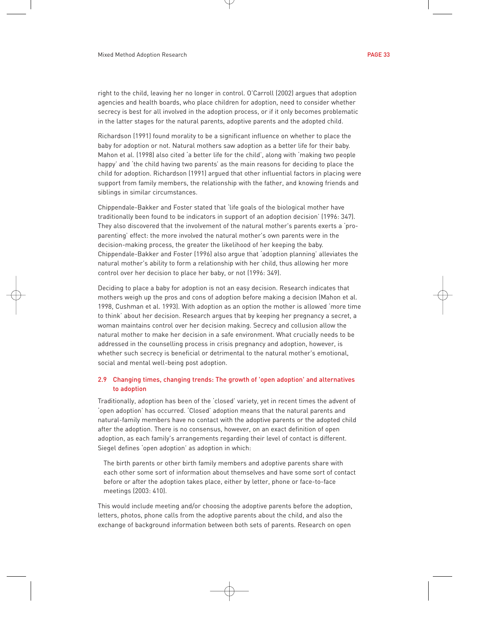right to the child, leaving her no longer in control. O'Carroll (2002) argues that adoption agencies and health boards, who place children for adoption, need to consider whether secrecy is best for all involved in the adoption process, or if it only becomes problematic in the latter stages for the natural parents, adoptive parents and the adopted child.

Richardson (1991) found morality to be a significant influence on whether to place the baby for adoption or not. Natural mothers saw adoption as a better life for their baby. Mahon et al. (1998) also cited 'a better life for the child', along with 'making two people happy' and 'the child having two parents' as the main reasons for deciding to place the child for adoption. Richardson (1991) argued that other influential factors in placing were support from family members, the relationship with the father, and knowing friends and siblings in similar circumstances.

Chippendale-Bakker and Foster stated that 'life goals of the biological mother have traditionally been found to be indicators in support of an adoption decision' (1996: 347). They also discovered that the involvement of the natural mother's parents exerts a 'proparenting' effect: the more involved the natural mother's own parents were in the decision-making process, the greater the likelihood of her keeping the baby. Chippendale-Bakker and Foster (1996) also argue that 'adoption planning' alleviates the natural mother's ability to form a relationship with her child, thus allowing her more control over her decision to place her baby, or not (1996: 349).

Deciding to place a baby for adoption is not an easy decision. Research indicates that mothers weigh up the pros and cons of adoption before making a decision (Mahon et al. 1998, Cushman et al. 1993). With adoption as an option the mother is allowed 'more time to think' about her decision. Research argues that by keeping her pregnancy a secret, a woman maintains control over her decision making. Secrecy and collusion allow the natural mother to make her decision in a safe environment. What crucially needs to be addressed in the counselling process in crisis pregnancy and adoption, however, is whether such secrecy is beneficial or detrimental to the natural mother's emotional, social and mental well-being post adoption.

#### 2.9 Changing times, changing trends: The growth of 'open adoption' and alternatives to adoption

Traditionally, adoption has been of the 'closed' variety, yet in recent times the advent of 'open adoption' has occurred. 'Closed' adoption means that the natural parents and natural-family members have no contact with the adoptive parents or the adopted child after the adoption. There is no consensus, however, on an exact definition of open adoption, as each family's arrangements regarding their level of contact is different. Siegel defines 'open adoption' as adoption in which:

The birth parents or other birth family members and adoptive parents share with each other some sort of information about themselves and have some sort of contact before or after the adoption takes place, either by letter, phone or face-to-face meetings (2003: 410).

This would include meeting and/or choosing the adoptive parents before the adoption, letters, photos, phone calls from the adoptive parents about the child, and also the exchange of background information between both sets of parents. Research on open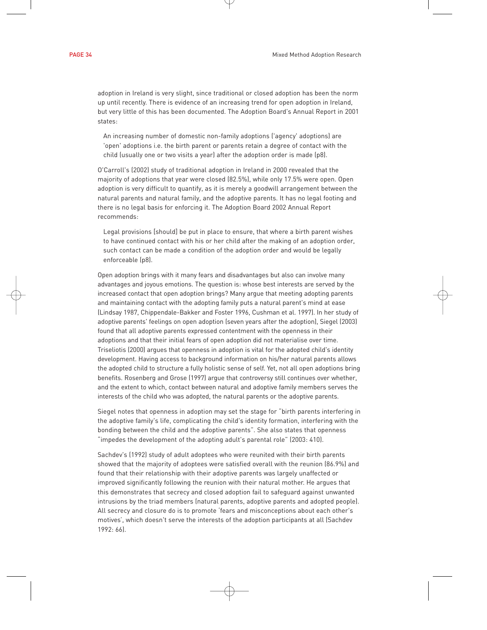adoption in Ireland is very slight, since traditional or closed adoption has been the norm up until recently. There is evidence of an increasing trend for open adoption in Ireland, but very little of this has been documented. The Adoption Board's Annual Report in 2001 states:

An increasing number of domestic non-family adoptions ('agency' adoptions) are 'open' adoptions i.e. the birth parent or parents retain a degree of contact with the child (usually one or two visits a year) after the adoption order is made (p8).

O'Carroll's (2002) study of traditional adoption in Ireland in 2000 revealed that the majority of adoptions that year were closed (82.5%), while only 17.5% were open. Open adoption is very difficult to quantify, as it is merely a goodwill arrangement between the natural parents and natural family, and the adoptive parents. It has no legal footing and there is no legal basis for enforcing it. The Adoption Board 2002 Annual Report recommends:

Legal provisions [should] be put in place to ensure, that where a birth parent wishes to have continued contact with his or her child after the making of an adoption order, such contact can be made a condition of the adoption order and would be legally enforceable (p8).

Open adoption brings with it many fears and disadvantages but also can involve many advantages and joyous emotions. The question is: whose best interests are served by the increased contact that open adoption brings? Many argue that meeting adopting parents and maintaining contact with the adopting family puts a natural parent's mind at ease (Lindsay 1987, Chippendale-Bakker and Foster 1996, Cushman et al. 1997). In her study of adoptive parents' feelings on open adoption (seven years after the adoption), Siegel (2003) found that all adoptive parents expressed contentment with the openness in their adoptions and that their initial fears of open adoption did not materialise over time. Triseliotis (2000) argues that openness in adoption is vital for the adopted child's identity development. Having access to background information on his/her natural parents allows the adopted child to structure a fully holistic sense of self. Yet, not all open adoptions bring benefits. Rosenberg and Grose (1997) argue that controversy still continues over whether, and the extent to which, contact between natural and adoptive family members serves the interests of the child who was adopted, the natural parents or the adoptive parents.

Siegel notes that openness in adoption may set the stage for "birth parents interfering in the adoptive family's life, complicating the child's identity formation, interfering with the bonding between the child and the adoptive parents". She also states that openness "impedes the development of the adopting adult's parental role" (2003: 410).

Sachdev's (1992) study of adult adoptees who were reunited with their birth parents showed that the majority of adoptees were satisfied overall with the reunion (86.9%) and found that their relationship with their adoptive parents was largely unaffected or improved significantly following the reunion with their natural mother. He argues that this demonstrates that secrecy and closed adoption fail to safeguard against unwanted intrusions by the triad members (natural parents, adoptive parents and adopted people). All secrecy and closure do is to promote 'fears and misconceptions about each other's motives', which doesn't serve the interests of the adoption participants at all (Sachdev 1992: 66).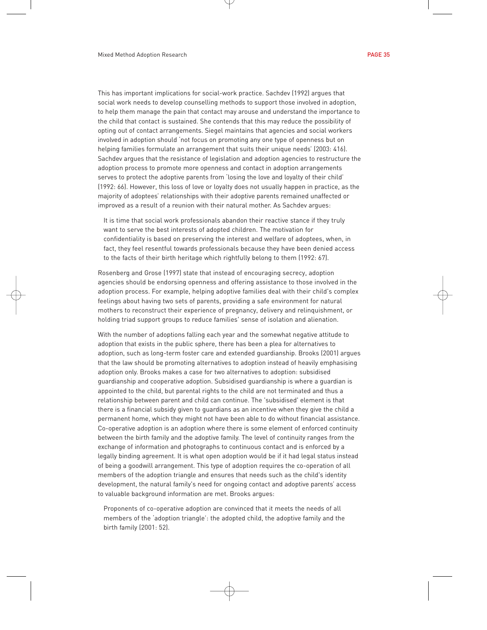This has important implications for social-work practice. Sachdev (1992) argues that social work needs to develop counselling methods to support those involved in adoption, to help them manage the pain that contact may arouse and understand the importance to the child that contact is sustained. She contends that this may reduce the possibility of opting out of contact arrangements. Siegel maintains that agencies and social workers involved in adoption should 'not focus on promoting any one type of openness but on helping families formulate an arrangement that suits their unique needs' (2003: 416). Sachdev argues that the resistance of legislation and adoption agencies to restructure the adoption process to promote more openness and contact in adoption arrangements serves to protect the adoptive parents from 'losing the love and loyalty of their child' (1992: 66). However, this loss of love or loyalty does not usually happen in practice, as the majority of adoptees' relationships with their adoptive parents remained unaffected or improved as a result of a reunion with their natural mother. As Sachdev argues:

It is time that social work professionals abandon their reactive stance if they truly want to serve the best interests of adopted children. The motivation for confidentiality is based on preserving the interest and welfare of adoptees, when, in fact, they feel resentful towards professionals because they have been denied access to the facts of their birth heritage which rightfully belong to them (1992: 67).

Rosenberg and Grose (1997) state that instead of encouraging secrecy, adoption agencies should be endorsing openness and offering assistance to those involved in the adoption process. For example, helping adoptive families deal with their child's complex feelings about having two sets of parents, providing a safe environment for natural mothers to reconstruct their experience of pregnancy, delivery and relinquishment, or holding triad support groups to reduce families' sense of isolation and alienation.

With the number of adoptions falling each year and the somewhat negative attitude to adoption that exists in the public sphere, there has been a plea for alternatives to adoption, such as long-term foster care and extended guardianship. Brooks (2001) argues that the law should be promoting alternatives to adoption instead of heavily emphasising adoption only. Brooks makes a case for two alternatives to adoption: subsidised guardianship and cooperative adoption. Subsidised guardianship is where a guardian is appointed to the child, but parental rights to the child are not terminated and thus a relationship between parent and child can continue. The 'subsidised' element is that there is a financial subsidy given to guardians as an incentive when they give the child a permanent home, which they might not have been able to do without financial assistance. Co-operative adoption is an adoption where there is some element of enforced continuity between the birth family and the adoptive family. The level of continuity ranges from the exchange of information and photographs to continuous contact and is enforced by a legally binding agreement. It is what open adoption would be if it had legal status instead of being a goodwill arrangement. This type of adoption requires the co-operation of all members of the adoption triangle and ensures that needs such as the child's identity development, the natural family's need for ongoing contact and adoptive parents' access to valuable background information are met. Brooks argues:

Proponents of co-operative adoption are convinced that it meets the needs of all members of the 'adoption triangle': the adopted child, the adoptive family and the birth family (2001: 52).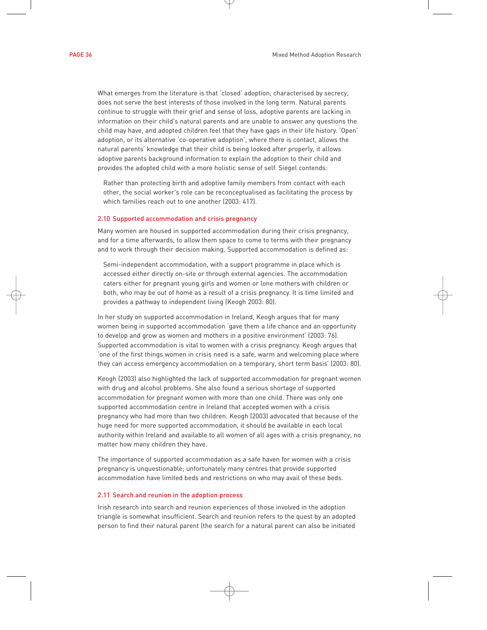What emerges from the literature is that 'closed' adoption, characterised by secrecy, does not serve the best interests of those involved in the long term. Natural parents continue to struggle with their grief and sense of loss, adoptive parents are lacking in information on their child's natural parents and are unable to answer any questions the child may have, and adopted children feel that they have gaps in their life history. 'Open' adoption, or its alternative 'co-operative adoption', where there is contact, allows the natural parents' knowledge that their child is being looked after properly, it allows adoptive parents background information to explain the adoption to their child and provides the adopted child with a more holistic sense of self. Siegel contends:

Rather than protecting birth and adoptive family members from contact with each other, the social worker's role can be reconceptualised as facilitating the process by which families reach out to one another (2003: 417).

# 2.10 Supported accommodation and crisis pregnancy

Many women are housed in supported accommodation during their crisis pregnancy, and for a time afterwards, to allow them space to come to terms with their pregnancy and to work through their decision making. Supported accommodation is defined as:

Semi-independent accommodation, with a support programme in place which is accessed either directly on-site or through external agencies. The accommodation caters either for pregnant young girls and women or lone mothers with children or both, who may be out of home as a result of a crisis pregnancy. It is time limited and provides a pathway to independent living (Keogh 2003: 80).

In her study on supported accommodation in Ireland, Keogh argues that for many women being in supported accommodation 'gave them a life chance and an opportunity to develop and grow as women and mothers in a positive environment' (2003: 76). Supported accommodation is vital to women with a crisis pregnancy. Keogh argues that 'one of the first things women in crisis need is a safe, warm and welcoming place where they can access emergency accommodation on a temporary, short term basis' (2003: 80).

Keogh (2003) also highlighted the lack of supported accommodation for pregnant women with drug and alcohol problems. She also found a serious shortage of supported accommodation for pregnant women with more than one child. There was only one supported accommodation centre in Ireland that accepted women with a crisis pregnancy who had more than two children. Keogh (2003) advocated that because of the huge need for more supported accommodation, it should be available in each local authority within Ireland and available to all women of all ages with a crisis pregnancy, no matter how many children they have.

The importance of supported accommodation as a safe haven for women with a crisis pregnancy is unquestionable; unfortunately many centres that provide supported accommodation have limited beds and restrictions on who may avail of these beds.

### 2.11 Search and reunion in the adoption process

Irish research into search and reunion experiences of those involved in the adoption triangle is somewhat insufficient. Search and reunion refers to the quest by an adopted person to find their natural parent (the search for a natural parent can also be initiated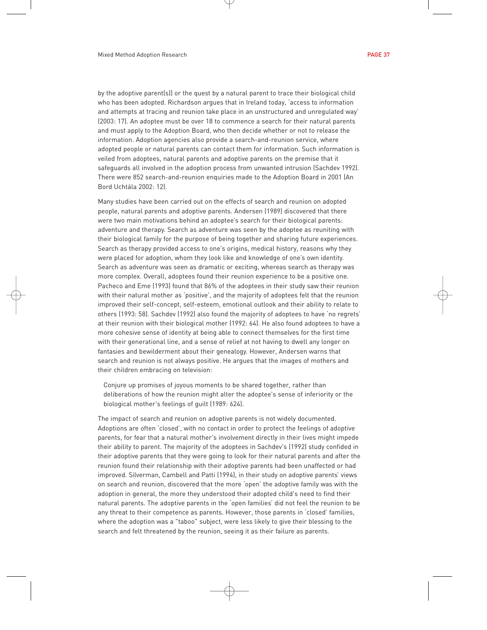by the adoptive parent(s)) or the quest by a natural parent to trace their biological child who has been adopted. Richardson argues that in Ireland today, 'access to information and attempts at tracing and reunion take place in an unstructured and unregulated way' (2003: 17). An adoptee must be over 18 to commence a search for their natural parents and must apply to the Adoption Board, who then decide whether or not to release the information. Adoption agencies also provide a search-and-reunion service, where adopted people or natural parents can contact them for information. Such information is veiled from adoptees, natural parents and adoptive parents on the premise that it safeguards all involved in the adoption process from unwanted intrusion (Sachdev 1992). There were 852 search-and-reunion enquiries made to the Adoption Board in 2001 (An Bord Uchtála 2002: 12).

Many studies have been carried out on the effects of search and reunion on adopted people, natural parents and adoptive parents. Andersen (1989) discovered that there were two main motivations behind an adoptee's search for their biological parents: adventure and therapy. Search as adventure was seen by the adoptee as reuniting with their biological family for the purpose of being together and sharing future experiences. Search as therapy provided access to one's origins, medical history, reasons why they were placed for adoption, whom they look like and knowledge of one's own identity. Search as adventure was seen as dramatic or exciting, whereas search as therapy was more complex. Overall, adoptees found their reunion experience to be a positive one. Pacheco and Eme (1993) found that 86% of the adoptees in their study saw their reunion with their natural mother as 'positive', and the majority of adoptees felt that the reunion improved their self-concept, self-esteem, emotional outlook and their ability to relate to others (1993: 58). Sachdev (1992) also found the majority of adoptees to have 'no regrets' at their reunion with their biological mother (1992: 64). He also found adoptees to have a more cohesive sense of identity at being able to connect themselves for the first time with their generational line, and a sense of relief at not having to dwell any longer on fantasies and bewilderment about their genealogy. However, Andersen warns that search and reunion is not always positive. He argues that the images of mothers and their children embracing on television:

Conjure up promises of joyous moments to be shared together, rather than deliberations of how the reunion might alter the adoptee's sense of inferiority or the biological mother's feelings of guilt (1989: 624).

The impact of search and reunion on adoptive parents is not widely documented. Adoptions are often 'closed', with no contact in order to protect the feelings of adoptive parents, for fear that a natural mother's involvement directly in their lives might impede their ability to parent. The majority of the adoptees in Sachdev's (1992) study confided in their adoptive parents that they were going to look for their natural parents and after the reunion found their relationship with their adoptive parents had been unaffected or had improved. Silverman, Cambell and Patti (1994), in their study on adoptive parents' views on search and reunion, discovered that the more 'open' the adoptive family was with the adoption in general, the more they understood their adopted child's need to find their natural parents. The adoptive parents in the 'open families' did not feel the reunion to be any threat to their competence as parents. However, those parents in 'closed' families, where the adoption was a "taboo" subject, were less likely to give their blessing to the search and felt threatened by the reunion, seeing it as their failure as parents.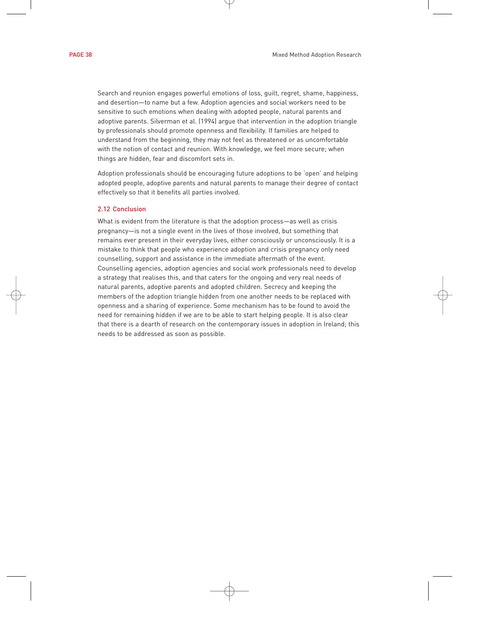Search and reunion engages powerful emotions of loss, guilt, regret, shame, happiness, and desertion—to name but a few. Adoption agencies and social workers need to be sensitive to such emotions when dealing with adopted people, natural parents and adoptive parents. Silverman et al. (1994) argue that intervention in the adoption triangle by professionals should promote openness and flexibility. If families are helped to understand from the beginning, they may not feel as threatened or as uncomfortable with the notion of contact and reunion. With knowledge, we feel more secure; when things are hidden, fear and discomfort sets in.

Adoption professionals should be encouraging future adoptions to be 'open' and helping adopted people, adoptive parents and natural parents to manage their degree of contact effectively so that it benefits all parties involved.

# 2.12 Conclusion

What is evident from the literature is that the adoption process—as well as crisis pregnancy—is not a single event in the lives of those involved, but something that remains ever present in their everyday lives, either consciously or unconsciously. It is a mistake to think that people who experience adoption and crisis pregnancy only need counselling, support and assistance in the immediate aftermath of the event. Counselling agencies, adoption agencies and social work professionals need to develop a strategy that realises this, and that caters for the ongoing and very real needs of natural parents, adoptive parents and adopted children. Secrecy and keeping the members of the adoption triangle hidden from one another needs to be replaced with openness and a sharing of experience. Some mechanism has to be found to avoid the need for remaining hidden if we are to be able to start helping people. It is also clear that there is a dearth of research on the contemporary issues in adoption in Ireland; this needs to be addressed as soon as possible.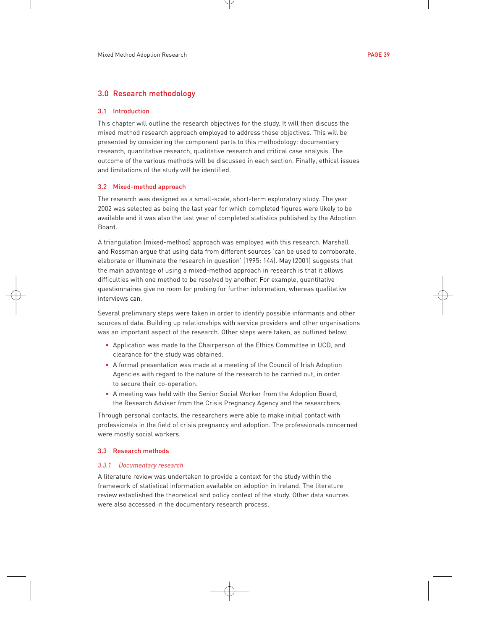# 3.0 Research methodology

#### 3.1 Introduction

This chapter will outline the research objectives for the study. It will then discuss the mixed method research approach employed to address these objectives. This will be presented by considering the component parts to this methodology: documentary research, quantitative research, qualitative research and critical case analysis. The outcome of the various methods will be discussed in each section. Finally, ethical issues and limitations of the study will be identified.

#### 3.2 Mixed-method approach

The research was designed as a small-scale, short-term exploratory study. The year 2002 was selected as being the last year for which completed figures were likely to be available and it was also the last year of completed statistics published by the Adoption Board.

A triangulation (mixed-method) approach was employed with this research. Marshall and Rossman argue that using data from different sources 'can be used to corroborate, elaborate or illuminate the research in question' (1995: 144). May (2001) suggests that the main advantage of using a mixed-method approach in research is that it allows difficulties with one method to be resolved by another. For example, quantitative questionnaires give no room for probing for further information, whereas qualitative interviews can.

Several preliminary steps were taken in order to identify possible informants and other sources of data. Building up relationships with service providers and other organisations was an important aspect of the research. Other steps were taken, as outlined below:

- Application was made to the Chairperson of the Ethics Committee in UCD, and clearance for the study was obtained.
- A formal presentation was made at a meeting of the Council of Irish Adoption Agencies with regard to the nature of the research to be carried out, in order to secure their co-operation.
- A meeting was held with the Senior Social Worker from the Adoption Board, the Research Adviser from the Crisis Pregnancy Agency and the researchers.

Through personal contacts, the researchers were able to make initial contact with professionals in the field of crisis pregnancy and adoption. The professionals concerned were mostly social workers.

# 3.3 Research methods

# *3.3.1 Documentary research*

A literature review was undertaken to provide a context for the study within the framework of statistical information available on adoption in Ireland. The literature review established the theoretical and policy context of the study. Other data sources were also accessed in the documentary research process.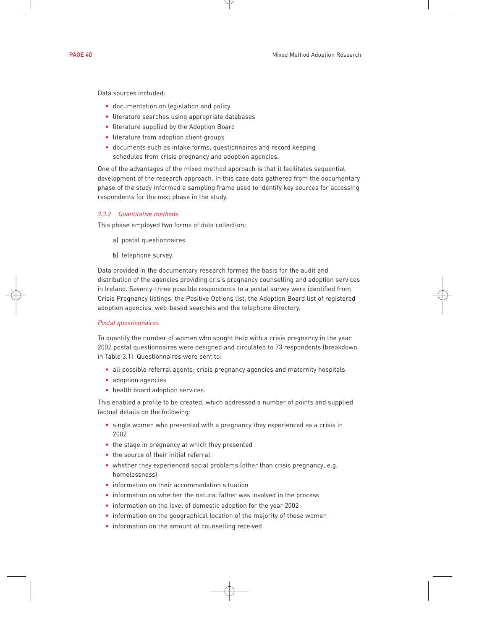Data sources included:

- documentation on legislation and policy
- literature searches using appropriate databases
- literature supplied by the Adoption Board
- literature from adoption client groups
- documents such as intake forms, questionnaires and record keeping schedules from crisis pregnancy and adoption agencies.

One of the advantages of the mixed method approach is that it facilitates sequential development of the research approach. In this case data gathered from the documentary phase of the study informed a sampling frame used to identify key sources for accessing respondents for the next phase in the study.

# *3.3.2 Quantitative methods*

This phase employed two forms of data collection:

- a) postal questionnaires
- b) telephone survey.

Data provided in the documentary research formed the basis for the audit and distribution of the agencies providing crisis pregnancy counselling and adoption services in Ireland. Seventy-three possible respondents to a postal survey were identified from Crisis Pregnancy listings, the Positive Options list, the Adoption Board list of registered adoption agencies, web-based searches and the telephone directory.

#### *Postal questionnaires*

To quantify the number of women who sought help with a crisis pregnancy in the year 2002 postal questionnaires were designed and circulated to 73 respondents (breakdown in Table 3.1). Questionnaires were sent to:

- all possible referral agents: crisis pregnancy agencies and maternity hospitals
- adoption agencies
- health board adoption services.

This enabled a profile to be created, which addressed a number of points and supplied factual details on the following:

- single women who presented with a pregnancy they experienced as a crisis in 2002
- the stage in pregnancy at which they presented
- the source of their initial referral
- whether they experienced social problems (other than crisis pregnancy, e.g. homelessness)
- information on their accommodation situation
- information on whether the natural father was involved in the process
- information on the level of domestic adoption for the year 2002
- information on the geographical location of the majority of these women
- information on the amount of counselling received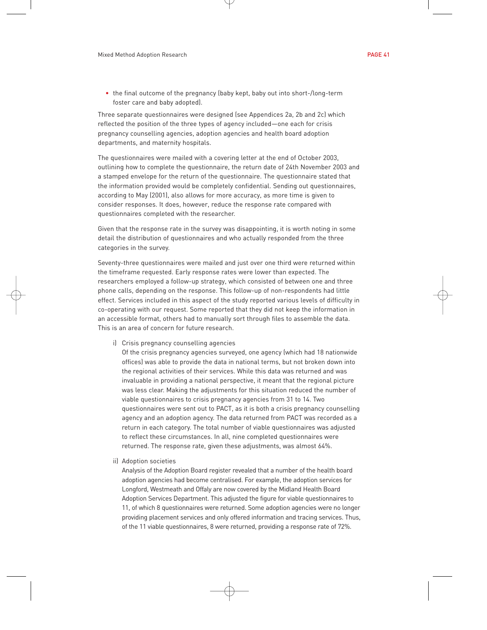• the final outcome of the pregnancy (baby kept, baby out into short-/long-term foster care and baby adopted).

Three separate questionnaires were designed (see Appendices 2a, 2b and 2c) which reflected the position of the three types of agency included—one each for crisis pregnancy counselling agencies, adoption agencies and health board adoption departments, and maternity hospitals.

The questionnaires were mailed with a covering letter at the end of October 2003, outlining how to complete the questionnaire, the return date of 24th November 2003 and a stamped envelope for the return of the questionnaire. The questionnaire stated that the information provided would be completely confidential. Sending out questionnaires, according to May (2001), also allows for more accuracy, as more time is given to consider responses. It does, however, reduce the response rate compared with questionnaires completed with the researcher.

Given that the response rate in the survey was disappointing, it is worth noting in some detail the distribution of questionnaires and who actually responded from the three categories in the survey.

Seventy-three questionnaires were mailed and just over one third were returned within the timeframe requested. Early response rates were lower than expected. The researchers employed a follow-up strategy, which consisted of between one and three phone calls, depending on the response. This follow-up of non-respondents had little effect. Services included in this aspect of the study reported various levels of difficulty in co-operating with our request. Some reported that they did not keep the information in an accessible format, others had to manually sort through files to assemble the data. This is an area of concern for future research.

i) Crisis pregnancy counselling agencies

Of the crisis pregnancy agencies surveyed, one agency (which had 18 nationwide offices) was able to provide the data in national terms, but not broken down into the regional activities of their services. While this data was returned and was invaluable in providing a national perspective, it meant that the regional picture was less clear. Making the adjustments for this situation reduced the number of viable questionnaires to crisis pregnancy agencies from 31 to 14. Two questionnaires were sent out to PACT, as it is both a crisis pregnancy counselling agency and an adoption agency. The data returned from PACT was recorded as a return in each category. The total number of viable questionnaires was adjusted to reflect these circumstances. In all, nine completed questionnaires were returned. The response rate, given these adjustments, was almost 64%.

ii) Adoption societies

Analysis of the Adoption Board register revealed that a number of the health board adoption agencies had become centralised. For example, the adoption services for Longford, Westmeath and Offaly are now covered by the Midland Health Board Adoption Services Department. This adjusted the figure for viable questionnaires to 11, of which 8 questionnaires were returned. Some adoption agencies were no longer providing placement services and only offered information and tracing services. Thus, of the 11 viable questionnaires, 8 were returned, providing a response rate of 72%.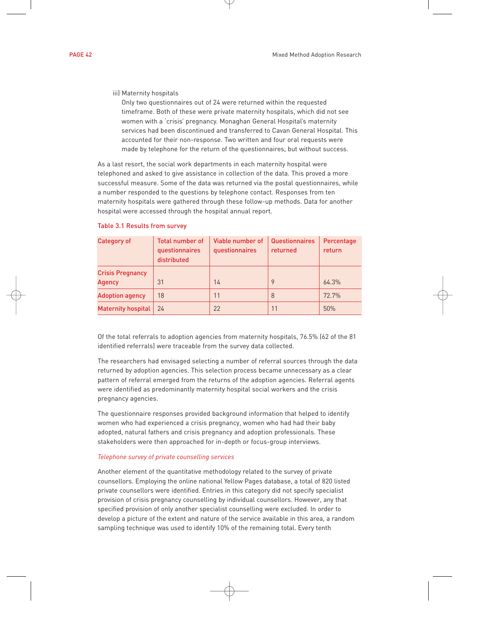# iii) Maternity hospitals

Only two questionnaires out of 24 were returned within the requested timeframe. Both of these were private maternity hospitals, which did not see women with a 'crisis' pregnancy. Monaghan General Hospital's maternity services had been discontinued and transferred to Cavan General Hospital. This accounted for their non-response. Two written and four oral requests were made by telephone for the return of the questionnaires, but without success.

As a last resort, the social work departments in each maternity hospital were telephoned and asked to give assistance in collection of the data. This proved a more successful measure. Some of the data was returned via the postal questionnaires, while a number responded to the questions by telephone contact. Responses from ten maternity hospitals were gathered through these follow-up methods. Data for another hospital were accessed through the hospital annual report.

| Category of               | Total number of<br>questionnaires<br>distributed | Viable number of<br>questionnaires | Questionnaires<br>returned | Percentage<br>return |
|---------------------------|--------------------------------------------------|------------------------------------|----------------------------|----------------------|
| <b>Crisis Pregnancy</b>   |                                                  |                                    |                            |                      |
| <b>Agency</b>             | 31                                               | 14                                 | 9                          | 64.3%                |
| <b>Adoption agency</b>    | 18                                               | 11                                 | 8                          | 72.7%                |
| <b>Maternity hospital</b> | 24                                               | 22                                 | 11                         | 50%                  |

# Table 3.1 Results from survey

Of the total referrals to adoption agencies from maternity hospitals, 76.5% (62 of the 81 identified referrals) were traceable from the survey data collected.

The researchers had envisaged selecting a number of referral sources through the data returned by adoption agencies. This selection process became unnecessary as a clear pattern of referral emerged from the returns of the adoption agencies. Referral agents were identified as predominantly maternity hospital social workers and the crisis pregnancy agencies.

The questionnaire responses provided background information that helped to identify women who had experienced a crisis pregnancy, women who had had their baby adopted, natural fathers and crisis pregnancy and adoption professionals. These stakeholders were then approached for in-depth or focus-group interviews.

# *Telephone survey of private counselling services*

Another element of the quantitative methodology related to the survey of private counsellors. Employing the online national Yellow Pages database, a total of 820 listed private counsellors were identified. Entries in this category did not specify specialist provision of crisis pregnancy counselling by individual counsellors. However, any that specified provision of only another specialist counselling were excluded. In order to develop a picture of the extent and nature of the service available in this area, a random sampling technique was used to identify 10% of the remaining total. Every tenth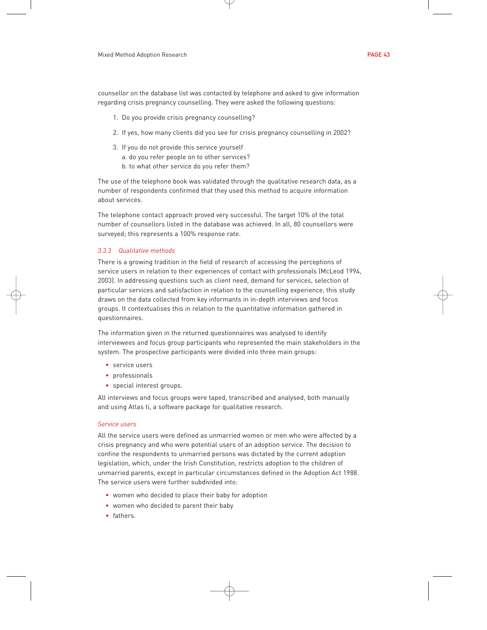counsellor on the database list was contacted by telephone and asked to give information regarding crisis pregnancy counselling. They were asked the following questions:

- 1. Do you provide crisis pregnancy counselling?
- 2. If yes, how many clients did you see for crisis pregnancy counselling in 2002?
- 3. If you do not provide this service yourself
	- a. do you refer people on to other services?
	- b. to what other service do you refer them?

The use of the telephone book was validated through the qualitative research data, as a number of respondents confirmed that they used this method to acquire information about services.

The telephone contact approach proved very successful. The target 10% of the total number of counsellors listed in the database was achieved. In all, 80 counsellors were surveyed; this represents a 100% response rate.

# *3.3.3 Qualitative methods*

There is a growing tradition in the field of research of accessing the perceptions of service users in relation to their experiences of contact with professionals (McLeod 1994, 2003). In addressing questions such as client need, demand for services, selection of particular services and satisfaction in relation to the counselling experience, this study draws on the data collected from key informants in in-depth interviews and focus groups. It contextualises this in relation to the quantitative information gathered in questionnaires.

The information given in the returned questionnaires was analysed to identify interviewees and focus group participants who represented the main stakeholders in the system. The prospective participants were divided into three main groups:

- service users
- professionals
- special interest groups.

All interviews and focus groups were taped, transcribed and analysed, both manually and using Atlas ti, a software package for qualitative research.

# *Service users*

All the service users were defined as unmarried women or men who were affected by a crisis pregnancy and who were potential users of an adoption service. The decision to confine the respondents to unmarried persons was dictated by the current adoption legislation, which, under the Irish Constitution, restricts adoption to the children of unmarried parents, except in particular circumstances defined in the Adoption Act 1988. The service users were further subdivided into:

- women who decided to place their baby for adoption
- women who decided to parent their baby
- fathers.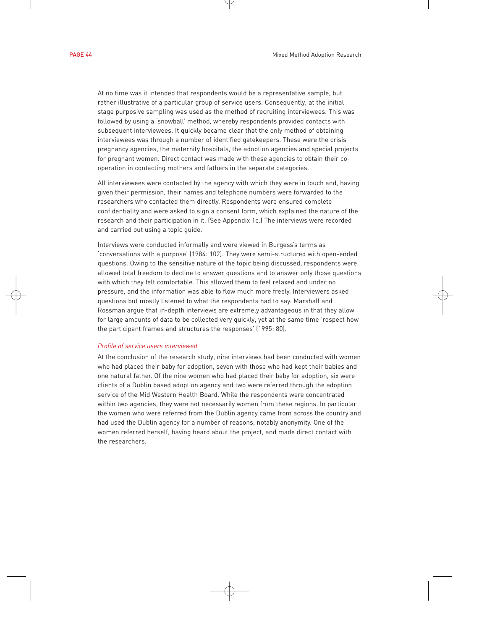At no time was it intended that respondents would be a representative sample, but rather illustrative of a particular group of service users. Consequently, at the initial stage purposive sampling was used as the method of recruiting interviewees. This was followed by using a 'snowball' method, whereby respondents provided contacts with subsequent interviewees. It quickly became clear that the only method of obtaining interviewees was through a number of identified gatekeepers. These were the crisis pregnancy agencies, the maternity hospitals, the adoption agencies and special projects for pregnant women. Direct contact was made with these agencies to obtain their cooperation in contacting mothers and fathers in the separate categories.

All interviewees were contacted by the agency with which they were in touch and, having given their permission, their names and telephone numbers were forwarded to the researchers who contacted them directly. Respondents were ensured complete confidentiality and were asked to sign a consent form, which explained the nature of the research and their participation in it. (See Appendix 1c.) The interviews were recorded and carried out using a topic guide.

Interviews were conducted informally and were viewed in Burgess's terms as 'conversations with a purpose' (1984: 102). They were semi-structured with open-ended questions. Owing to the sensitive nature of the topic being discussed, respondents were allowed total freedom to decline to answer questions and to answer only those questions with which they felt comfortable. This allowed them to feel relaxed and under no pressure, and the information was able to flow much more freely. Interviewers asked questions but mostly listened to what the respondents had to say. Marshall and Rossman argue that in-depth interviews are extremely advantageous in that they allow for large amounts of data to be collected very quickly, yet at the same time 'respect how the participant frames and structures the responses' (1995: 80).

# *Profile of service users interviewed*

At the conclusion of the research study, nine interviews had been conducted with women who had placed their baby for adoption, seven with those who had kept their babies and one natural father. Of the nine women who had placed their baby for adoption, six were clients of a Dublin based adoption agency and two were referred through the adoption service of the Mid Western Health Board. While the respondents were concentrated within two agencies, they were not necessarily women from these regions. In particular the women who were referred from the Dublin agency came from across the country and had used the Dublin agency for a number of reasons, notably anonymity. One of the women referred herself, having heard about the project, and made direct contact with the researchers.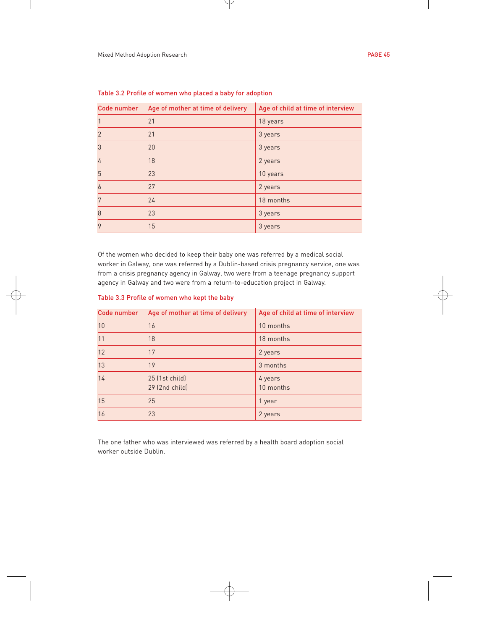| Code number    | Age of mother at time of delivery | Age of child at time of interview |
|----------------|-----------------------------------|-----------------------------------|
| 1              | 21                                | 18 years                          |
| $\overline{2}$ | 21                                | 3 years                           |
| 3              | 20                                | 3 years                           |
| 4              | 18                                | 2 years                           |
| 5              | 23                                | 10 years                          |
| 6              | 27                                | 2 years                           |
| 7              | 24                                | 18 months                         |
| 8              | 23                                | 3 years                           |
| 9              | 15                                | 3 years                           |

Table 3.2 Profile of women who placed a baby for adoption

Of the women who decided to keep their baby one was referred by a medical social worker in Galway, one was referred by a Dublin-based crisis pregnancy service, one was from a crisis pregnancy agency in Galway, two were from a teenage pregnancy support agency in Galway and two were from a return-to-education project in Galway.

|  |  | Table 3.3 Profile of women who kept the baby |  |  |  |  |
|--|--|----------------------------------------------|--|--|--|--|
|--|--|----------------------------------------------|--|--|--|--|

| <b>Code number</b> | Age of mother at time of delivery | Age of child at time of interview |
|--------------------|-----------------------------------|-----------------------------------|
| 10                 | 16                                | 10 months                         |
| 11                 | 18                                | 18 months                         |
| 12                 | 17                                | 2 years                           |
| 13                 | 19                                | 3 months                          |
| 14                 | 25 (1st child)<br>29 (2nd child)  | 4 years<br>10 months              |
| 15                 | 25                                | 1 year                            |
| 16                 | 23                                | 2 years                           |

The one father who was interviewed was referred by a health board adoption social worker outside Dublin.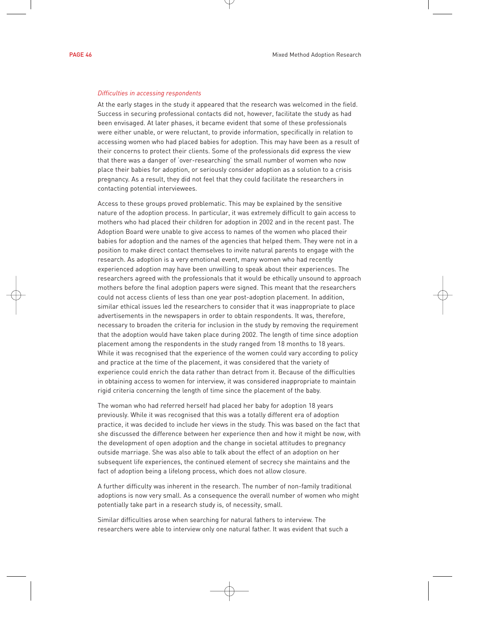#### *Difficulties in accessing respondents*

At the early stages in the study it appeared that the research was welcomed in the field. Success in securing professional contacts did not, however, facilitate the study as had been envisaged. At later phases, it became evident that some of these professionals were either unable, or were reluctant, to provide information, specifically in relation to accessing women who had placed babies for adoption. This may have been as a result of their concerns to protect their clients. Some of the professionals did express the view that there was a danger of 'over-researching' the small number of women who now place their babies for adoption, or seriously consider adoption as a solution to a crisis pregnancy. As a result, they did not feel that they could facilitate the researchers in contacting potential interviewees.

Access to these groups proved problematic. This may be explained by the sensitive nature of the adoption process. In particular, it was extremely difficult to gain access to mothers who had placed their children for adoption in 2002 and in the recent past. The Adoption Board were unable to give access to names of the women who placed their babies for adoption and the names of the agencies that helped them. They were not in a position to make direct contact themselves to invite natural parents to engage with the research. As adoption is a very emotional event, many women who had recently experienced adoption may have been unwilling to speak about their experiences. The researchers agreed with the professionals that it would be ethically unsound to approach mothers before the final adoption papers were signed. This meant that the researchers could not access clients of less than one year post-adoption placement. In addition, similar ethical issues led the researchers to consider that it was inappropriate to place advertisements in the newspapers in order to obtain respondents. It was, therefore, necessary to broaden the criteria for inclusion in the study by removing the requirement that the adoption would have taken place during 2002. The length of time since adoption placement among the respondents in the study ranged from 18 months to 18 years. While it was recognised that the experience of the women could vary according to policy and practice at the time of the placement, it was considered that the variety of experience could enrich the data rather than detract from it. Because of the difficulties in obtaining access to women for interview, it was considered inappropriate to maintain rigid criteria concerning the length of time since the placement of the baby.

The woman who had referred herself had placed her baby for adoption 18 years previously. While it was recognised that this was a totally different era of adoption practice, it was decided to include her views in the study. This was based on the fact that she discussed the difference between her experience then and how it might be now, with the development of open adoption and the change in societal attitudes to pregnancy outside marriage. She was also able to talk about the effect of an adoption on her subsequent life experiences, the continued element of secrecy she maintains and the fact of adoption being a lifelong process, which does not allow closure.

A further difficulty was inherent in the research. The number of non-family traditional adoptions is now very small. As a consequence the overall number of women who might potentially take part in a research study is, of necessity, small.

Similar difficulties arose when searching for natural fathers to interview. The researchers were able to interview only one natural father. It was evident that such a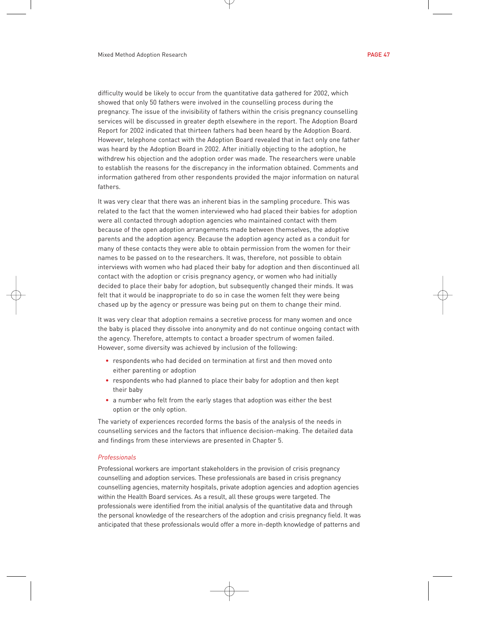difficulty would be likely to occur from the quantitative data gathered for 2002, which showed that only 50 fathers were involved in the counselling process during the pregnancy. The issue of the invisibility of fathers within the crisis pregnancy counselling services will be discussed in greater depth elsewhere in the report. The Adoption Board Report for 2002 indicated that thirteen fathers had been heard by the Adoption Board. However, telephone contact with the Adoption Board revealed that in fact only one father was heard by the Adoption Board in 2002. After initially objecting to the adoption, he withdrew his objection and the adoption order was made. The researchers were unable to establish the reasons for the discrepancy in the information obtained. Comments and information gathered from other respondents provided the major information on natural fathers.

It was very clear that there was an inherent bias in the sampling procedure. This was related to the fact that the women interviewed who had placed their babies for adoption were all contacted through adoption agencies who maintained contact with them because of the open adoption arrangements made between themselves, the adoptive parents and the adoption agency. Because the adoption agency acted as a conduit for many of these contacts they were able to obtain permission from the women for their names to be passed on to the researchers. It was, therefore, not possible to obtain interviews with women who had placed their baby for adoption and then discontinued all contact with the adoption or crisis pregnancy agency, or women who had initially decided to place their baby for adoption, but subsequently changed their minds. It was felt that it would be inappropriate to do so in case the women felt they were being chased up by the agency or pressure was being put on them to change their mind.

It was very clear that adoption remains a secretive process for many women and once the baby is placed they dissolve into anonymity and do not continue ongoing contact with the agency. Therefore, attempts to contact a broader spectrum of women failed. However, some diversity was achieved by inclusion of the following:

- respondents who had decided on termination at first and then moved onto either parenting or adoption
- respondents who had planned to place their baby for adoption and then kept their baby
- a number who felt from the early stages that adoption was either the best option or the only option.

The variety of experiences recorded forms the basis of the analysis of the needs in counselling services and the factors that influence decision-making. The detailed data and findings from these interviews are presented in Chapter 5.

### *Professionals*

Professional workers are important stakeholders in the provision of crisis pregnancy counselling and adoption services. These professionals are based in crisis pregnancy counselling agencies, maternity hospitals, private adoption agencies and adoption agencies within the Health Board services. As a result, all these groups were targeted. The professionals were identified from the initial analysis of the quantitative data and through the personal knowledge of the researchers of the adoption and crisis pregnancy field. It was anticipated that these professionals would offer a more in-depth knowledge of patterns and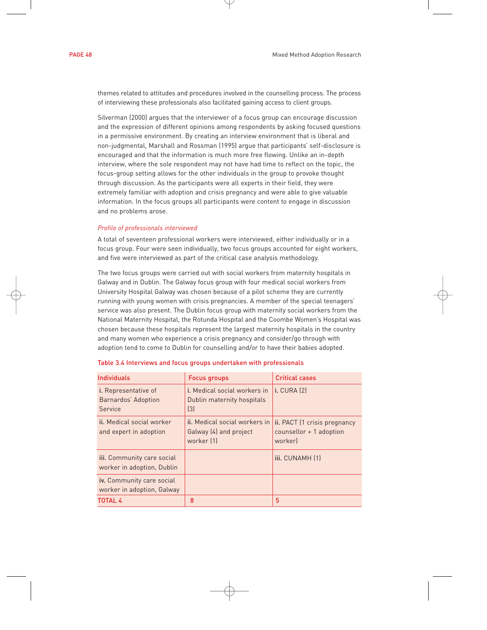themes related to attitudes and procedures involved in the counselling process. The process of interviewing these professionals also facilitated gaining access to client groups.

Silverman (2000) argues that the interviewer of a focus group can encourage discussion and the expression of different opinions among respondents by asking focused questions in a permissive environment. By creating an interview environment that is liberal and non-judgmental, Marshall and Rossman (1995) argue that participants' self-disclosure is encouraged and that the information is much more free flowing. Unlike an in-depth interview, where the sole respondent may not have had time to reflect on the topic, the focus-group setting allows for the other individuals in the group to provoke thought through discussion. As the participants were all experts in their field, they were extremely familiar with adoption and crisis pregnancy and were able to give valuable information. In the focus groups all participants were content to engage in discussion and no problems arose.

# *Profile of professionals interviewed*

A total of seventeen professional workers were interviewed, either individually or in a focus group. Four were seen individually, two focus groups accounted for eight workers, and five were interviewed as part of the critical case analysis methodology.

The two focus groups were carried out with social workers from maternity hospitals in Galway and in Dublin. The Galway focus group with four medical social workers from University Hospital Galway was chosen because of a pilot scheme they are currently running with young women with crisis pregnancies. A member of the special teenagers' service was also present. The Dublin focus group with maternity social workers from the National Maternity Hospital, the Rotunda Hospital and the Coombe Women's Hospital was chosen because these hospitals represent the largest maternity hospitals in the country and many women who experience a crisis pregnancy and consider/go through with adoption tend to come to Dublin for counselling and/or to have their babies adopted.

| <b>Individuals</b>                                            | <b>Focus groups</b>                                                                   | <b>Critical cases</b>                                            |
|---------------------------------------------------------------|---------------------------------------------------------------------------------------|------------------------------------------------------------------|
| <i>i.</i> Representative of<br>Barnardos' Adoption<br>Service | <i>i.</i> Medical social workers in<br>Dublin maternity hospitals<br>$\left[3\right]$ | <b>i.</b> CURA [2]                                               |
| ii. Medical social worker<br>and expert in adoption           | ii. Medical social workers in<br>Galway (4) and project<br>worker [1]                 | ii. PACT (1 crisis pregnancy<br>$counter + 1$ adoption<br>worker |
| iii. Community care social<br>worker in adoption, Dublin      |                                                                                       | iii. CUNAMH [1]                                                  |
| iv. Community care social<br>worker in adoption, Galway       |                                                                                       |                                                                  |
| TOTAL 4                                                       | 8                                                                                     | 5                                                                |

# Table 3.4 Interviews and focus groups undertaken with professionals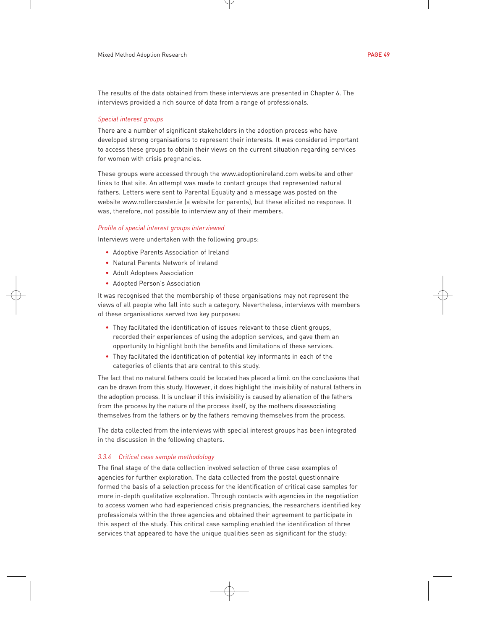The results of the data obtained from these interviews are presented in Chapter 6. The interviews provided a rich source of data from a range of professionals.

#### *Special interest groups*

There are a number of significant stakeholders in the adoption process who have developed strong organisations to represent their interests. It was considered important to access these groups to obtain their views on the current situation regarding services for women with crisis pregnancies.

These groups were accessed through the www.adoptionireland.com website and other links to that site. An attempt was made to contact groups that represented natural fathers. Letters were sent to Parental Equality and a message was posted on the website www.rollercoaster.ie (a website for parents), but these elicited no response. It was, therefore, not possible to interview any of their members.

#### *Profile of special interest groups interviewed*

Interviews were undertaken with the following groups:

- Adoptive Parents Association of Ireland
- Natural Parents Network of Ireland
- Adult Adoptees Association
- Adopted Person's Association

It was recognised that the membership of these organisations may not represent the views of all people who fall into such a category. Nevertheless, interviews with members of these organisations served two key purposes:

- They facilitated the identification of issues relevant to these client groups, recorded their experiences of using the adoption services, and gave them an opportunity to highlight both the benefits and limitations of these services.
- They facilitated the identification of potential key informants in each of the categories of clients that are central to this study.

The fact that no natural fathers could be located has placed a limit on the conclusions that can be drawn from this study. However, it does highlight the invisibility of natural fathers in the adoption process. It is unclear if this invisibility is caused by alienation of the fathers from the process by the nature of the process itself, by the mothers disassociating themselves from the fathers or by the fathers removing themselves from the process.

The data collected from the interviews with special interest groups has been integrated in the discussion in the following chapters.

#### *3.3.4 Critical case sample methodology*

The final stage of the data collection involved selection of three case examples of agencies for further exploration. The data collected from the postal questionnaire formed the basis of a selection process for the identification of critical case samples for more in-depth qualitative exploration. Through contacts with agencies in the negotiation to access women who had experienced crisis pregnancies, the researchers identified key professionals within the three agencies and obtained their agreement to participate in this aspect of the study. This critical case sampling enabled the identification of three services that appeared to have the unique qualities seen as significant for the study: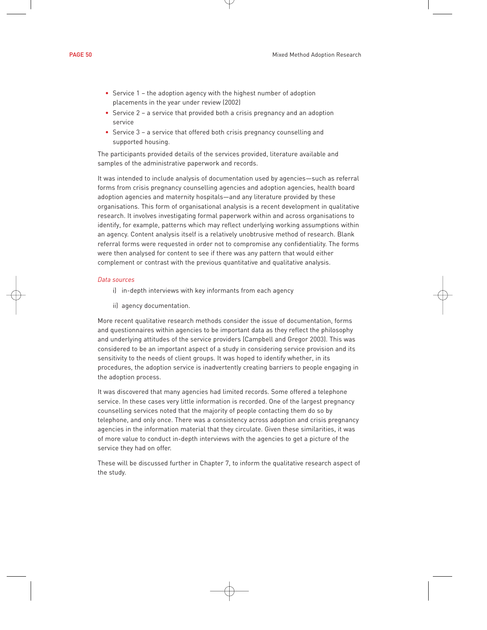- Service 1 the adoption agency with the highest number of adoption placements in the year under review (2002)
- Service 2 a service that provided both a crisis pregnancy and an adoption service
- Service 3 a service that offered both crisis pregnancy counselling and supported housing.

The participants provided details of the services provided, literature available and samples of the administrative paperwork and records.

It was intended to include analysis of documentation used by agencies—such as referral forms from crisis pregnancy counselling agencies and adoption agencies, health board adoption agencies and maternity hospitals—and any literature provided by these organisations. This form of organisational analysis is a recent development in qualitative research. It involves investigating formal paperwork within and across organisations to identify, for example, patterns which may reflect underlying working assumptions within an agency. Content analysis itself is a relatively unobtrusive method of research. Blank referral forms were requested in order not to compromise any confidentiality. The forms were then analysed for content to see if there was any pattern that would either complement or contrast with the previous quantitative and qualitative analysis.

# *Data sources*

- i) in-depth interviews with key informants from each agency
- ii) agency documentation.

More recent qualitative research methods consider the issue of documentation, forms and questionnaires within agencies to be important data as they reflect the philosophy and underlying attitudes of the service providers (Campbell and Gregor 2003). This was considered to be an important aspect of a study in considering service provision and its sensitivity to the needs of client groups. It was hoped to identify whether, in its procedures, the adoption service is inadvertently creating barriers to people engaging in the adoption process.

It was discovered that many agencies had limited records. Some offered a telephone service. In these cases very little information is recorded. One of the largest pregnancy counselling services noted that the majority of people contacting them do so by telephone, and only once. There was a consistency across adoption and crisis pregnancy agencies in the information material that they circulate. Given these similarities, it was of more value to conduct in-depth interviews with the agencies to get a picture of the service they had on offer.

These will be discussed further in Chapter 7, to inform the qualitative research aspect of the study.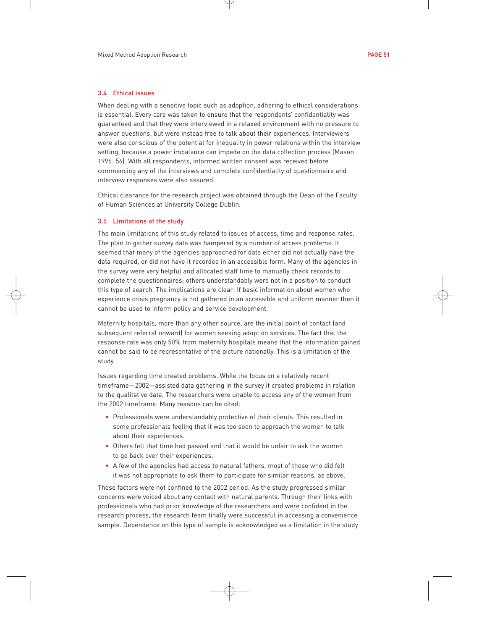# 3.4 Ethical issues

When dealing with a sensitive topic such as adoption, adhering to ethical considerations is essential. Every care was taken to ensure that the respondents' confidentiality was guaranteed and that they were interviewed in a relaxed environment with no pressure to answer questions, but were instead free to talk about their experiences. Interviewers were also conscious of the potential for inequality in power relations within the interview setting, because a power imbalance can impede on the data collection process (Mason 1996: 56). With all respondents, informed written consent was received before commencing any of the interviews and complete confidentiality of questionnaire and interview responses were also assured.

Ethical clearance for the research project was obtained through the Dean of the Faculty of Human Sciences at University College Dublin.

# 3.5 Limitations of the study

The main limitations of this study related to issues of access, time and response rates. The plan to gather survey data was hampered by a number of access problems. It seemed that many of the agencies approached for data either did not actually have the data required, or did not have it recorded in an accessible form. Many of the agencies in the survey were very helpful and allocated staff time to manually check records to complete the questionnaires; others understandably were not in a position to conduct this type of search. The implications are clear: If basic information about women who experience crisis pregnancy is not gathered in an accessible and uniform manner then it cannot be used to inform policy and service development.

Maternity hospitals, more than any other source, are the initial point of contact (and subsequent referral onward) for women seeking adoption services. The fact that the response rate was only 50% from maternity hospitals means that the information gained cannot be said to be representative of the picture nationally. This is a limitation of the study.

Issues regarding time created problems. While the focus on a relatively recent timeframe—2002—assisted data gathering in the survey it created problems in relation to the qualitative data. The researchers were unable to access any of the women from the 2002 timeframe. Many reasons can be cited:

- Professionals were understandably protective of their clients. This resulted in some professionals feeling that it was too soon to approach the women to talk about their experiences.
- Others felt that time had passed and that it would be unfair to ask the women to go back over their experiences.
- A few of the agencies had access to natural fathers, most of those who did felt it was not appropriate to ask them to participate for similar reasons, as above.

These factors were not confined to the 2002 period. As the study progressed similar concerns were voiced about any contact with natural parents. Through their links with professionals who had prior knowledge of the researchers and were confident in the research process, the research team finally were successful in accessing a convenience sample. Dependence on this type of sample is acknowledged as a limitation in the study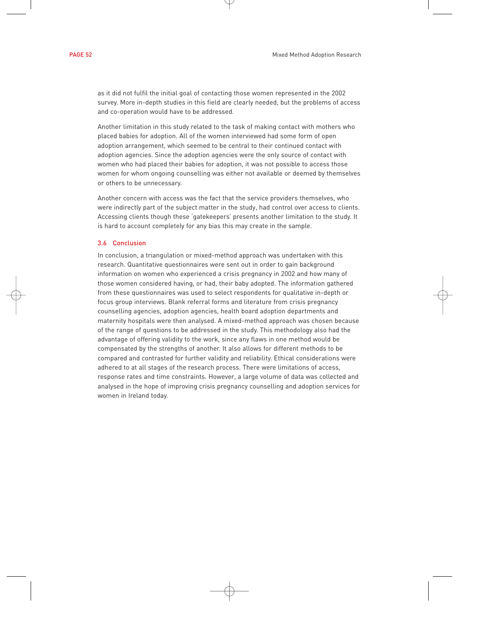as it did not fulfil the initial goal of contacting those women represented in the 2002 survey. More in-depth studies in this field are clearly needed, but the problems of access and co-operation would have to be addressed.

Another limitation in this study related to the task of making contact with mothers who placed babies for adoption. All of the women interviewed had some form of open adoption arrangement, which seemed to be central to their continued contact with adoption agencies. Since the adoption agencies were the only source of contact with women who had placed their babies for adoption, it was not possible to access those women for whom ongoing counselling was either not available or deemed by themselves or others to be unnecessary.

Another concern with access was the fact that the service providers themselves, who were indirectly part of the subject matter in the study, had control over access to clients. Accessing clients though these 'gatekeepers' presents another limitation to the study. It is hard to account completely for any bias this may create in the sample.

# 3.6 Conclusion

In conclusion, a triangulation or mixed-method approach was undertaken with this research. Quantitative questionnaires were sent out in order to gain background information on women who experienced a crisis pregnancy in 2002 and how many of those women considered having, or had, their baby adopted. The information gathered from these questionnaires was used to select respondents for qualitative in-depth or focus group interviews. Blank referral forms and literature from crisis pregnancy counselling agencies, adoption agencies, health board adoption departments and maternity hospitals were then analysed. A mixed-method approach was chosen because of the range of questions to be addressed in the study. This methodology also had the advantage of offering validity to the work, since any flaws in one method would be compensated by the strengths of another. It also allows for different methods to be compared and contrasted for further validity and reliability. Ethical considerations were adhered to at all stages of the research process. There were limitations of access, response rates and time constraints. However, a large volume of data was collected and analysed in the hope of improving crisis pregnancy counselling and adoption services for women in Ireland today.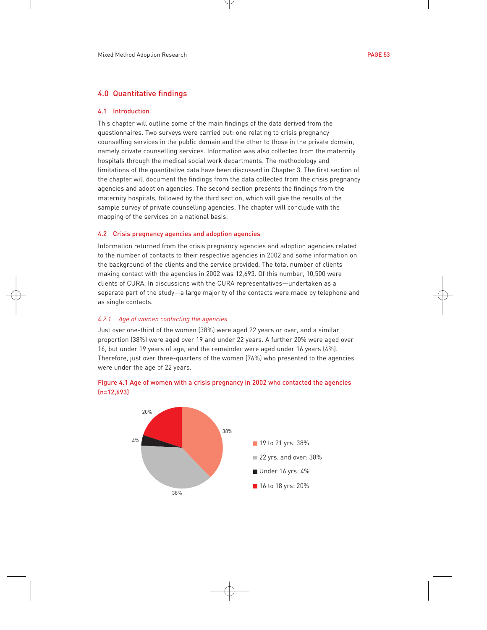# 4.0 Quantitative findings

## 4.1 Introduction

This chapter will outline some of the main findings of the data derived from the questionnaires. Two surveys were carried out: one relating to crisis pregnancy counselling services in the public domain and the other to those in the private domain, namely private counselling services. Information was also collected from the maternity hospitals through the medical social work departments. The methodology and limitations of the quantitative data have been discussed in Chapter 3. The first section of the chapter will document the findings from the data collected from the crisis pregnancy agencies and adoption agencies. The second section presents the findings from the maternity hospitals, followed by the third section, which will give the results of the sample survey of private counselling agencies. The chapter will conclude with the mapping of the services on a national basis.

# 4.2 Crisis pregnancy agencies and adoption agencies

Information returned from the crisis pregnancy agencies and adoption agencies related to the number of contacts to their respective agencies in 2002 and some information on the background of the clients and the service provided. The total number of clients making contact with the agencies in 2002 was 12,693. Of this number, 10,500 were clients of CURA. In discussions with the CURA representatives—undertaken as a separate part of the study—a large majority of the contacts were made by telephone and as single contacts.

# *4.2.1 Age of women contacting the agencies*

Just over one-third of the women (38%) were aged 22 years or over, and a similar proportion (38%) were aged over 19 and under 22 years. A further 20% were aged over 16, but under 19 years of age, and the remainder were aged under 16 years (4%). Therefore, just over three-quarters of the women (76%) who presented to the agencies were under the age of 22 years.



# Figure 4.1 Age of women with a crisis pregnancy in 2002 who contacted the agencies (n=12,693)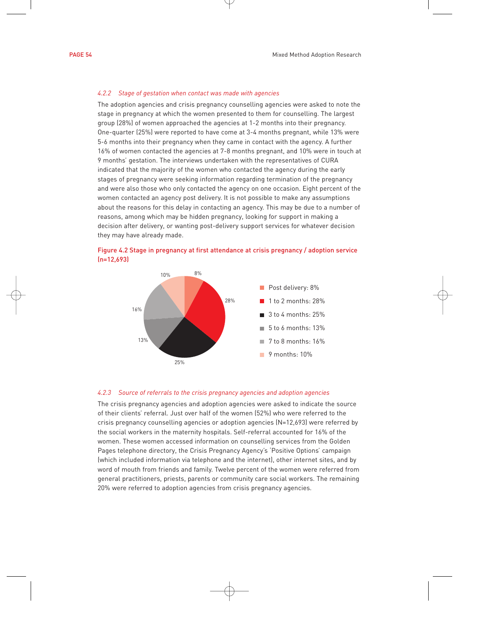#### *4.2.2 Stage of gestation when contact was made with agencies*

The adoption agencies and crisis pregnancy counselling agencies were asked to note the stage in pregnancy at which the women presented to them for counselling. The largest group (28%) of women approached the agencies at 1-2 months into their pregnancy. One-quarter (25%) were reported to have come at 3-4 months pregnant, while 13% were 5-6 months into their pregnancy when they came in contact with the agency. A further 16% of women contacted the agencies at 7-8 months pregnant, and 10% were in touch at 9 months' gestation. The interviews undertaken with the representatives of CURA indicated that the majority of the women who contacted the agency during the early stages of pregnancy were seeking information regarding termination of the pregnancy and were also those who only contacted the agency on one occasion. Eight percent of the women contacted an agency post delivery. It is not possible to make any assumptions about the reasons for this delay in contacting an agency. This may be due to a number of reasons, among which may be hidden pregnancy, looking for support in making a decision after delivery, or wanting post-delivery support services for whatever decision they may have already made.





#### *4.2.3 Source of referrals to the crisis pregnancy agencies and adoption agencies*

The crisis pregnancy agencies and adoption agencies were asked to indicate the source of their clients' referral. Just over half of the women (52%) who were referred to the crisis pregnancy counselling agencies or adoption agencies (N=12,693) were referred by the social workers in the maternity hospitals. Self-referral accounted for 16% of the women. These women accessed information on counselling services from the Golden Pages telephone directory, the Crisis Pregnancy Agency's 'Positive Options' campaign (which included information via telephone and the internet), other internet sites, and by word of mouth from friends and family. Twelve percent of the women were referred from general practitioners, priests, parents or community care social workers. The remaining 20% were referred to adoption agencies from crisis pregnancy agencies.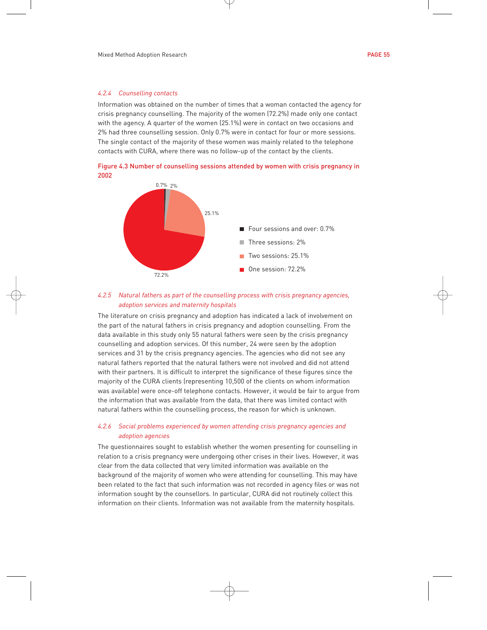#### *4.2.4 Counselling contacts*

Information was obtained on the number of times that a woman contacted the agency for crisis pregnancy counselling. The majority of the women (72.2%) made only one contact with the agency. A quarter of the women (25.1%) were in contact on two occasions and 2% had three counselling session. Only 0.7% were in contact for four or more sessions. The single contact of the majority of these women was mainly related to the telephone contacts with CURA, where there was no follow-up of the contact by the clients.

Figure 4.3 Number of counselling sessions attended by women with crisis pregnancy in 2002



# *4.2.5 Natural fathers as part of the counselling process with crisis pregnancy agencies, adoption services and maternity hospitals*

The literature on crisis pregnancy and adoption has indicated a lack of involvement on the part of the natural fathers in crisis pregnancy and adoption counselling. From the data available in this study only 55 natural fathers were seen by the crisis pregnancy counselling and adoption services. Of this number, 24 were seen by the adoption services and 31 by the crisis pregnancy agencies. The agencies who did not see any natural fathers reported that the natural fathers were not involved and did not attend with their partners. It is difficult to interpret the significance of these figures since the majority of the CURA clients (representing 10,500 of the clients on whom information was available) were once-off telephone contacts. However, it would be fair to argue from the information that was available from the data, that there was limited contact with natural fathers within the counselling process, the reason for which is unknown.

# *4.2.6 Social problems experienced by women attending crisis pregnancy agencies and adoption agencies*

The questionnaires sought to establish whether the women presenting for counselling in relation to a crisis pregnancy were undergoing other crises in their lives. However, it was clear from the data collected that very limited information was available on the background of the majority of women who were attending for counselling. This may have been related to the fact that such information was not recorded in agency files or was not information sought by the counsellors. In particular, CURA did not routinely collect this information on their clients. Information was not available from the maternity hospitals.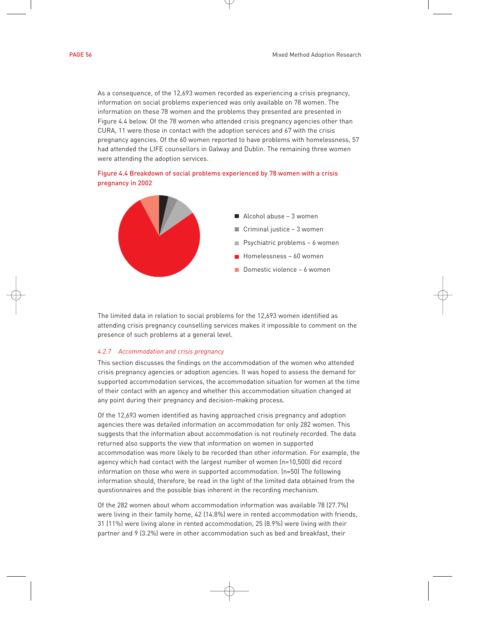As a consequence, of the 12,693 women recorded as experiencing a crisis pregnancy, information on social problems experienced was only available on 78 women. The information on these 78 women and the problems they presented are presented in Figure 4.4 below. Of the 78 women who attended crisis pregnancy agencies other than CURA, 11 were those in contact with the adoption services and 67 with the crisis pregnancy agencies. Of the 60 women reported to have problems with homelessness, 57 had attended the LIFE counsellors in Galway and Dublin. The remaining three women were attending the adoption services.





The limited data in relation to social problems for the 12,693 women identified as attending crisis pregnancy counselling services makes it impossible to comment on the presence of such problems at a general level.

# *4.2.7 Accommodation and crisis pregnancy*

This section discusses the findings on the accommodation of the women who attended crisis pregnancy agencies or adoption agencies. It was hoped to assess the demand for supported accommodation services, the accommodation situation for women at the time of their contact with an agency and whether this accommodation situation changed at any point during their pregnancy and decision-making process.

Of the 12,693 women identified as having approached crisis pregnancy and adoption agencies there was detailed information on accommodation for only 282 women. This suggests that the information about accommodation is not routinely recorded. The data returned also supports the view that information on women in supported accommodation was more likely to be recorded than other information. For example, the agency which had contact with the largest number of women (n=10,500) did record information on those who were in supported accommodation. (n=50) The following information should, therefore, be read in the light of the limited data obtained from the questionnaires and the possible bias inherent in the recording mechanism.

Of the 282 women about whom accommodation information was available 78 (27.7%) were living in their family home, 42 (14.8%) were in rented accommodation with friends, 31 (11%) were living alone in rented accommodation, 25 (8.9%) were living with their partner and 9 (3.2%) were in other accommodation such as bed and breakfast, their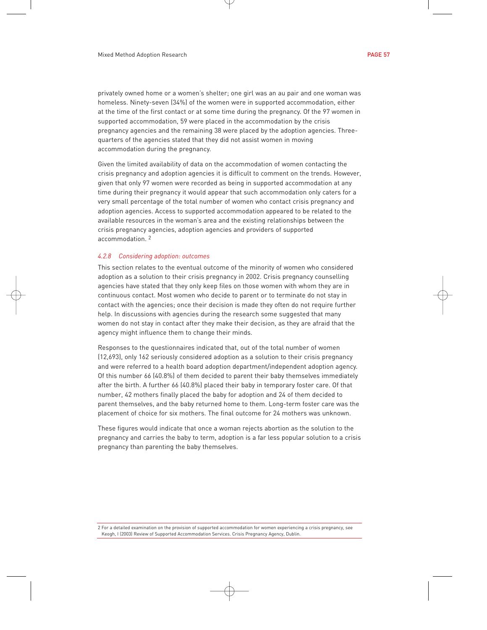privately owned home or a women's shelter; one girl was an au pair and one woman was homeless. Ninety-seven (34%) of the women were in supported accommodation, either at the time of the first contact or at some time during the pregnancy. Of the 97 women in supported accommodation, 59 were placed in the accommodation by the crisis pregnancy agencies and the remaining 38 were placed by the adoption agencies. Threequarters of the agencies stated that they did not assist women in moving accommodation during the pregnancy.

Given the limited availability of data on the accommodation of women contacting the crisis pregnancy and adoption agencies it is difficult to comment on the trends. However, given that only 97 women were recorded as being in supported accommodation at any time during their pregnancy it would appear that such accommodation only caters for a very small percentage of the total number of women who contact crisis pregnancy and adoption agencies. Access to supported accommodation appeared to be related to the available resources in the woman's area and the existing relationships between the crisis pregnancy agencies, adoption agencies and providers of supported accommodation. 2

#### *4.2.8 Considering adoption: outcomes*

This section relates to the eventual outcome of the minority of women who considered adoption as a solution to their crisis pregnancy in 2002. Crisis pregnancy counselling agencies have stated that they only keep files on those women with whom they are in continuous contact. Most women who decide to parent or to terminate do not stay in contact with the agencies; once their decision is made they often do not require further help. In discussions with agencies during the research some suggested that many women do not stay in contact after they make their decision, as they are afraid that the agency might influence them to change their minds.

Responses to the questionnaires indicated that, out of the total number of women (12,693), only 162 seriously considered adoption as a solution to their crisis pregnancy and were referred to a health board adoption department/independent adoption agency. Of this number 66 (40.8%) of them decided to parent their baby themselves immediately after the birth. A further 66 (40.8%) placed their baby in temporary foster care. Of that number, 42 mothers finally placed the baby for adoption and 24 of them decided to parent themselves, and the baby returned home to them. Long-term foster care was the placement of choice for six mothers. The final outcome for 24 mothers was unknown.

These figures would indicate that once a woman rejects abortion as the solution to the pregnancy and carries the baby to term, adoption is a far less popular solution to a crisis pregnancy than parenting the baby themselves.

2 For a detailed examination on the provision of supported accommodation for women experiencing a crisis pregnancy, see Keogh, I (2003) Review of Supported Accommodation Services. Crisis Pregnancy Agency, Dublin.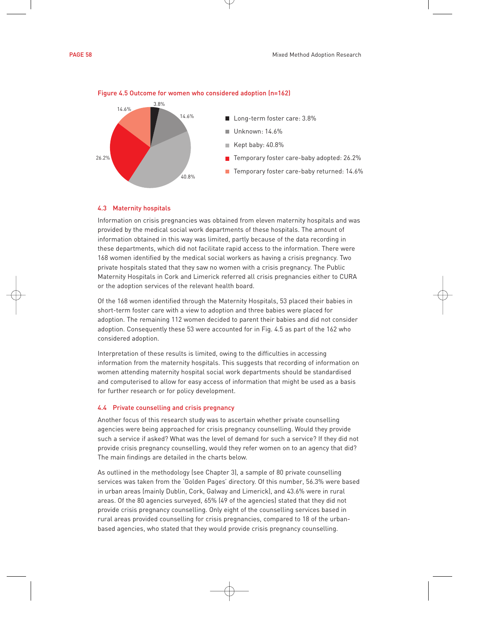



#### Figure 4.5 Outcome for women who considered adoption (n=162)

# 4.3 Maternity hospitals

Information on crisis pregnancies was obtained from eleven maternity hospitals and was provided by the medical social work departments of these hospitals. The amount of information obtained in this way was limited, partly because of the data recording in these departments, which did not facilitate rapid access to the information. There were 168 women identified by the medical social workers as having a crisis pregnancy. Two private hospitals stated that they saw no women with a crisis pregnancy. The Public Maternity Hospitals in Cork and Limerick referred all crisis pregnancies either to CURA or the adoption services of the relevant health board.

Of the 168 women identified through the Maternity Hospitals, 53 placed their babies in short-term foster care with a view to adoption and three babies were placed for adoption. The remaining 112 women decided to parent their babies and did not consider adoption. Consequently these 53 were accounted for in Fig. 4.5 as part of the 162 who considered adoption.

Interpretation of these results is limited, owing to the difficulties in accessing information from the maternity hospitals. This suggests that recording of information on women attending maternity hospital social work departments should be standardised and computerised to allow for easy access of information that might be used as a basis for further research or for policy development.

#### 4.4 Private counselling and crisis pregnancy

Another focus of this research study was to ascertain whether private counselling agencies were being approached for crisis pregnancy counselling. Would they provide such a service if asked? What was the level of demand for such a service? If they did not provide crisis pregnancy counselling, would they refer women on to an agency that did? The main findings are detailed in the charts below.

As outlined in the methodology (see Chapter 3), a sample of 80 private counselling services was taken from the 'Golden Pages' directory. Of this number, 56.3% were based in urban areas (mainly Dublin, Cork, Galway and Limerick), and 43.6% were in rural areas. Of the 80 agencies surveyed, 65% (49 of the agencies) stated that they did not provide crisis pregnancy counselling. Only eight of the counselling services based in rural areas provided counselling for crisis pregnancies, compared to 18 of the urbanbased agencies, who stated that they would provide crisis pregnancy counselling.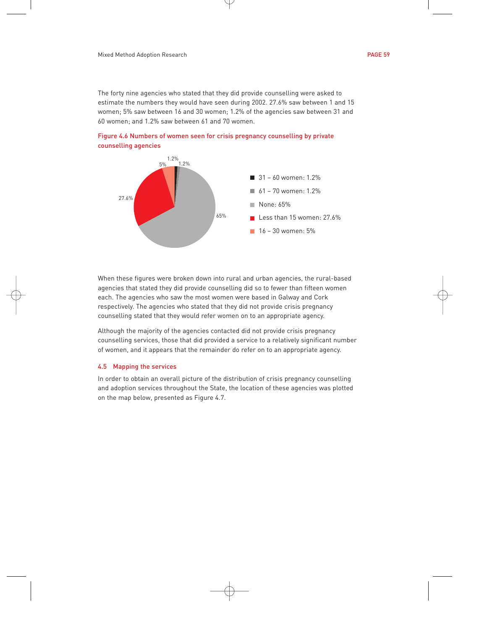The forty nine agencies who stated that they did provide counselling were asked to estimate the numbers they would have seen during 2002. 27.6% saw between 1 and 15 women; 5% saw between 16 and 30 women; 1.2% of the agencies saw between 31 and 60 women; and 1.2% saw between 61 and 70 women.





When these figures were broken down into rural and urban agencies, the rural-based agencies that stated they did provide counselling did so to fewer than fifteen women each. The agencies who saw the most women were based in Galway and Cork respectively. The agencies who stated that they did not provide crisis pregnancy counselling stated that they would refer women on to an appropriate agency.

Although the majority of the agencies contacted did not provide crisis pregnancy counselling services, those that did provided a service to a relatively significant number of women, and it appears that the remainder do refer on to an appropriate agency.

# 4.5 Mapping the services

In order to obtain an overall picture of the distribution of crisis pregnancy counselling and adoption services throughout the State, the location of these agencies was plotted on the map below, presented as Figure 4.7.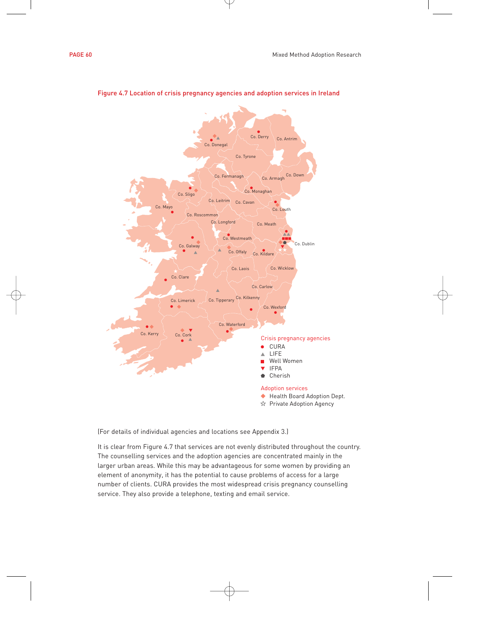



# Figure 4.7 Location of crisis pregnancy agencies and adoption services in Ireland

(For details of individual agencies and locations see Appendix 3.)

It is clear from Figure 4.7 that services are not evenly distributed throughout the country. The counselling services and the adoption agencies are concentrated mainly in the larger urban areas. While this may be advantageous for some women by providing an element of anonymity, it has the potential to cause problems of access for a large number of clients. CURA provides the most widespread crisis pregnancy counselling service. They also provide a telephone, texting and email service.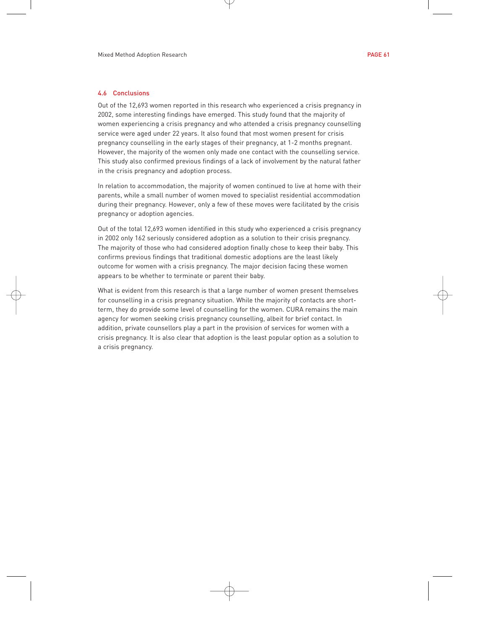# 4.6 Conclusions

Out of the 12,693 women reported in this research who experienced a crisis pregnancy in 2002, some interesting findings have emerged. This study found that the majority of women experiencing a crisis pregnancy and who attended a crisis pregnancy counselling service were aged under 22 years. It also found that most women present for crisis pregnancy counselling in the early stages of their pregnancy, at 1-2 months pregnant. However, the majority of the women only made one contact with the counselling service. This study also confirmed previous findings of a lack of involvement by the natural father in the crisis pregnancy and adoption process.

In relation to accommodation, the majority of women continued to live at home with their parents, while a small number of women moved to specialist residential accommodation during their pregnancy. However, only a few of these moves were facilitated by the crisis pregnancy or adoption agencies.

Out of the total 12,693 women identified in this study who experienced a crisis pregnancy in 2002 only 162 seriously considered adoption as a solution to their crisis pregnancy. The majority of those who had considered adoption finally chose to keep their baby. This confirms previous findings that traditional domestic adoptions are the least likely outcome for women with a crisis pregnancy. The major decision facing these women appears to be whether to terminate or parent their baby.

What is evident from this research is that a large number of women present themselves for counselling in a crisis pregnancy situation. While the majority of contacts are shortterm, they do provide some level of counselling for the women. CURA remains the main agency for women seeking crisis pregnancy counselling, albeit for brief contact. In addition, private counsellors play a part in the provision of services for women with a crisis pregnancy. It is also clear that adoption is the least popular option as a solution to a crisis pregnancy.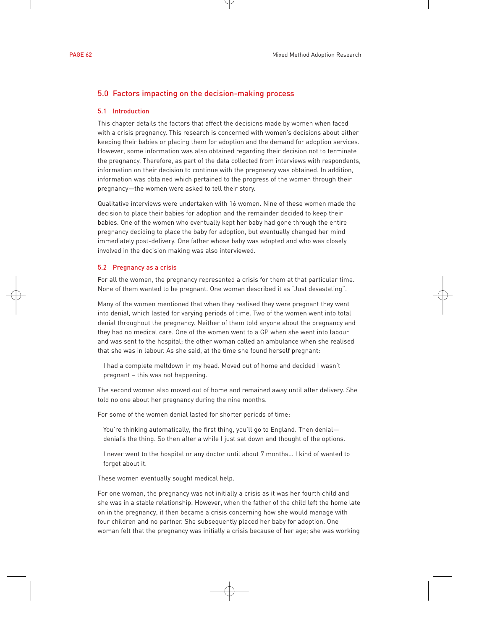# 5.0 Factors impacting on the decision-making process

# 5.1 Introduction

This chapter details the factors that affect the decisions made by women when faced with a crisis pregnancy. This research is concerned with women's decisions about either keeping their babies or placing them for adoption and the demand for adoption services. However, some information was also obtained regarding their decision not to terminate the pregnancy. Therefore, as part of the data collected from interviews with respondents, information on their decision to continue with the pregnancy was obtained. In addition, information was obtained which pertained to the progress of the women through their pregnancy—the women were asked to tell their story.

Qualitative interviews were undertaken with 16 women. Nine of these women made the decision to place their babies for adoption and the remainder decided to keep their babies. One of the women who eventually kept her baby had gone through the entire pregnancy deciding to place the baby for adoption, but eventually changed her mind immediately post-delivery. One father whose baby was adopted and who was closely involved in the decision making was also interviewed.

# 5.2 Pregnancy as a crisis

For all the women, the pregnancy represented a crisis for them at that particular time. None of them wanted to be pregnant. One woman described it as "Just devastating".

Many of the women mentioned that when they realised they were pregnant they went into denial, which lasted for varying periods of time. Two of the women went into total denial throughout the pregnancy. Neither of them told anyone about the pregnancy and they had no medical care. One of the women went to a GP when she went into labour and was sent to the hospital; the other woman called an ambulance when she realised that she was in labour. As she said, at the time she found herself pregnant:

I had a complete meltdown in my head. Moved out of home and decided I wasn't pregnant – this was not happening.

The second woman also moved out of home and remained away until after delivery. She told no one about her pregnancy during the nine months.

For some of the women denial lasted for shorter periods of time:

You're thinking automatically, the first thing, you'll go to England. Then denial denial's the thing. So then after a while I just sat down and thought of the options.

I never went to the hospital or any doctor until about 7 months… I kind of wanted to forget about it.

These women eventually sought medical help.

For one woman, the pregnancy was not initially a crisis as it was her fourth child and she was in a stable relationship. However, when the father of the child left the home late on in the pregnancy, it then became a crisis concerning how she would manage with four children and no partner. She subsequently placed her baby for adoption. One woman felt that the pregnancy was initially a crisis because of her age; she was working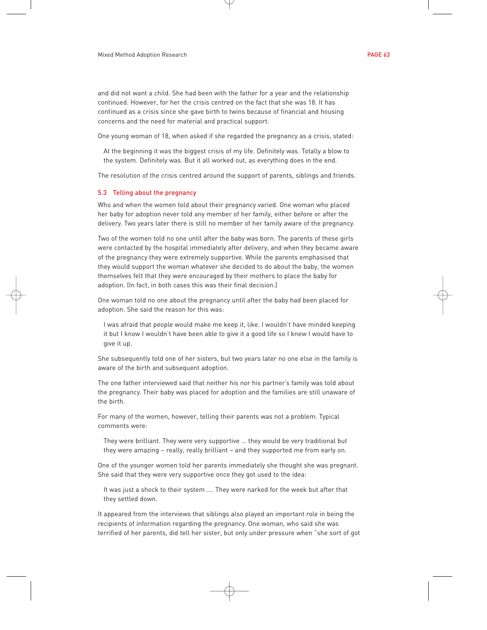and did not want a child. She had been with the father for a year and the relationship continued. However, for her the crisis centred on the fact that she was 18. It has continued as a crisis since she gave birth to twins because of financial and housing concerns and the need for material and practical support.

One young woman of 18, when asked if she regarded the pregnancy as a crisis, stated:

At the beginning it was the biggest crisis of my life. Definitely was. Totally a blow to the system. Definitely was. But it all worked out, as everything does in the end.

The resolution of the crisis centred around the support of parents, siblings and friends.

#### 5.3 Telling about the pregnancy

Who and when the women told about their pregnancy varied. One woman who placed her baby for adoption never told any member of her family, either before or after the delivery. Two years later there is still no member of her family aware of the pregnancy.

Two of the women told no one until after the baby was born. The parents of these girls were contacted by the hospital immediately after delivery, and when they became aware of the pregnancy they were extremely supportive. While the parents emphasised that they would support the woman whatever she decided to do about the baby, the women themselves felt that they were encouraged by their mothers to place the baby for adoption. (In fact, in both cases this was their final decision.)

One woman told no one about the pregnancy until after the baby had been placed for adoption. She said the reason for this was:

I was afraid that people would make me keep it, like. I wouldn't have minded keeping it but I know I wouldn't have been able to give it a good life so I knew I would have to give it up.

She subsequently told one of her sisters, but two years later no one else in the family is aware of the birth and subsequent adoption.

The one father interviewed said that neither his nor his partner's family was told about the pregnancy. Their baby was placed for adoption and the families are still unaware of the birth.

For many of the women, however, telling their parents was not a problem. Typical comments were:

They were brilliant. They were very supportive … they would be very traditional but they were amazing – really, really brilliant – and they supported me from early on.

One of the younger women told her parents immediately she thought she was pregnant. She said that they were very supportive once they got used to the idea:

It was just a shock to their system …. They were narked for the week but after that they settled down.

It appeared from the interviews that siblings also played an important role in being the recipients of information regarding the pregnancy. One woman, who said she was terrified of her parents, did tell her sister, but only under pressure when "she sort of got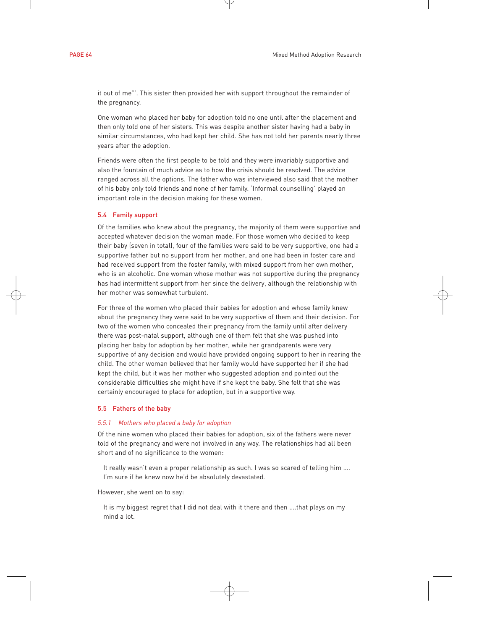it out of me"'. This sister then provided her with support throughout the remainder of the pregnancy.

One woman who placed her baby for adoption told no one until after the placement and then only told one of her sisters. This was despite another sister having had a baby in similar circumstances, who had kept her child. She has not told her parents nearly three years after the adoption.

Friends were often the first people to be told and they were invariably supportive and also the fountain of much advice as to how the crisis should be resolved. The advice ranged across all the options. The father who was interviewed also said that the mother of his baby only told friends and none of her family. 'Informal counselling' played an important role in the decision making for these women.

# 5.4 Family support

Of the families who knew about the pregnancy, the majority of them were supportive and accepted whatever decision the woman made. For those women who decided to keep their baby (seven in total), four of the families were said to be very supportive, one had a supportive father but no support from her mother, and one had been in foster care and had received support from the foster family, with mixed support from her own mother, who is an alcoholic. One woman whose mother was not supportive during the pregnancy has had intermittent support from her since the delivery, although the relationship with her mother was somewhat turbulent.

For three of the women who placed their babies for adoption and whose family knew about the pregnancy they were said to be very supportive of them and their decision. For two of the women who concealed their pregnancy from the family until after delivery there was post-natal support, although one of them felt that she was pushed into placing her baby for adoption by her mother, while her grandparents were very supportive of any decision and would have provided ongoing support to her in rearing the child. The other woman believed that her family would have supported her if she had kept the child, but it was her mother who suggested adoption and pointed out the considerable difficulties she might have if she kept the baby. She felt that she was certainly encouraged to place for adoption, but in a supportive way.

#### 5.5 Fathers of the baby

#### *5.5.1 Mothers who placed a baby for adoption*

Of the nine women who placed their babies for adoption, six of the fathers were never told of the pregnancy and were not involved in any way. The relationships had all been short and of no significance to the women:

It really wasn't even a proper relationship as such. I was so scared of telling him …. I'm sure if he knew now he'd be absolutely devastated.

However, she went on to say:

It is my biggest regret that I did not deal with it there and then ….that plays on my mind a lot.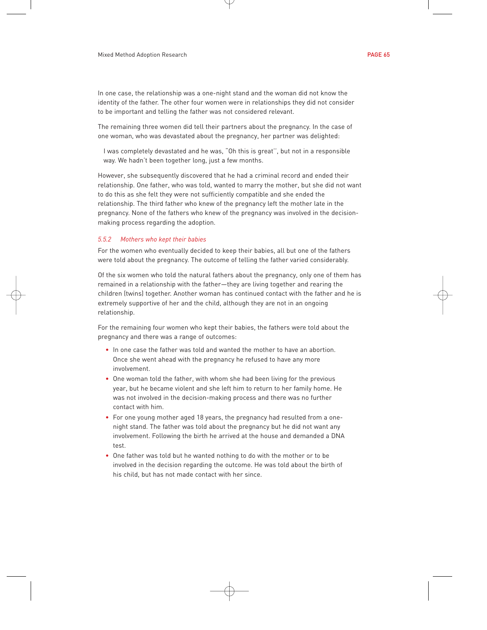In one case, the relationship was a one-night stand and the woman did not know the identity of the father. The other four women were in relationships they did not consider to be important and telling the father was not considered relevant.

The remaining three women did tell their partners about the pregnancy. In the case of one woman, who was devastated about the pregnancy, her partner was delighted:

I was completely devastated and he was, "Oh this is great'', but not in a responsible way. We hadn't been together long, just a few months.

However, she subsequently discovered that he had a criminal record and ended their relationship. One father, who was told, wanted to marry the mother, but she did not want to do this as she felt they were not sufficiently compatible and she ended the relationship. The third father who knew of the pregnancy left the mother late in the pregnancy. None of the fathers who knew of the pregnancy was involved in the decisionmaking process regarding the adoption.

# *5.5.2 Mothers who kept their babies*

For the women who eventually decided to keep their babies, all but one of the fathers were told about the pregnancy. The outcome of telling the father varied considerably.

Of the six women who told the natural fathers about the pregnancy, only one of them has remained in a relationship with the father—they are living together and rearing the children (twins) together. Another woman has continued contact with the father and he is extremely supportive of her and the child, although they are not in an ongoing relationship.

For the remaining four women who kept their babies, the fathers were told about the pregnancy and there was a range of outcomes:

- In one case the father was told and wanted the mother to have an abortion. Once she went ahead with the pregnancy he refused to have any more involvement.
- One woman told the father, with whom she had been living for the previous year, but he became violent and she left him to return to her family home. He was not involved in the decision-making process and there was no further contact with him.
- For one young mother aged 18 years, the pregnancy had resulted from a onenight stand. The father was told about the pregnancy but he did not want any involvement. Following the birth he arrived at the house and demanded a DNA test.
- One father was told but he wanted nothing to do with the mother or to be involved in the decision regarding the outcome. He was told about the birth of his child, but has not made contact with her since.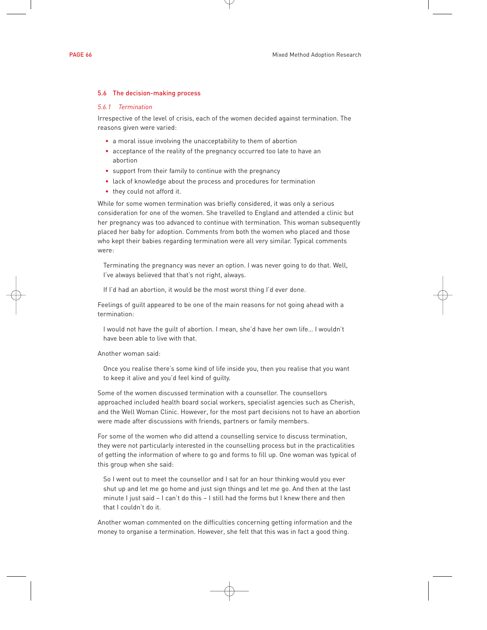# 5.6 The decision-making process

#### *5.6.1 Termination*

Irrespective of the level of crisis, each of the women decided against termination. The reasons given were varied:

- a moral issue involving the unacceptability to them of abortion
- acceptance of the reality of the pregnancy occurred too late to have an abortion
- support from their family to continue with the pregnancy
- lack of knowledge about the process and procedures for termination
- they could not afford it.

While for some women termination was briefly considered, it was only a serious consideration for one of the women. She travelled to England and attended a clinic but her pregnancy was too advanced to continue with termination. This woman subsequently placed her baby for adoption. Comments from both the women who placed and those who kept their babies regarding termination were all very similar. Typical comments were:

Terminating the pregnancy was never an option. I was never going to do that. Well, I've always believed that that's not right, always.

If I'd had an abortion, it would be the most worst thing I'd ever done.

Feelings of guilt appeared to be one of the main reasons for not going ahead with a termination:

I would not have the guilt of abortion. I mean, she'd have her own life… I wouldn't have been able to live with that.

Another woman said:

Once you realise there's some kind of life inside you, then you realise that you want to keep it alive and you'd feel kind of guilty.

Some of the women discussed termination with a counsellor. The counsellors approached included health board social workers, specialist agencies such as Cherish, and the Well Woman Clinic. However, for the most part decisions not to have an abortion were made after discussions with friends, partners or family members.

For some of the women who did attend a counselling service to discuss termination, they were not particularly interested in the counselling process but in the practicalities of getting the information of where to go and forms to fill up. One woman was typical of this group when she said:

So I went out to meet the counsellor and I sat for an hour thinking would you ever shut up and let me go home and just sign things and let me go. And then at the last minute I just said – I can't do this – I still had the forms but I knew there and then that I couldn't do it.

Another woman commented on the difficulties concerning getting information and the money to organise a termination. However, she felt that this was in fact a good thing.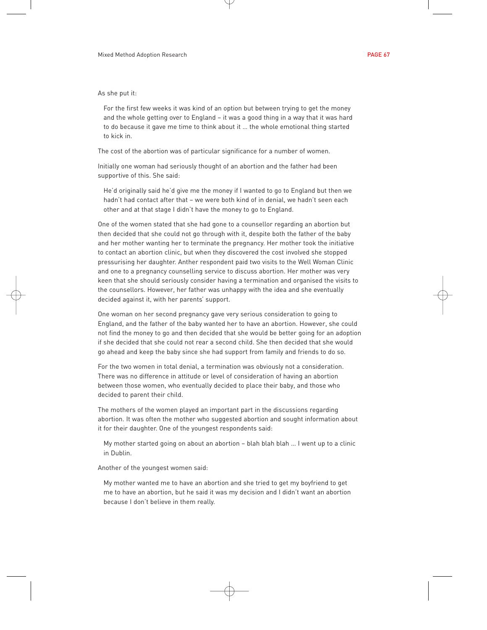As she put it:

For the first few weeks it was kind of an option but between trying to get the money and the whole getting over to England – it was a good thing in a way that it was hard to do because it gave me time to think about it … the whole emotional thing started to kick in.

The cost of the abortion was of particular significance for a number of women.

Initially one woman had seriously thought of an abortion and the father had been supportive of this. She said:

He'd originally said he'd give me the money if I wanted to go to England but then we hadn't had contact after that – we were both kind of in denial, we hadn't seen each other and at that stage I didn't have the money to go to England.

One of the women stated that she had gone to a counsellor regarding an abortion but then decided that she could not go through with it, despite both the father of the baby and her mother wanting her to terminate the pregnancy. Her mother took the initiative to contact an abortion clinic, but when they discovered the cost involved she stopped pressurising her daughter. Anther respondent paid two visits to the Well Woman Clinic and one to a pregnancy counselling service to discuss abortion. Her mother was very keen that she should seriously consider having a termination and organised the visits to the counsellors. However, her father was unhappy with the idea and she eventually decided against it, with her parents' support.

One woman on her second pregnancy gave very serious consideration to going to England, and the father of the baby wanted her to have an abortion. However, she could not find the money to go and then decided that she would be better going for an adoption if she decided that she could not rear a second child. She then decided that she would go ahead and keep the baby since she had support from family and friends to do so.

For the two women in total denial, a termination was obviously not a consideration. There was no difference in attitude or level of consideration of having an abortion between those women, who eventually decided to place their baby, and those who decided to parent their child.

The mothers of the women played an important part in the discussions regarding abortion. It was often the mother who suggested abortion and sought information about it for their daughter. One of the youngest respondents said:

My mother started going on about an abortion – blah blah blah … I went up to a clinic in Dublin.

Another of the youngest women said:

My mother wanted me to have an abortion and she tried to get my boyfriend to get me to have an abortion, but he said it was my decision and I didn't want an abortion because I don't believe in them really.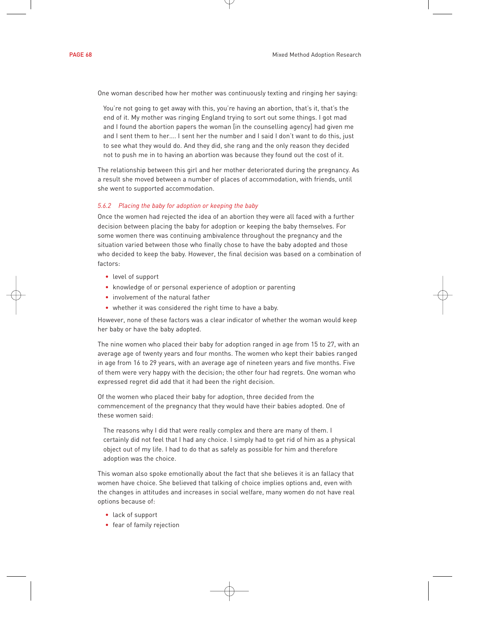One woman described how her mother was continuously texting and ringing her saying:

You're not going to get away with this, you're having an abortion, that's it, that's the end of it. My mother was ringing England trying to sort out some things. I got mad and I found the abortion papers the woman [in the counselling agency] had given me and I sent them to her…. I sent her the number and I said I don't want to do this, just to see what they would do. And they did, she rang and the only reason they decided not to push me in to having an abortion was because they found out the cost of it.

The relationship between this girl and her mother deteriorated during the pregnancy. As a result she moved between a number of places of accommodation, with friends, until she went to supported accommodation.

# *5.6.2 Placing the baby for adoption or keeping the baby*

Once the women had rejected the idea of an abortion they were all faced with a further decision between placing the baby for adoption or keeping the baby themselves. For some women there was continuing ambivalence throughout the pregnancy and the situation varied between those who finally chose to have the baby adopted and those who decided to keep the baby. However, the final decision was based on a combination of factors:

- level of support
- knowledge of or personal experience of adoption or parenting
- involvement of the natural father
- whether it was considered the right time to have a baby.

However, none of these factors was a clear indicator of whether the woman would keep her baby or have the baby adopted.

The nine women who placed their baby for adoption ranged in age from 15 to 27, with an average age of twenty years and four months. The women who kept their babies ranged in age from 16 to 29 years, with an average age of nineteen years and five months. Five of them were very happy with the decision; the other four had regrets. One woman who expressed regret did add that it had been the right decision.

Of the women who placed their baby for adoption, three decided from the commencement of the pregnancy that they would have their babies adopted. One of these women said:

The reasons why I did that were really complex and there are many of them. I certainly did not feel that I had any choice. I simply had to get rid of him as a physical object out of my life. I had to do that as safely as possible for him and therefore adoption was the choice.

This woman also spoke emotionally about the fact that she believes it is an fallacy that women have choice. She believed that talking of choice implies options and, even with the changes in attitudes and increases in social welfare, many women do not have real options because of:

- lack of support
- fear of family rejection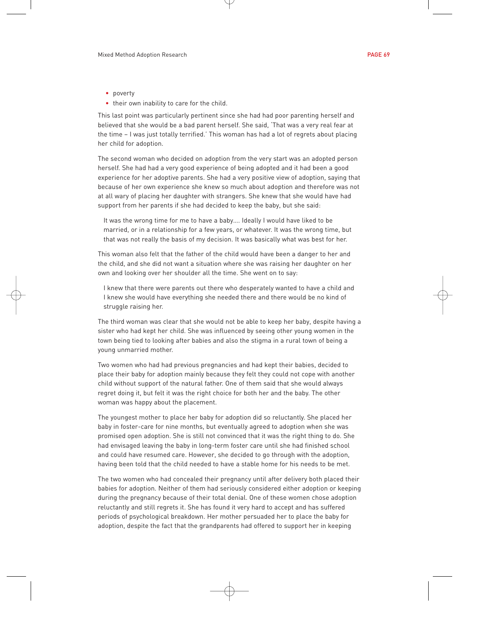- poverty
- their own inability to care for the child.

This last point was particularly pertinent since she had had poor parenting herself and believed that she would be a bad parent herself. She said, 'That was a very real fear at the time – I was just totally terrified.' This woman has had a lot of regrets about placing her child for adoption.

The second woman who decided on adoption from the very start was an adopted person herself. She had had a very good experience of being adopted and it had been a good experience for her adoptive parents. She had a very positive view of adoption, saying that because of her own experience she knew so much about adoption and therefore was not at all wary of placing her daughter with strangers. She knew that she would have had support from her parents if she had decided to keep the baby, but she said:

It was the wrong time for me to have a baby…. Ideally I would have liked to be married, or in a relationship for a few years, or whatever. It was the wrong time, but that was not really the basis of my decision. It was basically what was best for her.

This woman also felt that the father of the child would have been a danger to her and the child, and she did not want a situation where she was raising her daughter on her own and looking over her shoulder all the time. She went on to say:

I knew that there were parents out there who desperately wanted to have a child and I knew she would have everything she needed there and there would be no kind of struggle raising her.

The third woman was clear that she would not be able to keep her baby, despite having a sister who had kept her child. She was influenced by seeing other young women in the town being tied to looking after babies and also the stigma in a rural town of being a young unmarried mother.

Two women who had had previous pregnancies and had kept their babies, decided to place their baby for adoption mainly because they felt they could not cope with another child without support of the natural father. One of them said that she would always regret doing it, but felt it was the right choice for both her and the baby. The other woman was happy about the placement.

The youngest mother to place her baby for adoption did so reluctantly. She placed her baby in foster-care for nine months, but eventually agreed to adoption when she was promised open adoption. She is still not convinced that it was the right thing to do. She had envisaged leaving the baby in long-term foster care until she had finished school and could have resumed care. However, she decided to go through with the adoption, having been told that the child needed to have a stable home for his needs to be met.

The two women who had concealed their pregnancy until after delivery both placed their babies for adoption. Neither of them had seriously considered either adoption or keeping during the pregnancy because of their total denial. One of these women chose adoption reluctantly and still regrets it. She has found it very hard to accept and has suffered periods of psychological breakdown. Her mother persuaded her to place the baby for adoption, despite the fact that the grandparents had offered to support her in keeping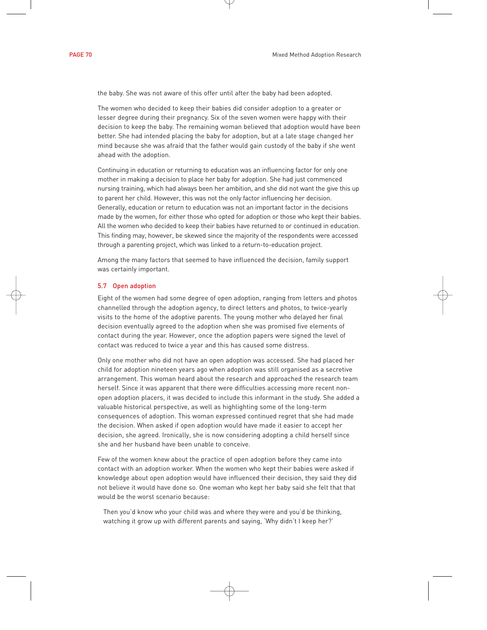the baby. She was not aware of this offer until after the baby had been adopted.

The women who decided to keep their babies did consider adoption to a greater or lesser degree during their pregnancy. Six of the seven women were happy with their decision to keep the baby. The remaining woman believed that adoption would have been better. She had intended placing the baby for adoption, but at a late stage changed her mind because she was afraid that the father would gain custody of the baby if she went ahead with the adoption.

Continuing in education or returning to education was an influencing factor for only one mother in making a decision to place her baby for adoption. She had just commenced nursing training, which had always been her ambition, and she did not want the give this up to parent her child. However, this was not the only factor influencing her decision. Generally, education or return to education was not an important factor in the decisions made by the women, for either those who opted for adoption or those who kept their babies. All the women who decided to keep their babies have returned to or continued in education. This finding may, however, be skewed since the majority of the respondents were accessed through a parenting project, which was linked to a return-to-education project.

Among the many factors that seemed to have influenced the decision, family support was certainly important.

# 5.7 Open adoption

Eight of the women had some degree of open adoption, ranging from letters and photos channelled through the adoption agency, to direct letters and photos, to twice-yearly visits to the home of the adoptive parents. The young mother who delayed her final decision eventually agreed to the adoption when she was promised five elements of contact during the year. However, once the adoption papers were signed the level of contact was reduced to twice a year and this has caused some distress.

Only one mother who did not have an open adoption was accessed. She had placed her child for adoption nineteen years ago when adoption was still organised as a secretive arrangement. This woman heard about the research and approached the research team herself. Since it was apparent that there were difficulties accessing more recent nonopen adoption placers, it was decided to include this informant in the study. She added a valuable historical perspective, as well as highlighting some of the long-term consequences of adoption. This woman expressed continued regret that she had made the decision. When asked if open adoption would have made it easier to accept her decision, she agreed. Ironically, she is now considering adopting a child herself since she and her husband have been unable to conceive.

Few of the women knew about the practice of open adoption before they came into contact with an adoption worker. When the women who kept their babies were asked if knowledge about open adoption would have influenced their decision, they said they did not believe it would have done so. One woman who kept her baby said she felt that that would be the worst scenario because:

Then you'd know who your child was and where they were and you'd be thinking, watching it grow up with different parents and saying, 'Why didn't I keep her?'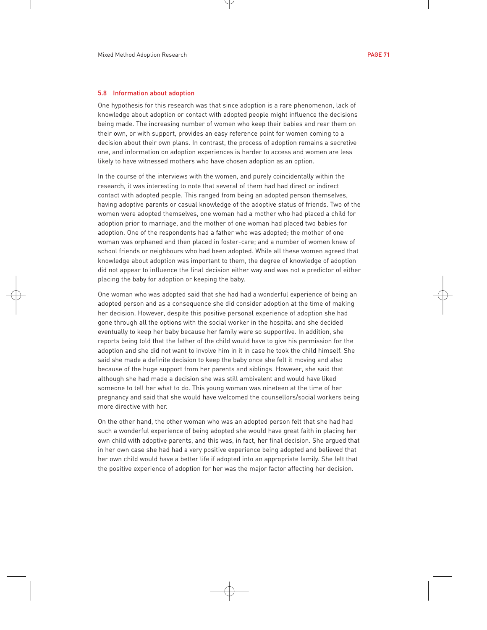#### 5.8 Information about adoption

One hypothesis for this research was that since adoption is a rare phenomenon, lack of knowledge about adoption or contact with adopted people might influence the decisions being made. The increasing number of women who keep their babies and rear them on their own, or with support, provides an easy reference point for women coming to a decision about their own plans. In contrast, the process of adoption remains a secretive one, and information on adoption experiences is harder to access and women are less likely to have witnessed mothers who have chosen adoption as an option.

In the course of the interviews with the women, and purely coincidentally within the research, it was interesting to note that several of them had had direct or indirect contact with adopted people. This ranged from being an adopted person themselves, having adoptive parents or casual knowledge of the adoptive status of friends. Two of the women were adopted themselves, one woman had a mother who had placed a child for adoption prior to marriage, and the mother of one woman had placed two babies for adoption. One of the respondents had a father who was adopted; the mother of one woman was orphaned and then placed in foster-care; and a number of women knew of school friends or neighbours who had been adopted. While all these women agreed that knowledge about adoption was important to them, the degree of knowledge of adoption did not appear to influence the final decision either way and was not a predictor of either placing the baby for adoption or keeping the baby.

One woman who was adopted said that she had had a wonderful experience of being an adopted person and as a consequence she did consider adoption at the time of making her decision. However, despite this positive personal experience of adoption she had gone through all the options with the social worker in the hospital and she decided eventually to keep her baby because her family were so supportive. In addition, she reports being told that the father of the child would have to give his permission for the adoption and she did not want to involve him in it in case he took the child himself. She said she made a definite decision to keep the baby once she felt it moving and also because of the huge support from her parents and siblings. However, she said that although she had made a decision she was still ambivalent and would have liked someone to tell her what to do. This young woman was nineteen at the time of her pregnancy and said that she would have welcomed the counsellors/social workers being more directive with her.

On the other hand, the other woman who was an adopted person felt that she had had such a wonderful experience of being adopted she would have great faith in placing her own child with adoptive parents, and this was, in fact, her final decision. She argued that in her own case she had had a very positive experience being adopted and believed that her own child would have a better life if adopted into an appropriate family. She felt that the positive experience of adoption for her was the major factor affecting her decision.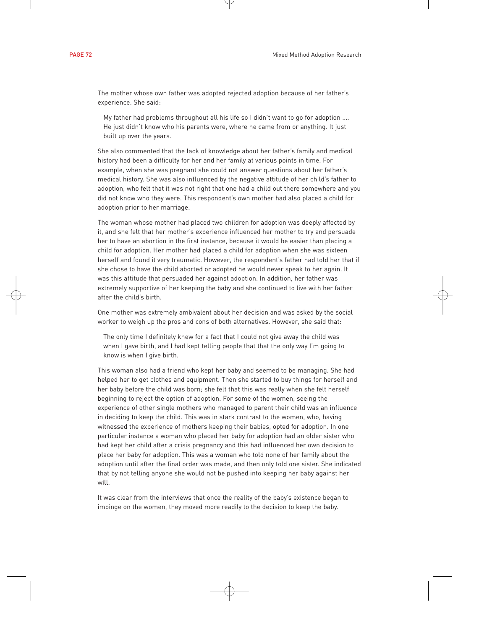The mother whose own father was adopted rejected adoption because of her father's experience. She said:

My father had problems throughout all his life so I didn't want to go for adoption …. He just didn't know who his parents were, where he came from or anything. It just built up over the years.

She also commented that the lack of knowledge about her father's family and medical history had been a difficulty for her and her family at various points in time. For example, when she was pregnant she could not answer questions about her father's medical history. She was also influenced by the negative attitude of her child's father to adoption, who felt that it was not right that one had a child out there somewhere and you did not know who they were. This respondent's own mother had also placed a child for adoption prior to her marriage.

The woman whose mother had placed two children for adoption was deeply affected by it, and she felt that her mother's experience influenced her mother to try and persuade her to have an abortion in the first instance, because it would be easier than placing a child for adoption. Her mother had placed a child for adoption when she was sixteen herself and found it very traumatic. However, the respondent's father had told her that if she chose to have the child aborted or adopted he would never speak to her again. It was this attitude that persuaded her against adoption. In addition, her father was extremely supportive of her keeping the baby and she continued to live with her father after the child's birth.

One mother was extremely ambivalent about her decision and was asked by the social worker to weigh up the pros and cons of both alternatives. However, she said that:

The only time I definitely knew for a fact that I could not give away the child was when I gave birth, and I had kept telling people that that the only way I'm going to know is when I give birth.

This woman also had a friend who kept her baby and seemed to be managing. She had helped her to get clothes and equipment. Then she started to buy things for herself and her baby before the child was born; she felt that this was really when she felt herself beginning to reject the option of adoption. For some of the women, seeing the experience of other single mothers who managed to parent their child was an influence in deciding to keep the child. This was in stark contrast to the women, who, having witnessed the experience of mothers keeping their babies, opted for adoption. In one particular instance a woman who placed her baby for adoption had an older sister who had kept her child after a crisis pregnancy and this had influenced her own decision to place her baby for adoption. This was a woman who told none of her family about the adoption until after the final order was made, and then only told one sister. She indicated that by not telling anyone she would not be pushed into keeping her baby against her will.

It was clear from the interviews that once the reality of the baby's existence began to impinge on the women, they moved more readily to the decision to keep the baby.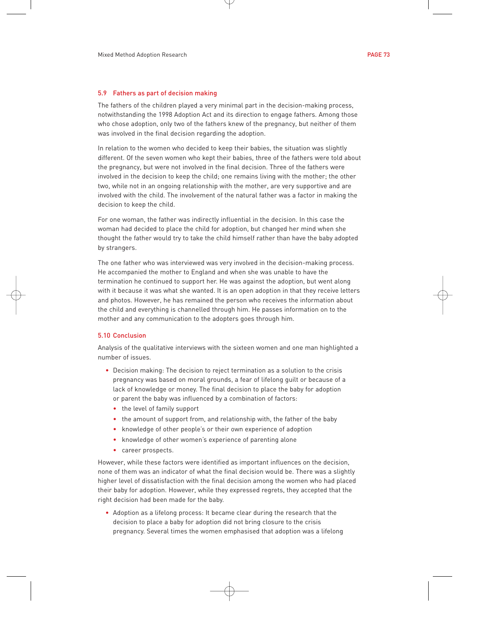### 5.9 Fathers as part of decision making

The fathers of the children played a very minimal part in the decision-making process, notwithstanding the 1998 Adoption Act and its direction to engage fathers. Among those who chose adoption, only two of the fathers knew of the pregnancy, but neither of them was involved in the final decision regarding the adoption.

In relation to the women who decided to keep their babies, the situation was slightly different. Of the seven women who kept their babies, three of the fathers were told about the pregnancy, but were not involved in the final decision. Three of the fathers were involved in the decision to keep the child; one remains living with the mother; the other two, while not in an ongoing relationship with the mother, are very supportive and are involved with the child. The involvement of the natural father was a factor in making the decision to keep the child.

For one woman, the father was indirectly influential in the decision. In this case the woman had decided to place the child for adoption, but changed her mind when she thought the father would try to take the child himself rather than have the baby adopted by strangers.

The one father who was interviewed was very involved in the decision-making process. He accompanied the mother to England and when she was unable to have the termination he continued to support her. He was against the adoption, but went along with it because it was what she wanted. It is an open adoption in that they receive letters and photos. However, he has remained the person who receives the information about the child and everything is channelled through him. He passes information on to the mother and any communication to the adopters goes through him.

## 5.10 Conclusion

Analysis of the qualitative interviews with the sixteen women and one man highlighted a number of issues.

- Decision making: The decision to reject termination as a solution to the crisis pregnancy was based on moral grounds, a fear of lifelong guilt or because of a lack of knowledge or money. The final decision to place the baby for adoption or parent the baby was influenced by a combination of factors:
	- the level of family support
	- the amount of support from, and relationship with, the father of the baby
	- knowledge of other people's or their own experience of adoption
	- knowledge of other women's experience of parenting alone
	- career prospects.

However, while these factors were identified as important influences on the decision, none of them was an indicator of what the final decision would be. There was a slightly higher level of dissatisfaction with the final decision among the women who had placed their baby for adoption. However, while they expressed regrets, they accepted that the right decision had been made for the baby.

• Adoption as a lifelong process: It became clear during the research that the decision to place a baby for adoption did not bring closure to the crisis pregnancy. Several times the women emphasised that adoption was a lifelong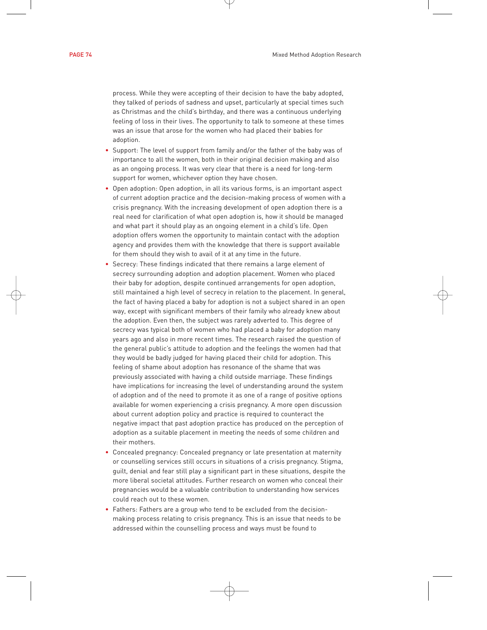process. While they were accepting of their decision to have the baby adopted, they talked of periods of sadness and upset, particularly at special times such as Christmas and the child's birthday, and there was a continuous underlying feeling of loss in their lives. The opportunity to talk to someone at these times was an issue that arose for the women who had placed their babies for adoption.

- Support: The level of support from family and/or the father of the baby was of importance to all the women, both in their original decision making and also as an ongoing process. It was very clear that there is a need for long-term support for women, whichever option they have chosen.
- Open adoption: Open adoption, in all its various forms, is an important aspect of current adoption practice and the decision-making process of women with a crisis pregnancy. With the increasing development of open adoption there is a real need for clarification of what open adoption is, how it should be managed and what part it should play as an ongoing element in a child's life. Open adoption offers women the opportunity to maintain contact with the adoption agency and provides them with the knowledge that there is support available for them should they wish to avail of it at any time in the future.
- Secrecy: These findings indicated that there remains a large element of secrecy surrounding adoption and adoption placement. Women who placed their baby for adoption, despite continued arrangements for open adoption, still maintained a high level of secrecy in relation to the placement. In general, the fact of having placed a baby for adoption is not a subject shared in an open way, except with significant members of their family who already knew about the adoption. Even then, the subject was rarely adverted to. This degree of secrecy was typical both of women who had placed a baby for adoption many years ago and also in more recent times. The research raised the question of the general public's attitude to adoption and the feelings the women had that they would be badly judged for having placed their child for adoption. This feeling of shame about adoption has resonance of the shame that was previously associated with having a child outside marriage. These findings have implications for increasing the level of understanding around the system of adoption and of the need to promote it as one of a range of positive options available for women experiencing a crisis pregnancy. A more open discussion about current adoption policy and practice is required to counteract the negative impact that past adoption practice has produced on the perception of adoption as a suitable placement in meeting the needs of some children and their mothers.
- Concealed pregnancy: Concealed pregnancy or late presentation at maternity or counselling services still occurs in situations of a crisis pregnancy. Stigma, guilt, denial and fear still play a significant part in these situations, despite the more liberal societal attitudes. Further research on women who conceal their pregnancies would be a valuable contribution to understanding how services could reach out to these women.
- Fathers: Fathers are a group who tend to be excluded from the decisionmaking process relating to crisis pregnancy. This is an issue that needs to be addressed within the counselling process and ways must be found to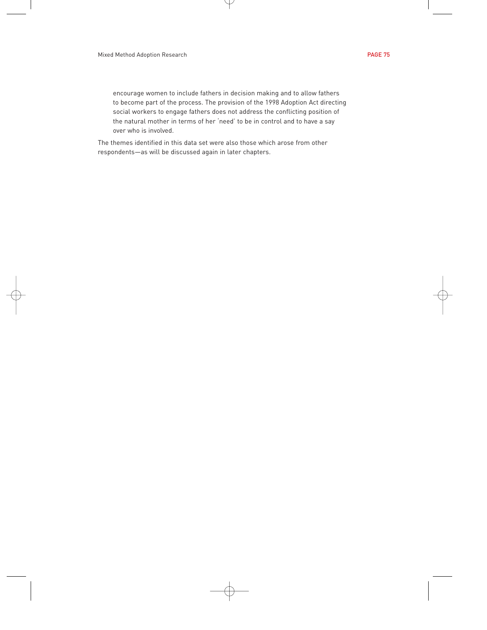encourage women to include fathers in decision making and to allow fathers to become part of the process. The provision of the 1998 Adoption Act directing social workers to engage fathers does not address the conflicting position of the natural mother in terms of her 'need' to be in control and to have a say over who is involved.

The themes identified in this data set were also those which arose from other respondents—as will be discussed again in later chapters.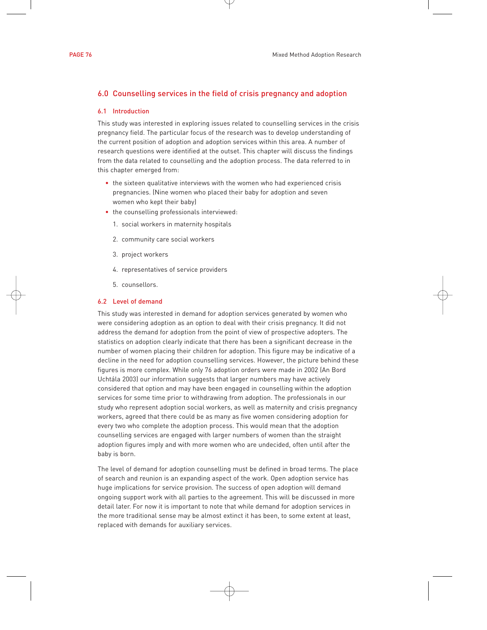# 6.0 Counselling services in the field of crisis pregnancy and adoption

# 6.1 Introduction

This study was interested in exploring issues related to counselling services in the crisis pregnancy field. The particular focus of the research was to develop understanding of the current position of adoption and adoption services within this area. A number of research questions were identified at the outset. This chapter will discuss the findings from the data related to counselling and the adoption process. The data referred to in this chapter emerged from:

- the sixteen qualitative interviews with the women who had experienced crisis pregnancies. (Nine women who placed their baby for adoption and seven women who kept their baby)
- the counselling professionals interviewed:
	- 1. social workers in maternity hospitals
	- 2. community care social workers
	- 3. project workers
	- 4. representatives of service providers
	- 5. counsellors.

# 6.2 Level of demand

This study was interested in demand for adoption services generated by women who were considering adoption as an option to deal with their crisis pregnancy. It did not address the demand for adoption from the point of view of prospective adopters. The statistics on adoption clearly indicate that there has been a significant decrease in the number of women placing their children for adoption. This figure may be indicative of a decline in the need for adoption counselling services. However, the picture behind these figures is more complex. While only 76 adoption orders were made in 2002 (An Bord Uchtála 2003) our information suggests that larger numbers may have actively considered that option and may have been engaged in counselling within the adoption services for some time prior to withdrawing from adoption. The professionals in our study who represent adoption social workers, as well as maternity and crisis pregnancy workers, agreed that there could be as many as five women considering adoption for every two who complete the adoption process. This would mean that the adoption counselling services are engaged with larger numbers of women than the straight adoption figures imply and with more women who are undecided, often until after the baby is born.

The level of demand for adoption counselling must be defined in broad terms. The place of search and reunion is an expanding aspect of the work. Open adoption service has huge implications for service provision. The success of open adoption will demand ongoing support work with all parties to the agreement. This will be discussed in more detail later. For now it is important to note that while demand for adoption services in the more traditional sense may be almost extinct it has been, to some extent at least, replaced with demands for auxiliary services.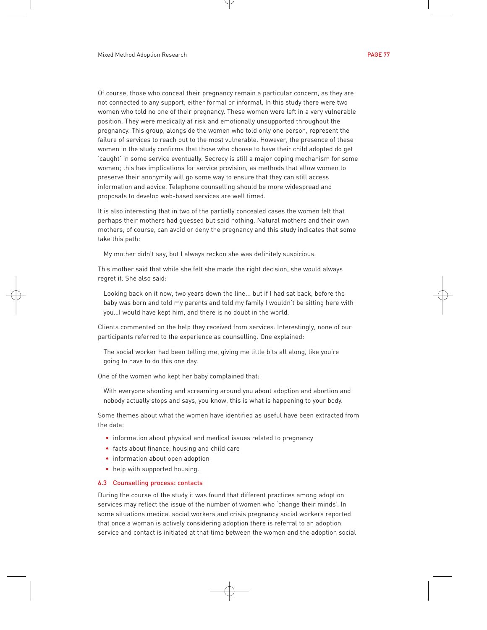Of course, those who conceal their pregnancy remain a particular concern, as they are not connected to any support, either formal or informal. In this study there were two women who told no one of their pregnancy. These women were left in a very vulnerable position. They were medically at risk and emotionally unsupported throughout the pregnancy. This group, alongside the women who told only one person, represent the failure of services to reach out to the most vulnerable. However, the presence of these women in the study confirms that those who choose to have their child adopted do get 'caught' in some service eventually. Secrecy is still a major coping mechanism for some women; this has implications for service provision, as methods that allow women to preserve their anonymity will go some way to ensure that they can still access information and advice. Telephone counselling should be more widespread and proposals to develop web-based services are well timed.

It is also interesting that in two of the partially concealed cases the women felt that perhaps their mothers had guessed but said nothing. Natural mothers and their own mothers, of course, can avoid or deny the pregnancy and this study indicates that some take this path:

My mother didn't say, but I always reckon she was definitely suspicious.

This mother said that while she felt she made the right decision, she would always regret it. She also said:

Looking back on it now, two years down the line... but if I had sat back, before the baby was born and told my parents and told my family I wouldn't be sitting here with you…I would have kept him, and there is no doubt in the world.

Clients commented on the help they received from services. Interestingly, none of our participants referred to the experience as counselling. One explained:

The social worker had been telling me, giving me little bits all along, like you're going to have to do this one day.

One of the women who kept her baby complained that:

With everyone shouting and screaming around you about adoption and abortion and nobody actually stops and says, you know, this is what is happening to your body.

Some themes about what the women have identified as useful have been extracted from the data:

- information about physical and medical issues related to pregnancy
- facts about finance, housing and child care
- information about open adoption
- help with supported housing.

## 6.3 Counselling process: contacts

During the course of the study it was found that different practices among adoption services may reflect the issue of the number of women who 'change their minds'. In some situations medical social workers and crisis pregnancy social workers reported that once a woman is actively considering adoption there is referral to an adoption service and contact is initiated at that time between the women and the adoption social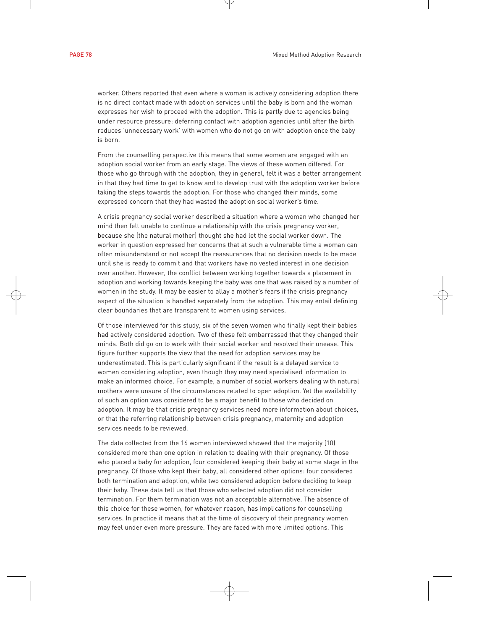worker. Others reported that even where a woman is actively considering adoption there is no direct contact made with adoption services until the baby is born and the woman expresses her wish to proceed with the adoption. This is partly due to agencies being under resource pressure: deferring contact with adoption agencies until after the birth reduces 'unnecessary work' with women who do not go on with adoption once the baby is born.

From the counselling perspective this means that some women are engaged with an adoption social worker from an early stage. The views of these women differed. For those who go through with the adoption, they in general, felt it was a better arrangement in that they had time to get to know and to develop trust with the adoption worker before taking the steps towards the adoption. For those who changed their minds, some expressed concern that they had wasted the adoption social worker's time.

A crisis pregnancy social worker described a situation where a woman who changed her mind then felt unable to continue a relationship with the crisis pregnancy worker, because she (the natural mother) thought she had let the social worker down. The worker in question expressed her concerns that at such a vulnerable time a woman can often misunderstand or not accept the reassurances that no decision needs to be made until she is ready to commit and that workers have no vested interest in one decision over another. However, the conflict between working together towards a placement in adoption and working towards keeping the baby was one that was raised by a number of women in the study. It may be easier to allay a mother's fears if the crisis pregnancy aspect of the situation is handled separately from the adoption. This may entail defining clear boundaries that are transparent to women using services.

Of those interviewed for this study, six of the seven women who finally kept their babies had actively considered adoption. Two of these felt embarrassed that they changed their minds. Both did go on to work with their social worker and resolved their unease. This figure further supports the view that the need for adoption services may be underestimated. This is particularly significant if the result is a delayed service to women considering adoption, even though they may need specialised information to make an informed choice. For example, a number of social workers dealing with natural mothers were unsure of the circumstances related to open adoption. Yet the availability of such an option was considered to be a major benefit to those who decided on adoption. It may be that crisis pregnancy services need more information about choices, or that the referring relationship between crisis pregnancy, maternity and adoption services needs to be reviewed.

The data collected from the 16 women interviewed showed that the majority (10) considered more than one option in relation to dealing with their pregnancy. Of those who placed a baby for adoption, four considered keeping their baby at some stage in the pregnancy. Of those who kept their baby, all considered other options: four considered both termination and adoption, while two considered adoption before deciding to keep their baby. These data tell us that those who selected adoption did not consider termination. For them termination was not an acceptable alternative. The absence of this choice for these women, for whatever reason, has implications for counselling services. In practice it means that at the time of discovery of their pregnancy women may feel under even more pressure. They are faced with more limited options. This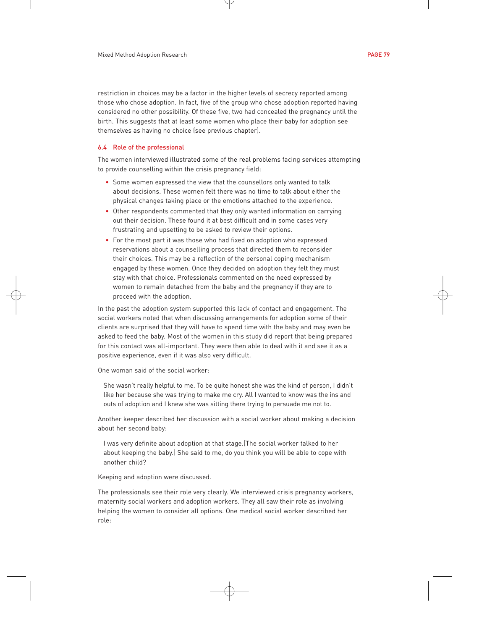restriction in choices may be a factor in the higher levels of secrecy reported among those who chose adoption. In fact, five of the group who chose adoption reported having considered no other possibility. Of these five, two had concealed the pregnancy until the birth. This suggests that at least some women who place their baby for adoption see themselves as having no choice (see previous chapter).

## 6.4 Role of the professional

The women interviewed illustrated some of the real problems facing services attempting to provide counselling within the crisis pregnancy field:

- Some women expressed the view that the counsellors only wanted to talk about decisions. These women felt there was no time to talk about either the physical changes taking place or the emotions attached to the experience.
- Other respondents commented that they only wanted information on carrying out their decision. These found it at best difficult and in some cases very frustrating and upsetting to be asked to review their options.
- For the most part it was those who had fixed on adoption who expressed reservations about a counselling process that directed them to reconsider their choices. This may be a reflection of the personal coping mechanism engaged by these women. Once they decided on adoption they felt they must stay with that choice. Professionals commented on the need expressed by women to remain detached from the baby and the pregnancy if they are to proceed with the adoption.

In the past the adoption system supported this lack of contact and engagement. The social workers noted that when discussing arrangements for adoption some of their clients are surprised that they will have to spend time with the baby and may even be asked to feed the baby. Most of the women in this study did report that being prepared for this contact was all-important. They were then able to deal with it and see it as a positive experience, even if it was also very difficult.

One woman said of the social worker:

She wasn't really helpful to me. To be quite honest she was the kind of person, I didn't like her because she was trying to make me cry. All I wanted to know was the ins and outs of adoption and I knew she was sitting there trying to persuade me not to.

Another keeper described her discussion with a social worker about making a decision about her second baby:

I was very definite about adoption at that stage.[The social worker talked to her about keeping the baby.] She said to me, do you think you will be able to cope with another child?

Keeping and adoption were discussed.

The professionals see their role very clearly. We interviewed crisis pregnancy workers, maternity social workers and adoption workers. They all saw their role as involving helping the women to consider all options. One medical social worker described her role: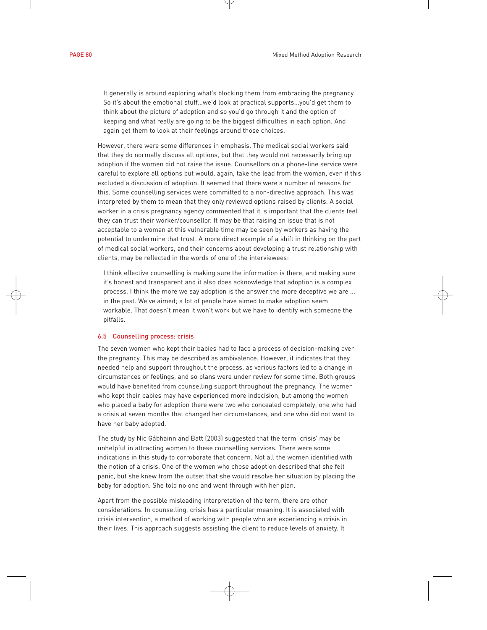It generally is around exploring what's blocking them from embracing the pregnancy. So it's about the emotional stuff…we'd look at practical supports...you'd get them to think about the picture of adoption and so you'd go through it and the option of keeping and what really are going to be the biggest difficulties in each option. And again get them to look at their feelings around those choices.

However, there were some differences in emphasis. The medical social workers said that they do normally discuss all options, but that they would not necessarily bring up adoption if the women did not raise the issue. Counsellors on a phone-line service were careful to explore all options but would, again, take the lead from the woman, even if this excluded a discussion of adoption. It seemed that there were a number of reasons for this. Some counselling services were committed to a non-directive approach. This was interpreted by them to mean that they only reviewed options raised by clients. A social worker in a crisis pregnancy agency commented that it is important that the clients feel they can trust their worker/counsellor. It may be that raising an issue that is not acceptable to a woman at this vulnerable time may be seen by workers as having the potential to undermine that trust. A more direct example of a shift in thinking on the part of medical social workers, and their concerns about developing a trust relationship with clients, may be reflected in the words of one of the interviewees:

I think effective counselling is making sure the information is there, and making sure it's honest and transparent and it also does acknowledge that adoption is a complex process. I think the more we say adoption is the answer the more deceptive we are … in the past. We've aimed; a lot of people have aimed to make adoption seem workable. That doesn't mean it won't work but we have to identify with someone the pitfalls.

#### 6.5 Counselling process: crisis

The seven women who kept their babies had to face a process of decision-making over the pregnancy. This may be described as ambivalence. However, it indicates that they needed help and support throughout the process, as various factors led to a change in circumstances or feelings, and so plans were under review for some time. Both groups would have benefited from counselling support throughout the pregnancy. The women who kept their babies may have experienced more indecision, but among the women who placed a baby for adoption there were two who concealed completely, one who had a crisis at seven months that changed her circumstances, and one who did not want to have her baby adopted.

The study by Nic Gábhainn and Batt (2003) suggested that the term 'crisis' may be unhelpful in attracting women to these counselling services. There were some indications in this study to corroborate that concern. Not all the women identified with the notion of a crisis. One of the women who chose adoption described that she felt panic, but she knew from the outset that she would resolve her situation by placing the baby for adoption. She told no one and went through with her plan.

Apart from the possible misleading interpretation of the term, there are other considerations. In counselling, crisis has a particular meaning. It is associated with crisis intervention, a method of working with people who are experiencing a crisis in their lives. This approach suggests assisting the client to reduce levels of anxiety. It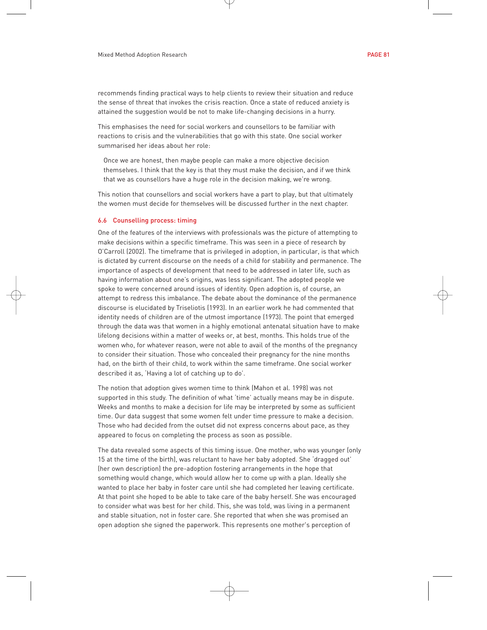recommends finding practical ways to help clients to review their situation and reduce the sense of threat that invokes the crisis reaction. Once a state of reduced anxiety is attained the suggestion would be not to make life-changing decisions in a hurry.

This emphasises the need for social workers and counsellors to be familiar with reactions to crisis and the vulnerabilities that go with this state. One social worker summarised her ideas about her role:

Once we are honest, then maybe people can make a more objective decision themselves. I think that the key is that they must make the decision, and if we think that we as counsellors have a huge role in the decision making, we're wrong.

This notion that counsellors and social workers have a part to play, but that ultimately the women must decide for themselves will be discussed further in the next chapter.

#### 6.6 Counselling process: timing

One of the features of the interviews with professionals was the picture of attempting to make decisions within a specific timeframe. This was seen in a piece of research by O'Carroll (2002). The timeframe that is privileged in adoption, in particular, is that which is dictated by current discourse on the needs of a child for stability and permanence. The importance of aspects of development that need to be addressed in later life, such as having information about one's origins, was less significant. The adopted people we spoke to were concerned around issues of identity. Open adoption is, of course, an attempt to redress this imbalance. The debate about the dominance of the permanence discourse is elucidated by Triseliotis (1993). In an earlier work he had commented that identity needs of children are of the utmost importance (1973). The point that emerged through the data was that women in a highly emotional antenatal situation have to make lifelong decisions within a matter of weeks or, at best, months. This holds true of the women who, for whatever reason, were not able to avail of the months of the pregnancy to consider their situation. Those who concealed their pregnancy for the nine months had, on the birth of their child, to work within the same timeframe. One social worker described it as, 'Having a lot of catching up to do'.

The notion that adoption gives women time to think (Mahon et al. 1998) was not supported in this study. The definition of what 'time' actually means may be in dispute. Weeks and months to make a decision for life may be interpreted by some as sufficient time. Our data suggest that some women felt under time pressure to make a decision. Those who had decided from the outset did not express concerns about pace, as they appeared to focus on completing the process as soon as possible.

The data revealed some aspects of this timing issue. One mother, who was younger (only 15 at the time of the birth), was reluctant to have her baby adopted. She 'dragged out' (her own description) the pre-adoption fostering arrangements in the hope that something would change, which would allow her to come up with a plan. Ideally she wanted to place her baby in foster care until she had completed her leaving certificate. At that point she hoped to be able to take care of the baby herself. She was encouraged to consider what was best for her child. This, she was told, was living in a permanent and stable situation, not in foster care. She reported that when she was promised an open adoption she signed the paperwork. This represents one mother's perception of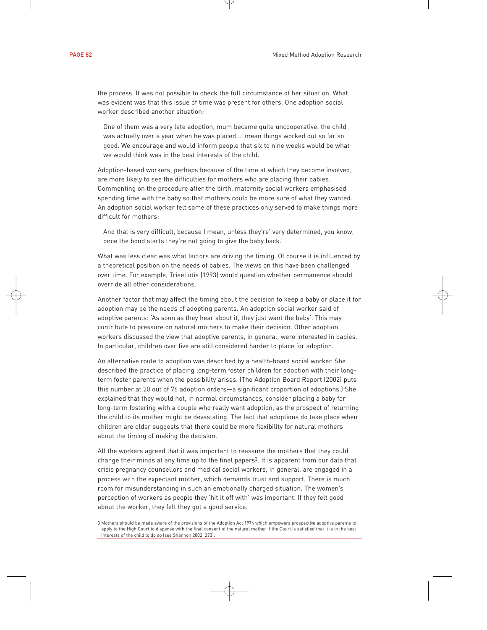the process. It was not possible to check the full circumstance of her situation. What was evident was that this issue of time was present for others. One adoption social worker described another situation:

One of them was a very late adoption, mum became quite uncooperative, the child was actually over a year when he was placed…I mean things worked out so far so good. We encourage and would inform people that six to nine weeks would be what we would think was in the best interests of the child.

Adoption-based workers, perhaps because of the time at which they become involved, are more likely to see the difficulties for mothers who are placing their babies. Commenting on the procedure after the birth, maternity social workers emphasised spending time with the baby so that mothers could be more sure of what they wanted. An adoption social worker felt some of these practices only served to make things more difficult for mothers:

And that is very difficult, because I mean, unless they're' very determined, you know, once the bond starts they're not going to give the baby back.

What was less clear was what factors are driving the timing. Of course it is influenced by a theoretical position on the needs of babies. The views on this have been challenged over time. For example, Triseliotis (1993) would question whether permanence should override all other considerations.

Another factor that may affect the timing about the decision to keep a baby or place it for adoption may be the needs of adopting parents. An adoption social worker said of adoptive parents: 'As soon as they hear about it, they just want the baby'. This may contribute to pressure on natural mothers to make their decision. Other adoption workers discussed the view that adoptive parents, in general, were interested in babies. In particular, children over five are still considered harder to place for adoption.

An alternative route to adoption was described by a health-board social worker. She described the practice of placing long-term foster children for adoption with their longterm foster parents when the possibility arises. (The Adoption Board Report (2002) puts this number at 20 out of 76 adoption orders—a significant proportion of adoptions.) She explained that they would not, in normal circumstances, consider placing a baby for long-term fostering with a couple who really want adoption, as the prospect of returning the child to its mother might be devastating. The fact that adoptions do take place when children are older suggests that there could be more flexibility for natural mothers about the timing of making the decision.

All the workers agreed that it was important to reassure the mothers that they could change their minds at any time up to the final papers<sup>3</sup>. It is apparent from our data that crisis pregnancy counsellors and medical social workers, in general, are engaged in a process with the expectant mother, which demands trust and support. There is much room for misunderstanding in such an emotionally charged situation. The women's perception of workers as people they 'hit it off with' was important. If they felt good about the worker, they felt they got a good service.

<sup>3</sup> Mothers should be made aware of the provisions of the Adoption Act 1974 which empowers prospective adoptive parents to apply to the High Court to dispense with the final consent of the natural mother if the Court is satisfied that it is in the best interests of the child to do so (see Shannon 2002: 293).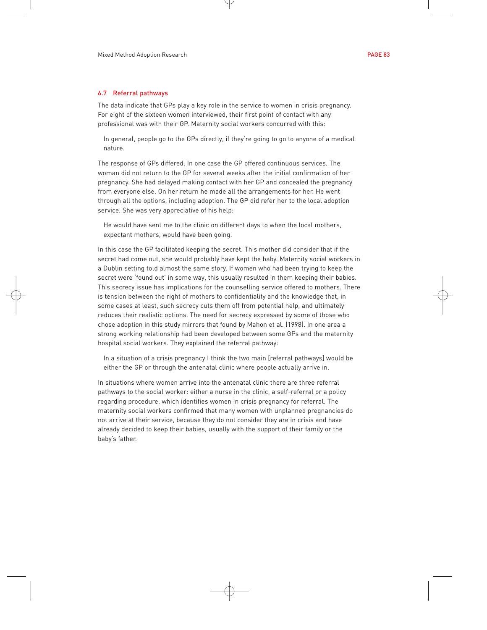### 6.7 Referral pathways

The data indicate that GPs play a key role in the service to women in crisis pregnancy. For eight of the sixteen women interviewed, their first point of contact with any professional was with their GP. Maternity social workers concurred with this:

In general, people go to the GPs directly, if they're going to go to anyone of a medical nature.

The response of GPs differed. In one case the GP offered continuous services. The woman did not return to the GP for several weeks after the initial confirmation of her pregnancy. She had delayed making contact with her GP and concealed the pregnancy from everyone else. On her return he made all the arrangements for her. He went through all the options, including adoption. The GP did refer her to the local adoption service. She was very appreciative of his help:

He would have sent me to the clinic on different days to when the local mothers, expectant mothers, would have been going.

In this case the GP facilitated keeping the secret. This mother did consider that if the secret had come out, she would probably have kept the baby. Maternity social workers in a Dublin setting told almost the same story. If women who had been trying to keep the secret were 'found out' in some way, this usually resulted in them keeping their babies. This secrecy issue has implications for the counselling service offered to mothers. There is tension between the right of mothers to confidentiality and the knowledge that, in some cases at least, such secrecy cuts them off from potential help, and ultimately reduces their realistic options. The need for secrecy expressed by some of those who chose adoption in this study mirrors that found by Mahon et al. (1998). In one area a strong working relationship had been developed between some GPs and the maternity hospital social workers. They explained the referral pathway:

In a situation of a crisis pregnancy I think the two main [referral pathways] would be either the GP or through the antenatal clinic where people actually arrive in.

In situations where women arrive into the antenatal clinic there are three referral pathways to the social worker: either a nurse in the clinic, a self-referral or a policy regarding procedure, which identifies women in crisis pregnancy for referral. The maternity social workers confirmed that many women with unplanned pregnancies do not arrive at their service, because they do not consider they are in crisis and have already decided to keep their babies, usually with the support of their family or the baby's father.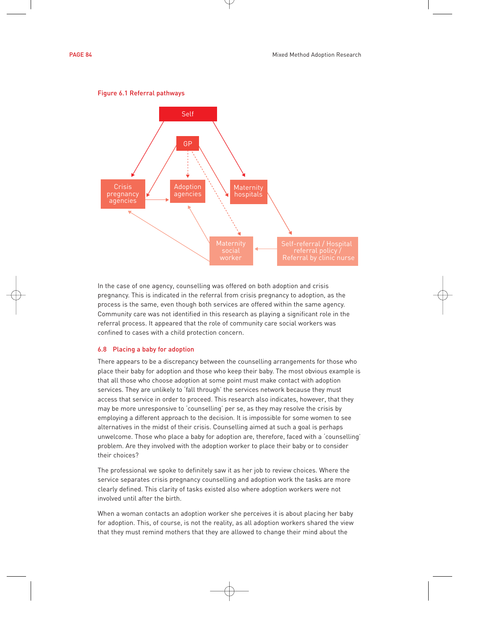



#### Figure 6.1 Referral pathways

In the case of one agency, counselling was offered on both adoption and crisis pregnancy. This is indicated in the referral from crisis pregnancy to adoption, as the process is the same, even though both services are offered within the same agency. Community care was not identified in this research as playing a significant role in the referral process. It appeared that the role of community care social workers was confined to cases with a child protection concern.

#### 6.8 Placing a baby for adoption

There appears to be a discrepancy between the counselling arrangements for those who place their baby for adoption and those who keep their baby. The most obvious example is that all those who choose adoption at some point must make contact with adoption services. They are unlikely to 'fall through' the services network because they must access that service in order to proceed. This research also indicates, however, that they may be more unresponsive to 'counselling' per se, as they may resolve the crisis by employing a different approach to the decision. It is impossible for some women to see alternatives in the midst of their crisis. Counselling aimed at such a goal is perhaps unwelcome. Those who place a baby for adoption are, therefore, faced with a 'counselling' problem. Are they involved with the adoption worker to place their baby or to consider their choices?

The professional we spoke to definitely saw it as her job to review choices. Where the service separates crisis pregnancy counselling and adoption work the tasks are more clearly defined. This clarity of tasks existed also where adoption workers were not involved until after the birth.

When a woman contacts an adoption worker she perceives it is about placing her baby for adoption. This, of course, is not the reality, as all adoption workers shared the view that they must remind mothers that they are allowed to change their mind about the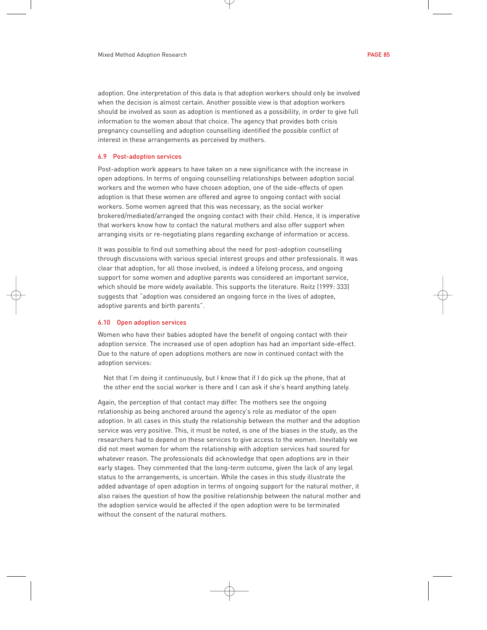adoption. One interpretation of this data is that adoption workers should only be involved when the decision is almost certain. Another possible view is that adoption workers should be involved as soon as adoption is mentioned as a possibility, in order to give full information to the women about that choice. The agency that provides both crisis pregnancy counselling and adoption counselling identified the possible conflict of interest in these arrangements as perceived by mothers.

# 6.9 Post-adoption services

Post-adoption work appears to have taken on a new significance with the increase in open adoptions. In terms of ongoing counselling relationships between adoption social workers and the women who have chosen adoption, one of the side-effects of open adoption is that these women are offered and agree to ongoing contact with social workers. Some women agreed that this was necessary, as the social worker brokered/mediated/arranged the ongoing contact with their child. Hence, it is imperative that workers know how to contact the natural mothers and also offer support when arranging visits or re-negotiating plans regarding exchange of information or access.

It was possible to find out something about the need for post-adoption counselling through discussions with various special interest groups and other professionals. It was clear that adoption, for all those involved, is indeed a lifelong process, and ongoing support for some women and adoptive parents was considered an important service, which should be more widely available. This supports the literature. Reitz (1999: 333) suggests that "adoption was considered an ongoing force in the lives of adoptee, adoptive parents and birth parents".

## 6.10 Open adoption services

Women who have their babies adopted have the benefit of ongoing contact with their adoption service. The increased use of open adoption has had an important side-effect. Due to the nature of open adoptions mothers are now in continued contact with the adoption services:

Not that I'm doing it continuously, but I know that if I do pick up the phone, that at the other end the social worker is there and I can ask if she's heard anything lately.

Again, the perception of that contact may differ. The mothers see the ongoing relationship as being anchored around the agency's role as mediator of the open adoption. In all cases in this study the relationship between the mother and the adoption service was very positive. This, it must be noted, is one of the biases in the study, as the researchers had to depend on these services to give access to the women. Inevitably we did not meet women for whom the relationship with adoption services had soured for whatever reason. The professionals did acknowledge that open adoptions are in their early stages. They commented that the long-term outcome, given the lack of any legal status to the arrangements, is uncertain. While the cases in this study illustrate the added advantage of open adoption in terms of ongoing support for the natural mother, it also raises the question of how the positive relationship between the natural mother and the adoption service would be affected if the open adoption were to be terminated without the consent of the natural mothers.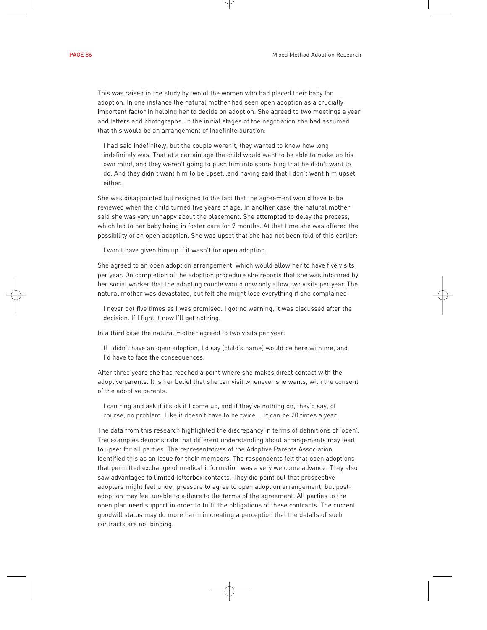This was raised in the study by two of the women who had placed their baby for adoption. In one instance the natural mother had seen open adoption as a crucially important factor in helping her to decide on adoption. She agreed to two meetings a year and letters and photographs. In the initial stages of the negotiation she had assumed that this would be an arrangement of indefinite duration:

I had said indefinitely, but the couple weren't, they wanted to know how long indefinitely was. That at a certain age the child would want to be able to make up his own mind, and they weren't going to push him into something that he didn't want to do. And they didn't want him to be upset…and having said that I don't want him upset either.

She was disappointed but resigned to the fact that the agreement would have to be reviewed when the child turned five years of age. In another case, the natural mother said she was very unhappy about the placement. She attempted to delay the process, which led to her baby being in foster care for 9 months. At that time she was offered the possibility of an open adoption. She was upset that she had not been told of this earlier:

I won't have given him up if it wasn't for open adoption.

She agreed to an open adoption arrangement, which would allow her to have five visits per year. On completion of the adoption procedure she reports that she was informed by her social worker that the adopting couple would now only allow two visits per year. The natural mother was devastated, but felt she might lose everything if she complained:

I never got five times as I was promised. I got no warning, it was discussed after the decision. If I fight it now I'll get nothing.

In a third case the natural mother agreed to two visits per year:

If I didn't have an open adoption, I'd say [child's name] would be here with me, and I'd have to face the consequences.

After three years she has reached a point where she makes direct contact with the adoptive parents. It is her belief that she can visit whenever she wants, with the consent of the adoptive parents.

I can ring and ask if it's ok if I come up, and if they've nothing on, they'd say, of course, no problem. Like it doesn't have to be twice … it can be 20 times a year.

The data from this research highlighted the discrepancy in terms of definitions of 'open'. The examples demonstrate that different understanding about arrangements may lead to upset for all parties. The representatives of the Adoptive Parents Association identified this as an issue for their members. The respondents felt that open adoptions that permitted exchange of medical information was a very welcome advance. They also saw advantages to limited letterbox contacts. They did point out that prospective adopters might feel under pressure to agree to open adoption arrangement, but postadoption may feel unable to adhere to the terms of the agreement. All parties to the open plan need support in order to fulfil the obligations of these contracts. The current goodwill status may do more harm in creating a perception that the details of such contracts are not binding.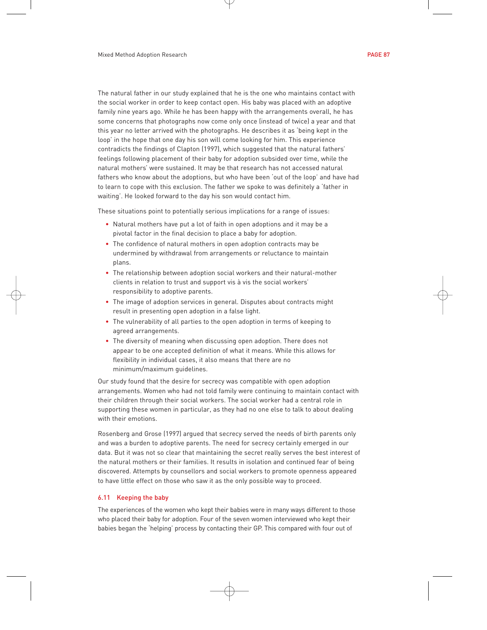The natural father in our study explained that he is the one who maintains contact with the social worker in order to keep contact open. His baby was placed with an adoptive family nine years ago. While he has been happy with the arrangements overall, he has some concerns that photographs now come only once (instead of twice) a year and that this year no letter arrived with the photographs. He describes it as 'being kept in the loop' in the hope that one day his son will come looking for him. This experience contradicts the findings of Clapton (1997), which suggested that the natural fathers' feelings following placement of their baby for adoption subsided over time, while the natural mothers' were sustained. It may be that research has not accessed natural fathers who know about the adoptions, but who have been 'out of the loop' and have had to learn to cope with this exclusion. The father we spoke to was definitely a 'father in waiting'. He looked forward to the day his son would contact him.

These situations point to potentially serious implications for a range of issues:

- Natural mothers have put a lot of faith in open adoptions and it may be a pivotal factor in the final decision to place a baby for adoption.
- The confidence of natural mothers in open adoption contracts may be undermined by withdrawal from arrangements or reluctance to maintain plans.
- The relationship between adoption social workers and their natural-mother clients in relation to trust and support vis à vis the social workers' responsibility to adoptive parents.
- The image of adoption services in general. Disputes about contracts might result in presenting open adoption in a false light.
- The vulnerability of all parties to the open adoption in terms of keeping to agreed arrangements.
- The diversity of meaning when discussing open adoption. There does not appear to be one accepted definition of what it means. While this allows for flexibility in individual cases, it also means that there are no minimum/maximum guidelines.

Our study found that the desire for secrecy was compatible with open adoption arrangements. Women who had not told family were continuing to maintain contact with their children through their social workers. The social worker had a central role in supporting these women in particular, as they had no one else to talk to about dealing with their emotions.

Rosenberg and Grose (1997) argued that secrecy served the needs of birth parents only and was a burden to adoptive parents. The need for secrecy certainly emerged in our data. But it was not so clear that maintaining the secret really serves the best interest of the natural mothers or their families. It results in isolation and continued fear of being discovered. Attempts by counsellors and social workers to promote openness appeared to have little effect on those who saw it as the only possible way to proceed.

# 6.11 Keeping the baby

The experiences of the women who kept their babies were in many ways different to those who placed their baby for adoption. Four of the seven women interviewed who kept their babies began the 'helping' process by contacting their GP. This compared with four out of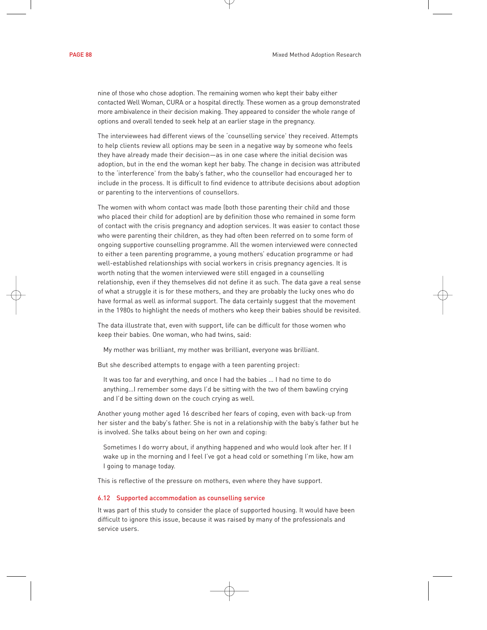nine of those who chose adoption. The remaining women who kept their baby either contacted Well Woman, CURA or a hospital directly. These women as a group demonstrated more ambivalence in their decision making. They appeared to consider the whole range of options and overall tended to seek help at an earlier stage in the pregnancy.

The interviewees had different views of the 'counselling service' they received. Attempts to help clients review all options may be seen in a negative way by someone who feels they have already made their decision—as in one case where the initial decision was adoption, but in the end the woman kept her baby. The change in decision was attributed to the 'interference' from the baby's father, who the counsellor had encouraged her to include in the process. It is difficult to find evidence to attribute decisions about adoption or parenting to the interventions of counsellors.

The women with whom contact was made (both those parenting their child and those who placed their child for adoption) are by definition those who remained in some form of contact with the crisis pregnancy and adoption services. It was easier to contact those who were parenting their children, as they had often been referred on to some form of ongoing supportive counselling programme. All the women interviewed were connected to either a teen parenting programme, a young mothers' education programme or had well-established relationships with social workers in crisis pregnancy agencies. It is worth noting that the women interviewed were still engaged in a counselling relationship, even if they themselves did not define it as such. The data gave a real sense of what a struggle it is for these mothers, and they are probably the lucky ones who do have formal as well as informal support. The data certainly suggest that the movement in the 1980s to highlight the needs of mothers who keep their babies should be revisited.

The data illustrate that, even with support, life can be difficult for those women who keep their babies. One woman, who had twins, said:

My mother was brilliant, my mother was brilliant, everyone was brilliant.

But she described attempts to engage with a teen parenting project:

It was too far and everything, and once I had the babies … I had no time to do anything…I remember some days I'd be sitting with the two of them bawling crying and I'd be sitting down on the couch crying as well.

Another young mother aged 16 described her fears of coping, even with back-up from her sister and the baby's father. She is not in a relationship with the baby's father but he is involved. She talks about being on her own and coping:

Sometimes I do worry about, if anything happened and who would look after her. If I wake up in the morning and I feel I've got a head cold or something I'm like, how am I going to manage today.

This is reflective of the pressure on mothers, even where they have support.

#### 6.12 Supported accommodation as counselling service

It was part of this study to consider the place of supported housing. It would have been difficult to ignore this issue, because it was raised by many of the professionals and service users.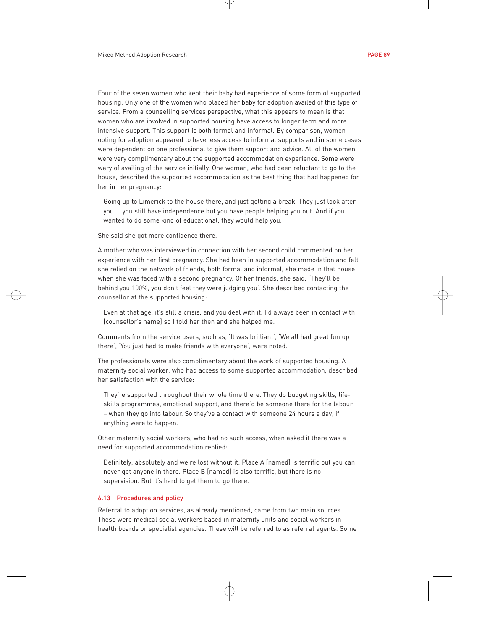Four of the seven women who kept their baby had experience of some form of supported housing. Only one of the women who placed her baby for adoption availed of this type of service. From a counselling services perspective, what this appears to mean is that women who are involved in supported housing have access to longer term and more intensive support. This support is both formal and informal. By comparison, women opting for adoption appeared to have less access to informal supports and in some cases were dependent on one professional to give them support and advice. All of the women were very complimentary about the supported accommodation experience. Some were wary of availing of the service initially. One woman, who had been reluctant to go to the house, described the supported accommodation as the best thing that had happened for her in her pregnancy:

Going up to Limerick to the house there, and just getting a break. They just look after you … you still have independence but you have people helping you out. And if you wanted to do some kind of educational, they would help you.

She said she got more confidence there.

A mother who was interviewed in connection with her second child commented on her experience with her first pregnancy. She had been in supported accommodation and felt she relied on the network of friends, both formal and informal, she made in that house when she was faced with a second pregnancy. Of her friends, she said, "They'll be behind you 100%, you don't feel they were judging you'. She described contacting the counsellor at the supported housing:

Even at that age, it's still a crisis, and you deal with it. I'd always been in contact with [counsellor's name] so I told her then and she helped me.

Comments from the service users, such as, 'It was brilliant', 'We all had great fun up there', 'You just had to make friends with everyone', were noted.

The professionals were also complimentary about the work of supported housing. A maternity social worker, who had access to some supported accommodation, described her satisfaction with the service:

They're supported throughout their whole time there. They do budgeting skills, lifeskills programmes, emotional support, and there'd be someone there for the labour – when they go into labour. So they've a contact with someone 24 hours a day, if anything were to happen.

Other maternity social workers, who had no such access, when asked if there was a need for supported accommodation replied:

Definitely, absolutely and we're lost without it. Place A [named] is terrific but you can never get anyone in there. Place B [named] is also terrific, but there is no supervision. But it's hard to get them to go there.

### 6.13 Procedures and policy

Referral to adoption services, as already mentioned, came from two main sources. These were medical social workers based in maternity units and social workers in health boards or specialist agencies. These will be referred to as referral agents. Some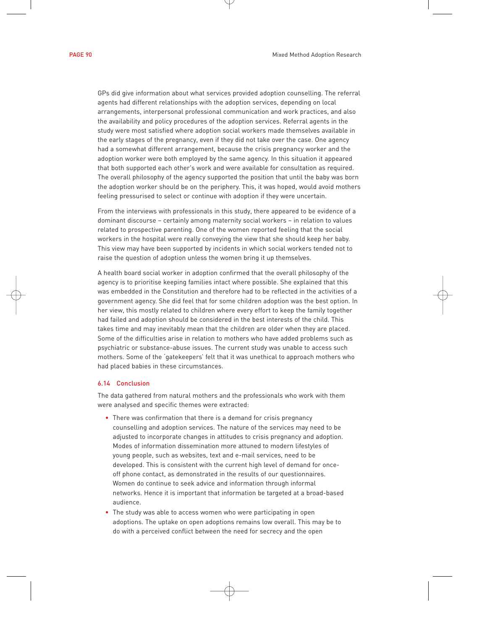GPs did give information about what services provided adoption counselling. The referral agents had different relationships with the adoption services, depending on local arrangements, interpersonal professional communication and work practices, and also the availability and policy procedures of the adoption services. Referral agents in the study were most satisfied where adoption social workers made themselves available in the early stages of the pregnancy, even if they did not take over the case. One agency had a somewhat different arrangement, because the crisis pregnancy worker and the adoption worker were both employed by the same agency. In this situation it appeared that both supported each other's work and were available for consultation as required. The overall philosophy of the agency supported the position that until the baby was born the adoption worker should be on the periphery. This, it was hoped, would avoid mothers feeling pressurised to select or continue with adoption if they were uncertain.

From the interviews with professionals in this study, there appeared to be evidence of a dominant discourse – certainly among maternity social workers – in relation to values related to prospective parenting. One of the women reported feeling that the social workers in the hospital were really conveying the view that she should keep her baby. This view may have been supported by incidents in which social workers tended not to raise the question of adoption unless the women bring it up themselves.

A health board social worker in adoption confirmed that the overall philosophy of the agency is to prioritise keeping families intact where possible. She explained that this was embedded in the Constitution and therefore had to be reflected in the activities of a government agency. She did feel that for some children adoption was the best option. In her view, this mostly related to children where every effort to keep the family together had failed and adoption should be considered in the best interests of the child. This takes time and may inevitably mean that the children are older when they are placed. Some of the difficulties arise in relation to mothers who have added problems such as psychiatric or substance-abuse issues. The current study was unable to access such mothers. Some of the 'gatekeepers' felt that it was unethical to approach mothers who had placed babies in these circumstances.

# 6.14 Conclusion

The data gathered from natural mothers and the professionals who work with them were analysed and specific themes were extracted:

- There was confirmation that there is a demand for crisis pregnancy counselling and adoption services. The nature of the services may need to be adjusted to incorporate changes in attitudes to crisis pregnancy and adoption. Modes of information dissemination more attuned to modern lifestyles of young people, such as websites, text and e-mail services, need to be developed. This is consistent with the current high level of demand for onceoff phone contact, as demonstrated in the results of our questionnaires. Women do continue to seek advice and information through informal networks. Hence it is important that information be targeted at a broad-based audience.
- The study was able to access women who were participating in open adoptions. The uptake on open adoptions remains low overall. This may be to do with a perceived conflict between the need for secrecy and the open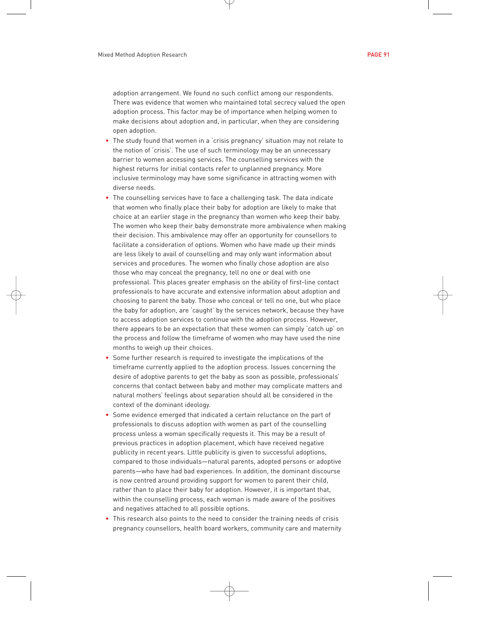adoption arrangement. We found no such conflict among our respondents. There was evidence that women who maintained total secrecy valued the open adoption process. This factor may be of importance when helping women to make decisions about adoption and, in particular, when they are considering open adoption.

- The study found that women in a 'crisis pregnancy' situation may not relate to the notion of 'crisis'. The use of such terminology may be an unnecessary barrier to women accessing services. The counselling services with the highest returns for initial contacts refer to unplanned pregnancy. More inclusive terminology may have some significance in attracting women with diverse needs.
- The counselling services have to face a challenging task. The data indicate that women who finally place their baby for adoption are likely to make that choice at an earlier stage in the pregnancy than women who keep their baby. The women who keep their baby demonstrate more ambivalence when making their decision. This ambivalence may offer an opportunity for counsellors to facilitate a consideration of options. Women who have made up their minds are less likely to avail of counselling and may only want information about services and procedures. The women who finally chose adoption are also those who may conceal the pregnancy, tell no one or deal with one professional. This places greater emphasis on the ability of first-line contact professionals to have accurate and extensive information about adoption and choosing to parent the baby. Those who conceal or tell no one, but who place the baby for adoption, are 'caught' by the services network, because they have to access adoption services to continue with the adoption process. However, there appears to be an expectation that these women can simply 'catch up' on the process and follow the timeframe of women who may have used the nine months to weigh up their choices.
- Some further research is required to investigate the implications of the timeframe currently applied to the adoption process. Issues concerning the desire of adoptive parents to get the baby as soon as possible, professionals' concerns that contact between baby and mother may complicate matters and natural mothers' feelings about separation should all be considered in the context of the dominant ideology.
- Some evidence emerged that indicated a certain reluctance on the part of professionals to discuss adoption with women as part of the counselling process unless a woman specifically requests it. This may be a result of previous practices in adoption placement, which have received negative publicity in recent years. Little publicity is given to successful adoptions, compared to those individuals—natural parents, adopted persons or adoptive parents—who have had bad experiences. In addition, the dominant discourse is now centred around providing support for women to parent their child, rather than to place their baby for adoption. However, it is important that, within the counselling process, each woman is made aware of the positives and negatives attached to all possible options.
- This research also points to the need to consider the training needs of crisis pregnancy counsellors, health board workers, community care and maternity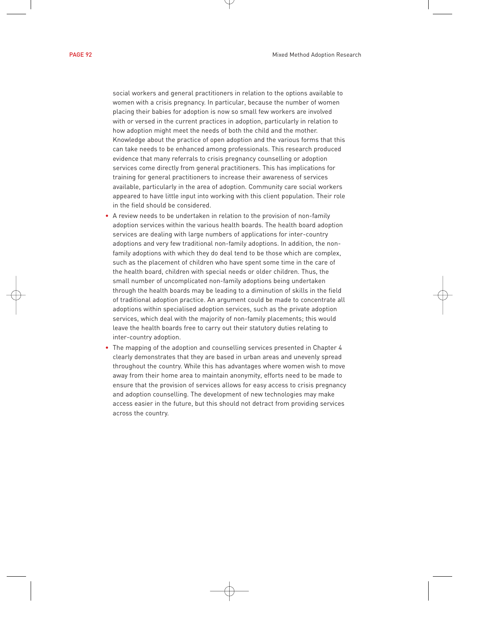social workers and general practitioners in relation to the options available to women with a crisis pregnancy. In particular, because the number of women placing their babies for adoption is now so small few workers are involved with or versed in the current practices in adoption, particularly in relation to how adoption might meet the needs of both the child and the mother. Knowledge about the practice of open adoption and the various forms that this can take needs to be enhanced among professionals. This research produced evidence that many referrals to crisis pregnancy counselling or adoption services come directly from general practitioners. This has implications for training for general practitioners to increase their awareness of services available, particularly in the area of adoption. Community care social workers appeared to have little input into working with this client population. Their role in the field should be considered.

- A review needs to be undertaken in relation to the provision of non-family adoption services within the various health boards. The health board adoption services are dealing with large numbers of applications for inter-country adoptions and very few traditional non-family adoptions. In addition, the nonfamily adoptions with which they do deal tend to be those which are complex, such as the placement of children who have spent some time in the care of the health board, children with special needs or older children. Thus, the small number of uncomplicated non-family adoptions being undertaken through the health boards may be leading to a diminution of skills in the field of traditional adoption practice. An argument could be made to concentrate all adoptions within specialised adoption services, such as the private adoption services, which deal with the majority of non-family placements; this would leave the health boards free to carry out their statutory duties relating to inter-country adoption.
- The mapping of the adoption and counselling services presented in Chapter 4 clearly demonstrates that they are based in urban areas and unevenly spread throughout the country. While this has advantages where women wish to move away from their home area to maintain anonymity, efforts need to be made to ensure that the provision of services allows for easy access to crisis pregnancy and adoption counselling. The development of new technologies may make access easier in the future, but this should not detract from providing services across the country.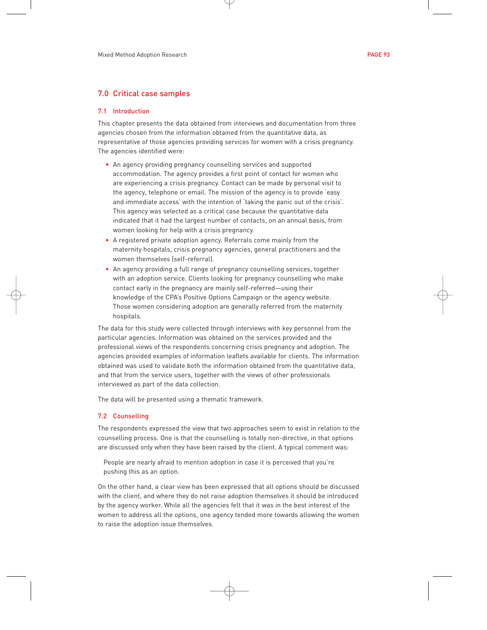# 7.0 Critical case samples

#### 7.1 Introduction

This chapter presents the data obtained from interviews and documentation from three agencies chosen from the information obtained from the quantitative data, as representative of those agencies providing services for women with a crisis pregnancy. The agencies identified were:

- An agency providing pregnancy counselling services and supported accommodation. The agency provides a first point of contact for women who are experiencing a crisis pregnancy. Contact can be made by personal visit to the agency, telephone or email. The mission of the agency is to provide 'easy and immediate access' with the intention of 'taking the panic out of the crisis'. This agency was selected as a critical case because the quantitative data indicated that it had the largest number of contacts, on an annual basis, from women looking for help with a crisis pregnancy.
- A registered private adoption agency. Referrals come mainly from the maternity hospitals, crisis pregnancy agencies, general practitioners and the women themselves (self-referral).
- An agency providing a full range of pregnancy counselling services, together with an adoption service. Clients looking for pregnancy counselling who make contact early in the pregnancy are mainly self-referred—using their knowledge of the CPA's Positive Options Campaign or the agency website. Those women considering adoption are generally referred from the maternity hospitals.

The data for this study were collected through interviews with key personnel from the particular agencies. Information was obtained on the services provided and the professional views of the respondents concerning crisis pregnancy and adoption. The agencies provided examples of information leaflets available for clients. The information obtained was used to validate both the information obtained from the quantitative data, and that from the service users, together with the views of other professionals interviewed as part of the data collection.

The data will be presented using a thematic framework.

## 7.2 Counselling

The respondents expressed the view that two approaches seem to exist in relation to the counselling process. One is that the counselling is totally non-directive, in that options are discussed only when they have been raised by the client. A typical comment was:

People are nearly afraid to mention adoption in case it is perceived that you're pushing this as an option.

On the other hand, a clear view has been expressed that all options should be discussed with the client, and where they do not raise adoption themselves it should be introduced by the agency worker. While all the agencies felt that it was in the best interest of the women to address all the options, one agency tended more towards allowing the women to raise the adoption issue themselves.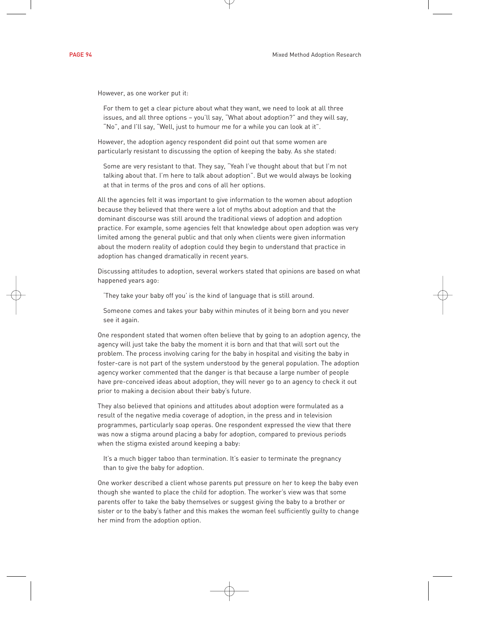However, as one worker put it:

For them to get a clear picture about what they want, we need to look at all three issues, and all three options – you'll say, "What about adoption?" and they will say, "No", and I'll say, "Well, just to humour me for a while you can look at it".

However, the adoption agency respondent did point out that some women are particularly resistant to discussing the option of keeping the baby. As she stated:

Some are very resistant to that. They say, "Yeah I've thought about that but I'm not talking about that. I'm here to talk about adoption". But we would always be looking at that in terms of the pros and cons of all her options.

All the agencies felt it was important to give information to the women about adoption because they believed that there were a lot of myths about adoption and that the dominant discourse was still around the traditional views of adoption and adoption practice. For example, some agencies felt that knowledge about open adoption was very limited among the general public and that only when clients were given information about the modern reality of adoption could they begin to understand that practice in adoption has changed dramatically in recent years.

Discussing attitudes to adoption, several workers stated that opinions are based on what happened years ago:

'They take your baby off you' is the kind of language that is still around.

Someone comes and takes your baby within minutes of it being born and you never see it again.

One respondent stated that women often believe that by going to an adoption agency, the agency will just take the baby the moment it is born and that that will sort out the problem. The process involving caring for the baby in hospital and visiting the baby in foster-care is not part of the system understood by the general population. The adoption agency worker commented that the danger is that because a large number of people have pre-conceived ideas about adoption, they will never go to an agency to check it out prior to making a decision about their baby's future.

They also believed that opinions and attitudes about adoption were formulated as a result of the negative media coverage of adoption, in the press and in television programmes, particularly soap operas. One respondent expressed the view that there was now a stigma around placing a baby for adoption, compared to previous periods when the stigma existed around keeping a baby:

It's a much bigger taboo than termination. It's easier to terminate the pregnancy than to give the baby for adoption.

One worker described a client whose parents put pressure on her to keep the baby even though she wanted to place the child for adoption. The worker's view was that some parents offer to take the baby themselves or suggest giving the baby to a brother or sister or to the baby's father and this makes the woman feel sufficiently guilty to change her mind from the adoption option.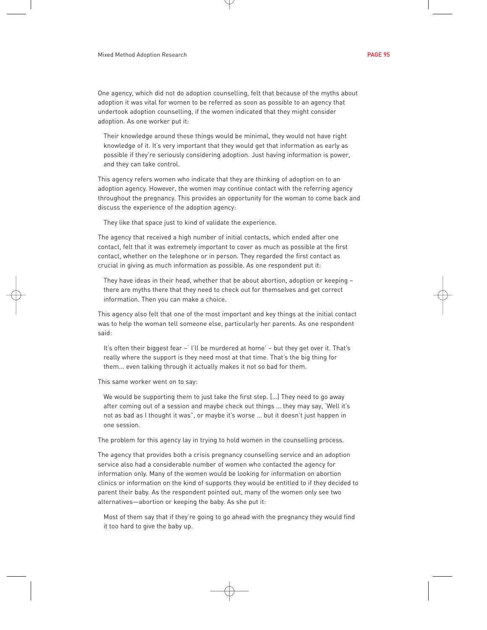One agency, which did not do adoption counselling, felt that because of the myths about adoption it was vital for women to be referred as soon as possible to an agency that undertook adoption counselling, if the women indicated that they might consider adoption. As one worker put it:

Their knowledge around these things would be minimal, they would not have right knowledge of it. It's very important that they would get that information as early as possible if they're seriously considering adoption. Just having information is power, and they can take control.

This agency refers women who indicate that they are thinking of adoption on to an adoption agency. However, the women may continue contact with the referring agency throughout the pregnancy. This provides an opportunity for the woman to come back and discuss the experience of the adoption agency:

They like that space just to kind of validate the experience.

The agency that received a high number of initial contacts, which ended after one contact, felt that it was extremely important to cover as much as possible at the first contact, whether on the telephone or in person. They regarded the first contact as crucial in giving as much information as possible. As one respondent put it:

They have ideas in their head, whether that be about abortion, adoption or keeping – there are myths there that they need to check out for themselves and get correct information. Then you can make a choice.

This agency also felt that one of the most important and key things at the initial contact was to help the woman tell someone else, particularly her parents. As one respondent said:

It's often their biggest fear –' I'll be murdered at home' – but they get over it. That's really where the support is they need most at that time. That's the big thing for them... even talking through it actually makes it not so bad for them.

This same worker went on to say:

We would be supporting them to just take the first step. […] They need to go away after coming out of a session and maybe check out things … they may say, 'Well it's not as bad as I thought it was", or maybe it's worse … but it doesn't just happen in one session.

The problem for this agency lay in trying to hold women in the counselling process.

The agency that provides both a crisis pregnancy counselling service and an adoption service also had a considerable number of women who contacted the agency for information only. Many of the women would be looking for information on abortion clinics or information on the kind of supports they would be entitled to if they decided to parent their baby. As the respondent pointed out, many of the women only see two alternatives—abortion or keeping the baby. As she put it:

Most of them say that if they're going to go ahead with the pregnancy they would find it too hard to give the baby up.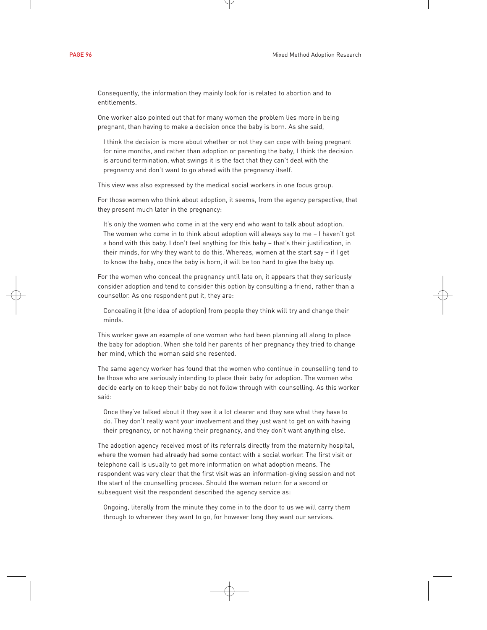Consequently, the information they mainly look for is related to abortion and to entitlements.

One worker also pointed out that for many women the problem lies more in being pregnant, than having to make a decision once the baby is born. As she said,

I think the decision is more about whether or not they can cope with being pregnant for nine months, and rather than adoption or parenting the baby, I think the decision is around termination, what swings it is the fact that they can't deal with the pregnancy and don't want to go ahead with the pregnancy itself.

This view was also expressed by the medical social workers in one focus group.

For those women who think about adoption, it seems, from the agency perspective, that they present much later in the pregnancy:

It's only the women who come in at the very end who want to talk about adoption. The women who come in to think about adoption will always say to me – I haven't got a bond with this baby. I don't feel anything for this baby – that's their justification, in their minds, for why they want to do this. Whereas, women at the start say – if I get to know the baby, once the baby is born, it will be too hard to give the baby up.

For the women who conceal the pregnancy until late on, it appears that they seriously consider adoption and tend to consider this option by consulting a friend, rather than a counsellor. As one respondent put it, they are:

Concealing it [the idea of adoption] from people they think will try and change their minds.

This worker gave an example of one woman who had been planning all along to place the baby for adoption. When she told her parents of her pregnancy they tried to change her mind, which the woman said she resented.

The same agency worker has found that the women who continue in counselling tend to be those who are seriously intending to place their baby for adoption. The women who decide early on to keep their baby do not follow through with counselling. As this worker said:

Once they've talked about it they see it a lot clearer and they see what they have to do. They don't really want your involvement and they just want to get on with having their pregnancy, or not having their pregnancy, and they don't want anything else.

The adoption agency received most of its referrals directly from the maternity hospital, where the women had already had some contact with a social worker. The first visit or telephone call is usually to get more information on what adoption means. The respondent was very clear that the first visit was an information-giving session and not the start of the counselling process. Should the woman return for a second or subsequent visit the respondent described the agency service as:

Ongoing, literally from the minute they come in to the door to us we will carry them through to wherever they want to go, for however long they want our services.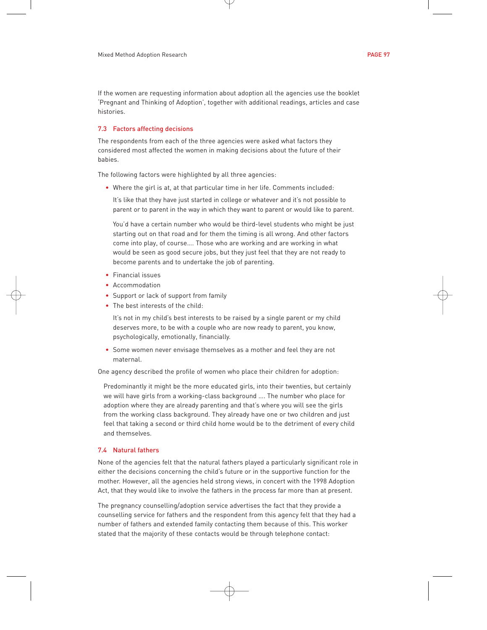If the women are requesting information about adoption all the agencies use the booklet 'Pregnant and Thinking of Adoption', together with additional readings, articles and case histories.

# 7.3 Factors affecting decisions

The respondents from each of the three agencies were asked what factors they considered most affected the women in making decisions about the future of their babies.

The following factors were highlighted by all three agencies:

• Where the girl is at, at that particular time in her life. Comments included:

It's like that they have just started in college or whatever and it's not possible to parent or to parent in the way in which they want to parent or would like to parent.

You'd have a certain number who would be third-level students who might be just starting out on that road and for them the timing is all wrong. And other factors come into play, of course…. Those who are working and are working in what would be seen as good secure jobs, but they just feel that they are not ready to become parents and to undertake the job of parenting.

- Financial issues
- Accommodation
- Support or lack of support from family
- The best interests of the child:

It's not in my child's best interests to be raised by a single parent or my child deserves more, to be with a couple who are now ready to parent, you know, psychologically, emotionally, financially.

• Some women never envisage themselves as a mother and feel they are not maternal.

One agency described the profile of women who place their children for adoption:

Predominantly it might be the more educated girls, into their twenties, but certainly we will have girls from a working-class background …. The number who place for adoption where they are already parenting and that's where you will see the girls from the working class background. They already have one or two children and just feel that taking a second or third child home would be to the detriment of every child and themselves.

# 7.4 Natural fathers

None of the agencies felt that the natural fathers played a particularly significant role in either the decisions concerning the child's future or in the supportive function for the mother. However, all the agencies held strong views, in concert with the 1998 Adoption Act, that they would like to involve the fathers in the process far more than at present.

The pregnancy counselling/adoption service advertises the fact that they provide a counselling service for fathers and the respondent from this agency felt that they had a number of fathers and extended family contacting them because of this. This worker stated that the majority of these contacts would be through telephone contact: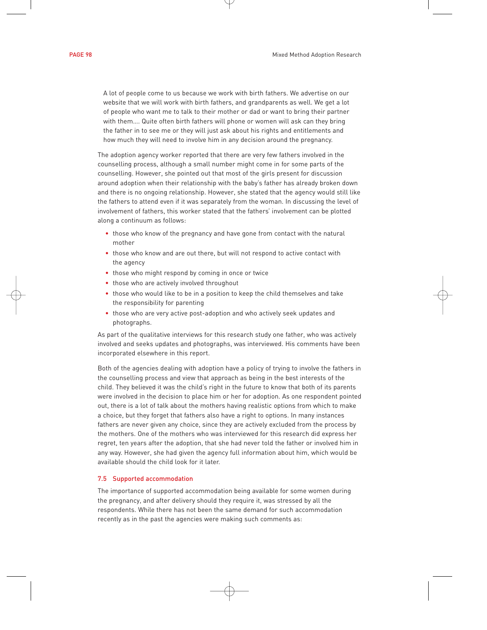A lot of people come to us because we work with birth fathers. We advertise on our website that we will work with birth fathers, and grandparents as well. We get a lot of people who want me to talk to their mother or dad or want to bring their partner with them…. Quite often birth fathers will phone or women will ask can they bring the father in to see me or they will just ask about his rights and entitlements and how much they will need to involve him in any decision around the pregnancy.

The adoption agency worker reported that there are very few fathers involved in the counselling process, although a small number might come in for some parts of the counselling. However, she pointed out that most of the girls present for discussion around adoption when their relationship with the baby's father has already broken down and there is no ongoing relationship. However, she stated that the agency would still like the fathers to attend even if it was separately from the woman. In discussing the level of involvement of fathers, this worker stated that the fathers' involvement can be plotted along a continuum as follows:

- those who know of the pregnancy and have gone from contact with the natural mother
- those who know and are out there, but will not respond to active contact with the agency
- those who might respond by coming in once or twice
- those who are actively involved throughout
- those who would like to be in a position to keep the child themselves and take the responsibility for parenting
- those who are very active post-adoption and who actively seek updates and photographs.

As part of the qualitative interviews for this research study one father, who was actively involved and seeks updates and photographs, was interviewed. His comments have been incorporated elsewhere in this report.

Both of the agencies dealing with adoption have a policy of trying to involve the fathers in the counselling process and view that approach as being in the best interests of the child. They believed it was the child's right in the future to know that both of its parents were involved in the decision to place him or her for adoption. As one respondent pointed out, there is a lot of talk about the mothers having realistic options from which to make a choice, but they forget that fathers also have a right to options. In many instances fathers are never given any choice, since they are actively excluded from the process by the mothers. One of the mothers who was interviewed for this research did express her regret, ten years after the adoption, that she had never told the father or involved him in any way. However, she had given the agency full information about him, which would be available should the child look for it later.

## 7.5 Supported accommodation

The importance of supported accommodation being available for some women during the pregnancy, and after delivery should they require it, was stressed by all the respondents. While there has not been the same demand for such accommodation recently as in the past the agencies were making such comments as: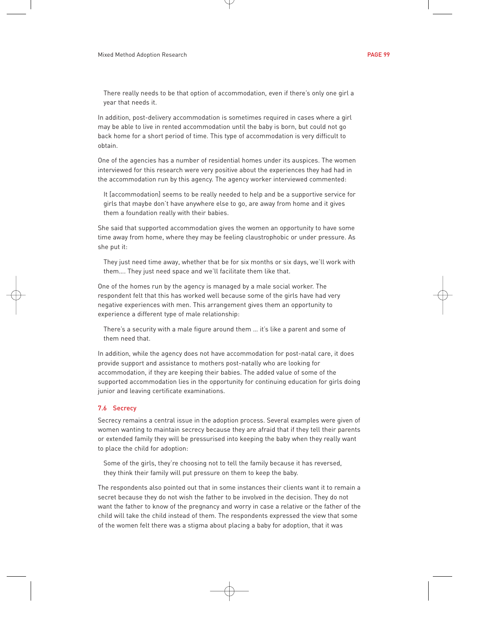There really needs to be that option of accommodation, even if there's only one girl a year that needs it.

In addition, post-delivery accommodation is sometimes required in cases where a girl may be able to live in rented accommodation until the baby is born, but could not go back home for a short period of time. This type of accommodation is very difficult to obtain.

One of the agencies has a number of residential homes under its auspices. The women interviewed for this research were very positive about the experiences they had had in the accommodation run by this agency. The agency worker interviewed commented:

It [accommodation] seems to be really needed to help and be a supportive service for girls that maybe don't have anywhere else to go, are away from home and it gives them a foundation really with their babies.

She said that supported accommodation gives the women an opportunity to have some time away from home, where they may be feeling claustrophobic or under pressure. As she put it:

They just need time away, whether that be for six months or six days, we'll work with them…. They just need space and we'll facilitate them like that.

One of the homes run by the agency is managed by a male social worker. The respondent felt that this has worked well because some of the girls have had very negative experiences with men. This arrangement gives them an opportunity to experience a different type of male relationship:

There's a security with a male figure around them … it's like a parent and some of them need that.

In addition, while the agency does not have accommodation for post-natal care, it does provide support and assistance to mothers post-natally who are looking for accommodation, if they are keeping their babies. The added value of some of the supported accommodation lies in the opportunity for continuing education for girls doing junior and leaving certificate examinations.

## 7.6 Secrecy

Secrecy remains a central issue in the adoption process. Several examples were given of women wanting to maintain secrecy because they are afraid that if they tell their parents or extended family they will be pressurised into keeping the baby when they really want to place the child for adoption:

Some of the girls, they're choosing not to tell the family because it has reversed, they think their family will put pressure on them to keep the baby.

The respondents also pointed out that in some instances their clients want it to remain a secret because they do not wish the father to be involved in the decision. They do not want the father to know of the pregnancy and worry in case a relative or the father of the child will take the child instead of them. The respondents expressed the view that some of the women felt there was a stigma about placing a baby for adoption, that it was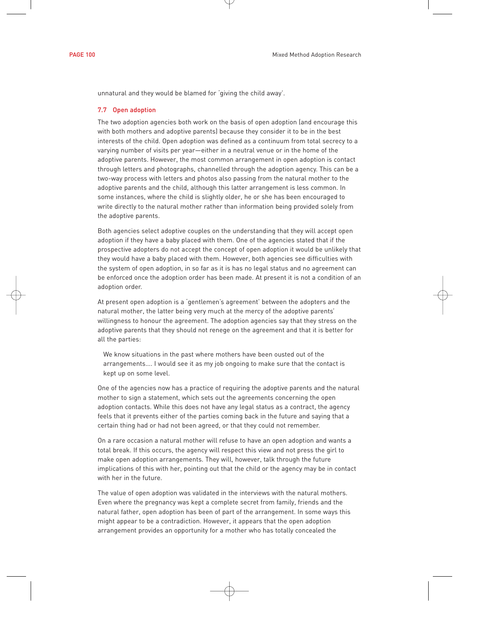unnatural and they would be blamed for 'giving the child away'.

#### 7.7 Open adoption

The two adoption agencies both work on the basis of open adoption (and encourage this with both mothers and adoptive parents) because they consider it to be in the best interests of the child. Open adoption was defined as a continuum from total secrecy to a varying number of visits per year—either in a neutral venue or in the home of the adoptive parents. However, the most common arrangement in open adoption is contact through letters and photographs, channelled through the adoption agency. This can be a two-way process with letters and photos also passing from the natural mother to the adoptive parents and the child, although this latter arrangement is less common. In some instances, where the child is slightly older, he or she has been encouraged to write directly to the natural mother rather than information being provided solely from the adoptive parents.

Both agencies select adoptive couples on the understanding that they will accept open adoption if they have a baby placed with them. One of the agencies stated that if the prospective adopters do not accept the concept of open adoption it would be unlikely that they would have a baby placed with them. However, both agencies see difficulties with the system of open adoption, in so far as it is has no legal status and no agreement can be enforced once the adoption order has been made. At present it is not a condition of an adoption order.

At present open adoption is a 'gentlemen's agreement' between the adopters and the natural mother, the latter being very much at the mercy of the adoptive parents' willingness to honour the agreement. The adoption agencies say that they stress on the adoptive parents that they should not renege on the agreement and that it is better for all the parties:

We know situations in the past where mothers have been ousted out of the arrangements…. I would see it as my job ongoing to make sure that the contact is kept up on some level.

One of the agencies now has a practice of requiring the adoptive parents and the natural mother to sign a statement, which sets out the agreements concerning the open adoption contacts. While this does not have any legal status as a contract, the agency feels that it prevents either of the parties coming back in the future and saying that a certain thing had or had not been agreed, or that they could not remember.

On a rare occasion a natural mother will refuse to have an open adoption and wants a total break. If this occurs, the agency will respect this view and not press the girl to make open adoption arrangements. They will, however, talk through the future implications of this with her, pointing out that the child or the agency may be in contact with her in the future.

The value of open adoption was validated in the interviews with the natural mothers. Even where the pregnancy was kept a complete secret from family, friends and the natural father, open adoption has been of part of the arrangement. In some ways this might appear to be a contradiction. However, it appears that the open adoption arrangement provides an opportunity for a mother who has totally concealed the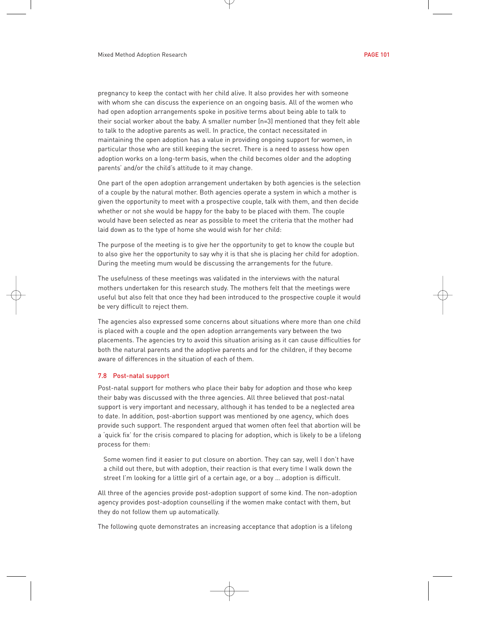pregnancy to keep the contact with her child alive. It also provides her with someone with whom she can discuss the experience on an ongoing basis. All of the women who had open adoption arrangements spoke in positive terms about being able to talk to their social worker about the baby. A smaller number (n=3) mentioned that they felt able to talk to the adoptive parents as well. In practice, the contact necessitated in maintaining the open adoption has a value in providing ongoing support for women, in particular those who are still keeping the secret. There is a need to assess how open adoption works on a long-term basis, when the child becomes older and the adopting parents' and/or the child's attitude to it may change.

One part of the open adoption arrangement undertaken by both agencies is the selection of a couple by the natural mother. Both agencies operate a system in which a mother is given the opportunity to meet with a prospective couple, talk with them, and then decide whether or not she would be happy for the baby to be placed with them. The couple would have been selected as near as possible to meet the criteria that the mother had laid down as to the type of home she would wish for her child:

The purpose of the meeting is to give her the opportunity to get to know the couple but to also give her the opportunity to say why it is that she is placing her child for adoption. During the meeting mum would be discussing the arrangements for the future.

The usefulness of these meetings was validated in the interviews with the natural mothers undertaken for this research study. The mothers felt that the meetings were useful but also felt that once they had been introduced to the prospective couple it would be very difficult to reject them.

The agencies also expressed some concerns about situations where more than one child is placed with a couple and the open adoption arrangements vary between the two placements. The agencies try to avoid this situation arising as it can cause difficulties for both the natural parents and the adoptive parents and for the children, if they become aware of differences in the situation of each of them.

### 7.8 Post-natal support

Post-natal support for mothers who place their baby for adoption and those who keep their baby was discussed with the three agencies. All three believed that post-natal support is very important and necessary, although it has tended to be a neglected area to date. In addition, post-abortion support was mentioned by one agency, which does provide such support. The respondent argued that women often feel that abortion will be a 'quick fix' for the crisis compared to placing for adoption, which is likely to be a lifelong process for them:

Some women find it easier to put closure on abortion. They can say, well I don't have a child out there, but with adoption, their reaction is that every time I walk down the street I'm looking for a little girl of a certain age, or a boy … adoption is difficult.

All three of the agencies provide post-adoption support of some kind. The non-adoption agency provides post-adoption counselling if the women make contact with them, but they do not follow them up automatically.

The following quote demonstrates an increasing acceptance that adoption is a lifelong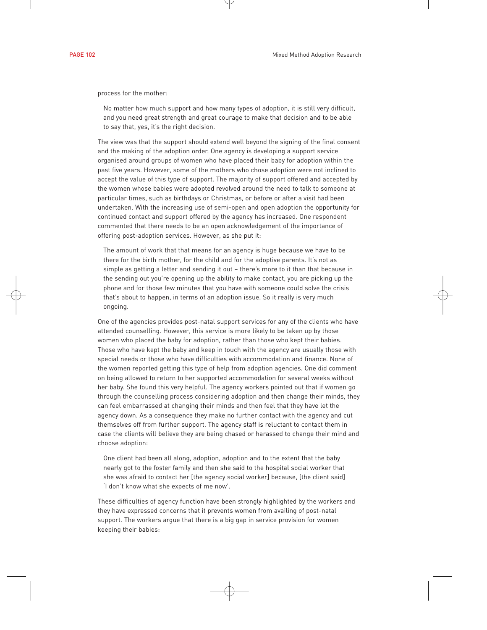process for the mother:

No matter how much support and how many types of adoption, it is still very difficult, and you need great strength and great courage to make that decision and to be able to say that, yes, it's the right decision.

The view was that the support should extend well beyond the signing of the final consent and the making of the adoption order. One agency is developing a support service organised around groups of women who have placed their baby for adoption within the past five years. However, some of the mothers who chose adoption were not inclined to accept the value of this type of support. The majority of support offered and accepted by the women whose babies were adopted revolved around the need to talk to someone at particular times, such as birthdays or Christmas, or before or after a visit had been undertaken. With the increasing use of semi-open and open adoption the opportunity for continued contact and support offered by the agency has increased. One respondent commented that there needs to be an open acknowledgement of the importance of offering post-adoption services. However, as she put it:

The amount of work that that means for an agency is huge because we have to be there for the birth mother, for the child and for the adoptive parents. It's not as simple as getting a letter and sending it out – there's more to it than that because in the sending out you're opening up the ability to make contact, you are picking up the phone and for those few minutes that you have with someone could solve the crisis that's about to happen, in terms of an adoption issue. So it really is very much ongoing.

One of the agencies provides post-natal support services for any of the clients who have attended counselling. However, this service is more likely to be taken up by those women who placed the baby for adoption, rather than those who kept their babies. Those who have kept the baby and keep in touch with the agency are usually those with special needs or those who have difficulties with accommodation and finance. None of the women reported getting this type of help from adoption agencies. One did comment on being allowed to return to her supported accommodation for several weeks without her baby. She found this very helpful. The agency workers pointed out that if women go through the counselling process considering adoption and then change their minds, they can feel embarrassed at changing their minds and then feel that they have let the agency down. As a consequence they make no further contact with the agency and cut themselves off from further support. The agency staff is reluctant to contact them in case the clients will believe they are being chased or harassed to change their mind and choose adoption:

One client had been all along, adoption, adoption and to the extent that the baby nearly got to the foster family and then she said to the hospital social worker that she was afraid to contact her [the agency social worker] because, [the client said] 'I don't know what she expects of me now'.

These difficulties of agency function have been strongly highlighted by the workers and they have expressed concerns that it prevents women from availing of post-natal support. The workers argue that there is a big gap in service provision for women keeping their babies: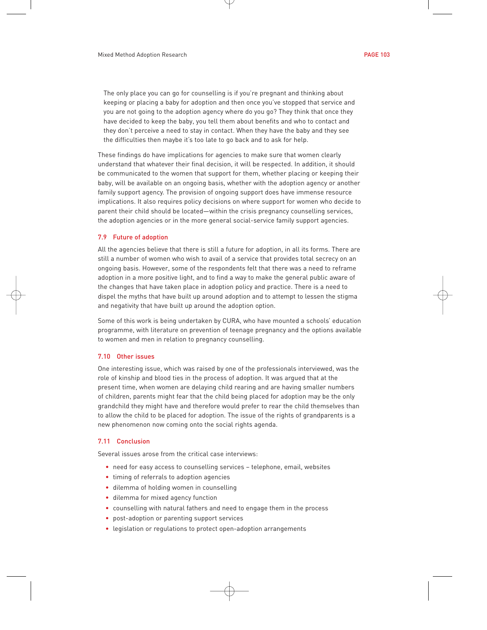The only place you can go for counselling is if you're pregnant and thinking about keeping or placing a baby for adoption and then once you've stopped that service and you are not going to the adoption agency where do you go? They think that once they have decided to keep the baby, you tell them about benefits and who to contact and they don't perceive a need to stay in contact. When they have the baby and they see the difficulties then maybe it's too late to go back and to ask for help.

These findings do have implications for agencies to make sure that women clearly understand that whatever their final decision, it will be respected. In addition, it should be communicated to the women that support for them, whether placing or keeping their baby, will be available on an ongoing basis, whether with the adoption agency or another family support agency. The provision of ongoing support does have immense resource implications. It also requires policy decisions on where support for women who decide to parent their child should be located—within the crisis pregnancy counselling services, the adoption agencies or in the more general social-service family support agencies.

#### 7.9 Future of adoption

All the agencies believe that there is still a future for adoption, in all its forms. There are still a number of women who wish to avail of a service that provides total secrecy on an ongoing basis. However, some of the respondents felt that there was a need to reframe adoption in a more positive light, and to find a way to make the general public aware of the changes that have taken place in adoption policy and practice. There is a need to dispel the myths that have built up around adoption and to attempt to lessen the stigma and negativity that have built up around the adoption option.

Some of this work is being undertaken by CURA, who have mounted a schools' education programme, with literature on prevention of teenage pregnancy and the options available to women and men in relation to pregnancy counselling.

#### 7.10 Other issues

One interesting issue, which was raised by one of the professionals interviewed, was the role of kinship and blood ties in the process of adoption. It was argued that at the present time, when women are delaying child rearing and are having smaller numbers of children, parents might fear that the child being placed for adoption may be the only grandchild they might have and therefore would prefer to rear the child themselves than to allow the child to be placed for adoption. The issue of the rights of grandparents is a new phenomenon now coming onto the social rights agenda.

# 7.11 Conclusion

Several issues arose from the critical case interviews:

- need for easy access to counselling services telephone, email, websites
- timing of referrals to adoption agencies
- dilemma of holding women in counselling
- dilemma for mixed agency function
- counselling with natural fathers and need to engage them in the process
- post-adoption or parenting support services
- legislation or regulations to protect open-adoption arrangements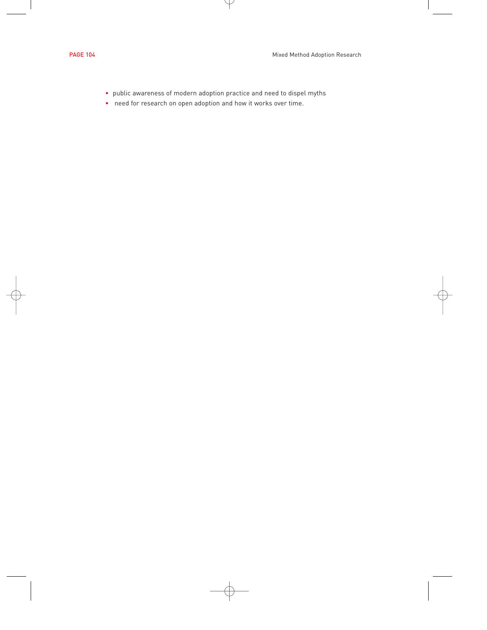- public awareness of modern adoption practice and need to dispel myths
- need for research on open adoption and how it works over time.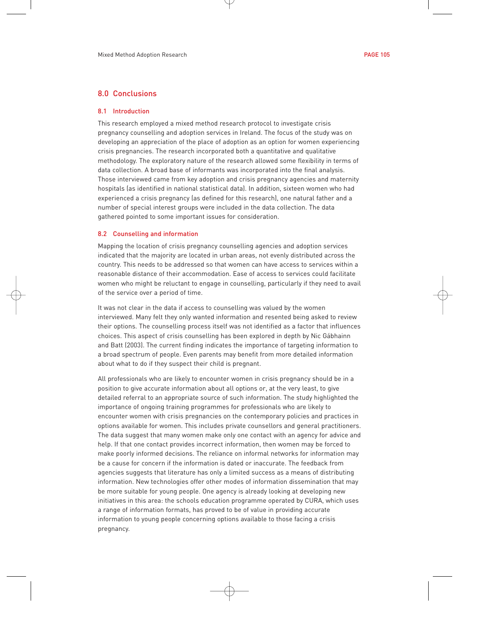# 8.0 Conclusions

### 8.1 Introduction

This research employed a mixed method research protocol to investigate crisis pregnancy counselling and adoption services in Ireland. The focus of the study was on developing an appreciation of the place of adoption as an option for women experiencing crisis pregnancies. The research incorporated both a quantitative and qualitative methodology. The exploratory nature of the research allowed some flexibility in terms of data collection. A broad base of informants was incorporated into the final analysis. Those interviewed came from key adoption and crisis pregnancy agencies and maternity hospitals (as identified in national statistical data). In addition, sixteen women who had experienced a crisis pregnancy (as defined for this research), one natural father and a number of special interest groups were included in the data collection. The data gathered pointed to some important issues for consideration.

#### 8.2 Counselling and information

Mapping the location of crisis pregnancy counselling agencies and adoption services indicated that the majority are located in urban areas, not evenly distributed across the country. This needs to be addressed so that women can have access to services within a reasonable distance of their accommodation. Ease of access to services could facilitate women who might be reluctant to engage in counselling, particularly if they need to avail of the service over a period of time.

It was not clear in the data if access to counselling was valued by the women interviewed. Many felt they only wanted information and resented being asked to review their options. The counselling process itself was not identified as a factor that influences choices. This aspect of crisis counselling has been explored in depth by Nic Gábhainn and Batt (2003). The current finding indicates the importance of targeting information to a broad spectrum of people. Even parents may benefit from more detailed information about what to do if they suspect their child is pregnant.

All professionals who are likely to encounter women in crisis pregnancy should be in a position to give accurate information about all options or, at the very least, to give detailed referral to an appropriate source of such information. The study highlighted the importance of ongoing training programmes for professionals who are likely to encounter women with crisis pregnancies on the contemporary policies and practices in options available for women. This includes private counsellors and general practitioners. The data suggest that many women make only one contact with an agency for advice and help. If that one contact provides incorrect information, then women may be forced to make poorly informed decisions. The reliance on informal networks for information may be a cause for concern if the information is dated or inaccurate. The feedback from agencies suggests that literature has only a limited success as a means of distributing information. New technologies offer other modes of information dissemination that may be more suitable for young people. One agency is already looking at developing new initiatives in this area: the schools education programme operated by CURA, which uses a range of information formats, has proved to be of value in providing accurate information to young people concerning options available to those facing a crisis pregnancy.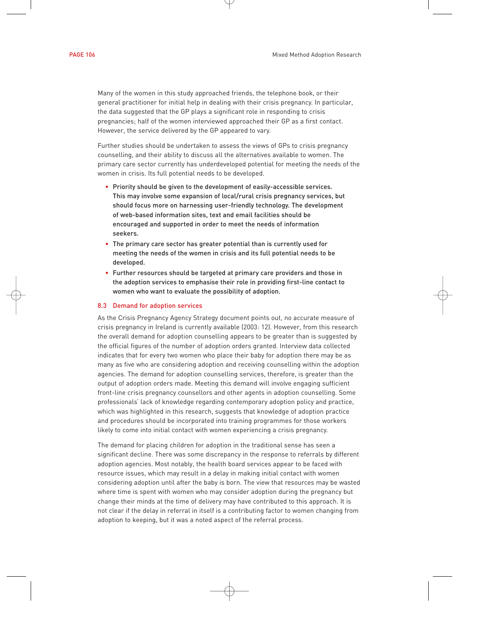Many of the women in this study approached friends, the telephone book, or their general practitioner for initial help in dealing with their crisis pregnancy. In particular, the data suggested that the GP plays a significant role in responding to crisis pregnancies; half of the women interviewed approached their GP as a first contact. However, the service delivered by the GP appeared to vary.

Further studies should be undertaken to assess the views of GPs to crisis pregnancy counselling, and their ability to discuss all the alternatives available to women. The primary care sector currently has underdeveloped potential for meeting the needs of the women in crisis. Its full potential needs to be developed.

- Priority should be given to the development of easily-accessible services. This may involve some expansion of local/rural crisis pregnancy services, but should focus more on harnessing user-friendly technology. The development of web-based information sites, text and email facilities should be encouraged and supported in order to meet the needs of information seekers.
- The primary care sector has greater potential than is currently used for meeting the needs of the women in crisis and its full potential needs to be developed.
- Further resources should be targeted at primary care providers and those in the adoption services to emphasise their role in providing first-line contact to women who want to evaluate the possibility of adoption.

### 8.3 Demand for adoption services

As the Crisis Pregnancy Agency Strategy document points out, no accurate measure of crisis pregnancy in Ireland is currently available (2003: 12). However, from this research the overall demand for adoption counselling appears to be greater than is suggested by the official figures of the number of adoption orders granted. Interview data collected indicates that for every two women who place their baby for adoption there may be as many as five who are considering adoption and receiving counselling within the adoption agencies. The demand for adoption counselling services, therefore, is greater than the output of adoption orders made. Meeting this demand will involve engaging sufficient front-line crisis pregnancy counsellors and other agents in adoption counselling. Some professionals' lack of knowledge regarding contemporary adoption policy and practice, which was highlighted in this research, suggests that knowledge of adoption practice and procedures should be incorporated into training programmes for those workers likely to come into initial contact with women experiencing a crisis pregnancy.

The demand for placing children for adoption in the traditional sense has seen a significant decline. There was some discrepancy in the response to referrals by different adoption agencies. Most notably, the health board services appear to be faced with resource issues, which may result in a delay in making initial contact with women considering adoption until after the baby is born. The view that resources may be wasted where time is spent with women who may consider adoption during the pregnancy but change their minds at the time of delivery may have contributed to this approach. It is not clear if the delay in referral in itself is a contributing factor to women changing from adoption to keeping, but it was a noted aspect of the referral process.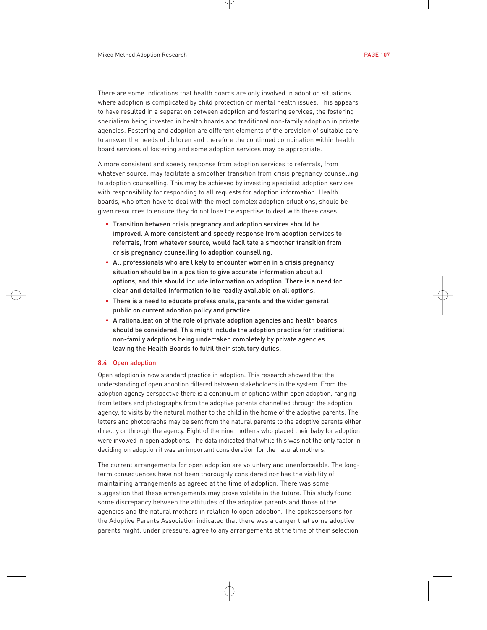There are some indications that health boards are only involved in adoption situations where adoption is complicated by child protection or mental health issues. This appears to have resulted in a separation between adoption and fostering services, the fostering specialism being invested in health boards and traditional non-family adoption in private agencies. Fostering and adoption are different elements of the provision of suitable care to answer the needs of children and therefore the continued combination within health board services of fostering and some adoption services may be appropriate.

A more consistent and speedy response from adoption services to referrals, from whatever source, may facilitate a smoother transition from crisis pregnancy counselling to adoption counselling. This may be achieved by investing specialist adoption services with responsibility for responding to all requests for adoption information. Health boards, who often have to deal with the most complex adoption situations, should be given resources to ensure they do not lose the expertise to deal with these cases.

- Transition between crisis pregnancy and adoption services should be improved. A more consistent and speedy response from adoption services to referrals, from whatever source, would facilitate a smoother transition from crisis pregnancy counselling to adoption counselling.
- All professionals who are likely to encounter women in a crisis pregnancy situation should be in a position to give accurate information about all options, and this should include information on adoption. There is a need for clear and detailed information to be readily available on all options.
- There is a need to educate professionals, parents and the wider general public on current adoption policy and practice
- A rationalisation of the role of private adoption agencies and health boards should be considered. This might include the adoption practice for traditional non-family adoptions being undertaken completely by private agencies leaving the Health Boards to fulfil their statutory duties.

#### 8.4 Open adoption

Open adoption is now standard practice in adoption. This research showed that the understanding of open adoption differed between stakeholders in the system. From the adoption agency perspective there is a continuum of options within open adoption, ranging from letters and photographs from the adoptive parents channelled through the adoption agency, to visits by the natural mother to the child in the home of the adoptive parents. The letters and photographs may be sent from the natural parents to the adoptive parents either directly or through the agency. Eight of the nine mothers who placed their baby for adoption were involved in open adoptions. The data indicated that while this was not the only factor in deciding on adoption it was an important consideration for the natural mothers.

The current arrangements for open adoption are voluntary and unenforceable. The longterm consequences have not been thoroughly considered nor has the viability of maintaining arrangements as agreed at the time of adoption. There was some suggestion that these arrangements may prove volatile in the future. This study found some discrepancy between the attitudes of the adoptive parents and those of the agencies and the natural mothers in relation to open adoption. The spokespersons for the Adoptive Parents Association indicated that there was a danger that some adoptive parents might, under pressure, agree to any arrangements at the time of their selection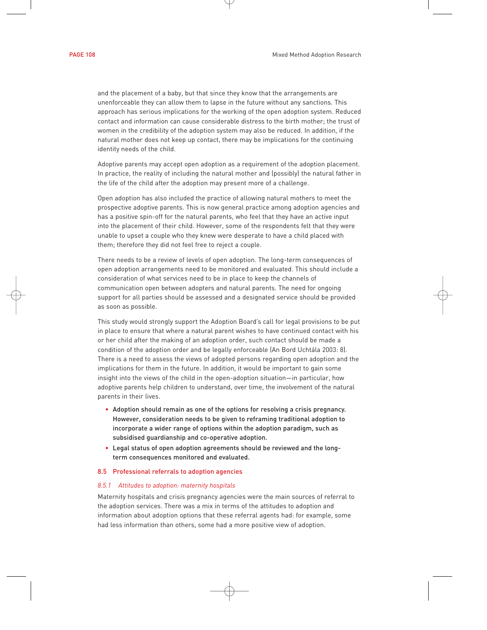and the placement of a baby, but that since they know that the arrangements are unenforceable they can allow them to lapse in the future without any sanctions. This approach has serious implications for the working of the open adoption system. Reduced contact and information can cause considerable distress to the birth mother; the trust of women in the credibility of the adoption system may also be reduced. In addition, if the natural mother does not keep up contact, there may be implications for the continuing identity needs of the child.

Adoptive parents may accept open adoption as a requirement of the adoption placement. In practice, the reality of including the natural mother and (possibly) the natural father in the life of the child after the adoption may present more of a challenge.

Open adoption has also included the practice of allowing natural mothers to meet the prospective adoptive parents. This is now general practice among adoption agencies and has a positive spin-off for the natural parents, who feel that they have an active input into the placement of their child. However, some of the respondents felt that they were unable to upset a couple who they knew were desperate to have a child placed with them; therefore they did not feel free to reject a couple.

There needs to be a review of levels of open adoption. The long-term consequences of open adoption arrangements need to be monitored and evaluated. This should include a consideration of what services need to be in place to keep the channels of communication open between adopters and natural parents. The need for ongoing support for all parties should be assessed and a designated service should be provided as soon as possible.

This study would strongly support the Adoption Board's call for legal provisions to be put in place to ensure that where a natural parent wishes to have continued contact with his or her child after the making of an adoption order, such contact should be made a condition of the adoption order and be legally enforceable (An Bord Uchtála 2003: 8). There is a need to assess the views of adopted persons regarding open adoption and the implications for them in the future. In addition, it would be important to gain some insight into the views of the child in the open-adoption situation—in particular, how adoptive parents help children to understand, over time, the involvement of the natural parents in their lives.

- Adoption should remain as one of the options for resolving a crisis pregnancy. However, consideration needs to be given to reframing traditional adoption to incorporate a wider range of options within the adoption paradigm, such as subsidised guardianship and co-operative adoption.
- Legal status of open adoption agreements should be reviewed and the longterm consequences monitored and evaluated.

#### 8.5 Professional referrals to adoption agencies

#### *8.5.1 Attitudes to adoption: maternity hospitals*

Maternity hospitals and crisis pregnancy agencies were the main sources of referral to the adoption services. There was a mix in terms of the attitudes to adoption and information about adoption options that these referral agents had: for example, some had less information than others, some had a more positive view of adoption.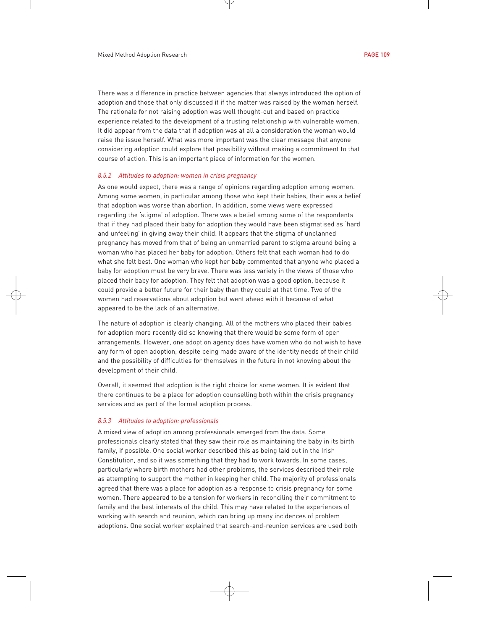There was a difference in practice between agencies that always introduced the option of adoption and those that only discussed it if the matter was raised by the woman herself. The rationale for not raising adoption was well thought-out and based on practice experience related to the development of a trusting relationship with vulnerable women. It did appear from the data that if adoption was at all a consideration the woman would raise the issue herself. What was more important was the clear message that anyone considering adoption could explore that possibility without making a commitment to that course of action. This is an important piece of information for the women.

#### *8.5.2 Attitudes to adoption: women in crisis pregnancy*

As one would expect, there was a range of opinions regarding adoption among women. Among some women, in particular among those who kept their babies, their was a belief that adoption was worse than abortion. In addition, some views were expressed regarding the 'stigma' of adoption. There was a belief among some of the respondents that if they had placed their baby for adoption they would have been stigmatised as 'hard and unfeeling' in giving away their child. It appears that the stigma of unplanned pregnancy has moved from that of being an unmarried parent to stigma around being a woman who has placed her baby for adoption. Others felt that each woman had to do what she felt best. One woman who kept her baby commented that anyone who placed a baby for adoption must be very brave. There was less variety in the views of those who placed their baby for adoption. They felt that adoption was a good option, because it could provide a better future for their baby than they could at that time. Two of the women had reservations about adoption but went ahead with it because of what appeared to be the lack of an alternative.

The nature of adoption is clearly changing. All of the mothers who placed their babies for adoption more recently did so knowing that there would be some form of open arrangements. However, one adoption agency does have women who do not wish to have any form of open adoption, despite being made aware of the identity needs of their child and the possibility of difficulties for themselves in the future in not knowing about the development of their child.

Overall, it seemed that adoption is the right choice for some women. It is evident that there continues to be a place for adoption counselling both within the crisis pregnancy services and as part of the formal adoption process.

#### *8.5.3 Attitudes to adoption: professionals*

A mixed view of adoption among professionals emerged from the data. Some professionals clearly stated that they saw their role as maintaining the baby in its birth family, if possible. One social worker described this as being laid out in the Irish Constitution, and so it was something that they had to work towards. In some cases, particularly where birth mothers had other problems, the services described their role as attempting to support the mother in keeping her child. The majority of professionals agreed that there was a place for adoption as a response to crisis pregnancy for some women. There appeared to be a tension for workers in reconciling their commitment to family and the best interests of the child. This may have related to the experiences of working with search and reunion, which can bring up many incidences of problem adoptions. One social worker explained that search-and-reunion services are used both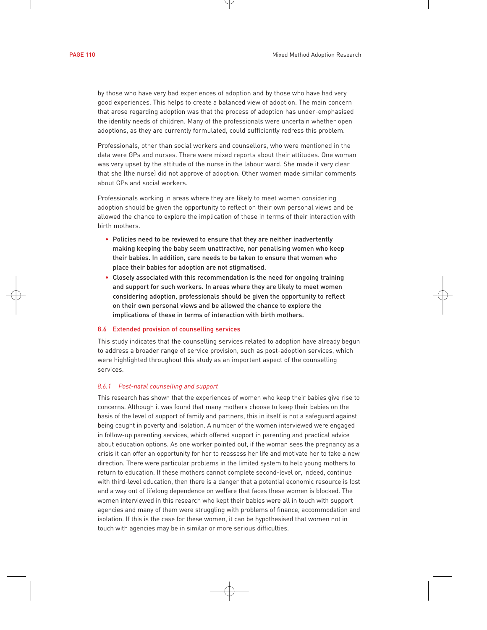by those who have very bad experiences of adoption and by those who have had very good experiences. This helps to create a balanced view of adoption. The main concern that arose regarding adoption was that the process of adoption has under-emphasised the identity needs of children. Many of the professionals were uncertain whether open adoptions, as they are currently formulated, could sufficiently redress this problem.

Professionals, other than social workers and counsellors, who were mentioned in the data were GPs and nurses. There were mixed reports about their attitudes. One woman was very upset by the attitude of the nurse in the labour ward. She made it very clear that she (the nurse) did not approve of adoption. Other women made similar comments about GPs and social workers.

Professionals working in areas where they are likely to meet women considering adoption should be given the opportunity to reflect on their own personal views and be allowed the chance to explore the implication of these in terms of their interaction with birth mothers.

- Policies need to be reviewed to ensure that they are neither inadvertently making keeping the baby seem unattractive, nor penalising women who keep their babies. In addition, care needs to be taken to ensure that women who place their babies for adoption are not stigmatised.
- Closely associated with this recommendation is the need for ongoing training and support for such workers. In areas where they are likely to meet women considering adoption, professionals should be given the opportunity to reflect on their own personal views and be allowed the chance to explore the implications of these in terms of interaction with birth mothers.

#### 8.6 Extended provision of counselling services

This study indicates that the counselling services related to adoption have already begun to address a broader range of service provision, such as post-adoption services, which were highlighted throughout this study as an important aspect of the counselling services.

#### *8.6.1 Post-natal counselling and support*

This research has shown that the experiences of women who keep their babies give rise to concerns. Although it was found that many mothers choose to keep their babies on the basis of the level of support of family and partners, this in itself is not a safeguard against being caught in poverty and isolation. A number of the women interviewed were engaged in follow-up parenting services, which offered support in parenting and practical advice about education options. As one worker pointed out, if the woman sees the pregnancy as a crisis it can offer an opportunity for her to reassess her life and motivate her to take a new direction. There were particular problems in the limited system to help young mothers to return to education. If these mothers cannot complete second-level or, indeed, continue with third-level education, then there is a danger that a potential economic resource is lost and a way out of lifelong dependence on welfare that faces these women is blocked. The women interviewed in this research who kept their babies were all in touch with support agencies and many of them were struggling with problems of finance, accommodation and isolation. If this is the case for these women, it can be hypothesised that women not in touch with agencies may be in similar or more serious difficulties.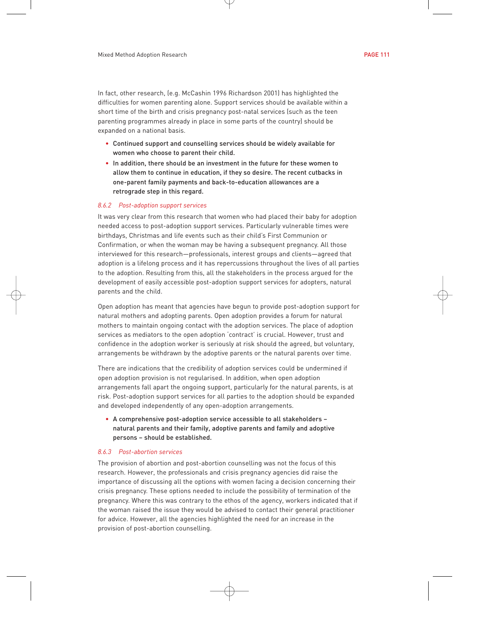In fact, other research, (e.g. McCashin 1996 Richardson 2001) has highlighted the difficulties for women parenting alone. Support services should be available within a short time of the birth and crisis pregnancy post-natal services (such as the teen parenting programmes already in place in some parts of the country) should be expanded on a national basis.

- Continued support and counselling services should be widely available for women who choose to parent their child.
- In addition, there should be an investment in the future for these women to allow them to continue in education, if they so desire. The recent cutbacks in one-parent family payments and back-to-education allowances are a retrograde step in this regard.

#### *8.6.2 Post-adoption support services*

It was very clear from this research that women who had placed their baby for adoption needed access to post-adoption support services. Particularly vulnerable times were birthdays, Christmas and life events such as their child's First Communion or Confirmation, or when the woman may be having a subsequent pregnancy. All those interviewed for this research—professionals, interest groups and clients—agreed that adoption is a lifelong process and it has repercussions throughout the lives of all parties to the adoption. Resulting from this, all the stakeholders in the process argued for the development of easily accessible post-adoption support services for adopters, natural parents and the child.

Open adoption has meant that agencies have begun to provide post-adoption support for natural mothers and adopting parents. Open adoption provides a forum for natural mothers to maintain ongoing contact with the adoption services. The place of adoption services as mediators to the open adoption 'contract' is crucial. However, trust and confidence in the adoption worker is seriously at risk should the agreed, but voluntary, arrangements be withdrawn by the adoptive parents or the natural parents over time.

There are indications that the credibility of adoption services could be undermined if open adoption provision is not regularised. In addition, when open adoption arrangements fall apart the ongoing support, particularly for the natural parents, is at risk. Post-adoption support services for all parties to the adoption should be expanded and developed independently of any open-adoption arrangements.

• A comprehensive post-adoption service accessible to all stakeholders – natural parents and their family, adoptive parents and family and adoptive persons – should be established.

#### *8.6.3 Post-abortion services*

The provision of abortion and post-abortion counselling was not the focus of this research. However, the professionals and crisis pregnancy agencies did raise the importance of discussing all the options with women facing a decision concerning their crisis pregnancy. These options needed to include the possibility of termination of the pregnancy. Where this was contrary to the ethos of the agency, workers indicated that if the woman raised the issue they would be advised to contact their general practitioner for advice. However, all the agencies highlighted the need for an increase in the provision of post-abortion counselling.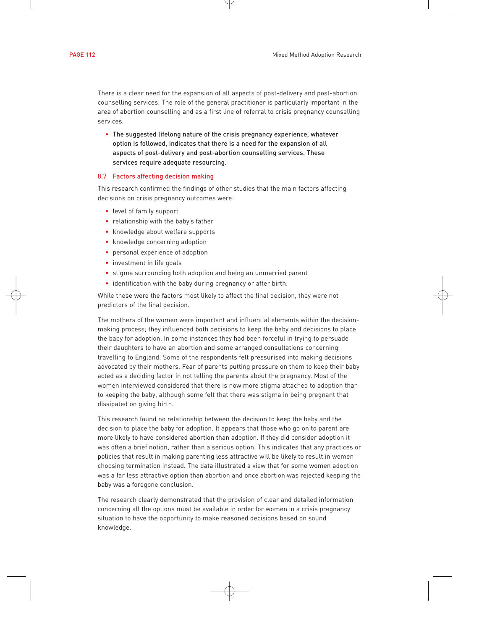There is a clear need for the expansion of all aspects of post-delivery and post-abortion counselling services. The role of the general practitioner is particularly important in the area of abortion counselling and as a first line of referral to crisis pregnancy counselling services.

• The suggested lifelong nature of the crisis pregnancy experience, whatever option is followed, indicates that there is a need for the expansion of all aspects of post-delivery and post-abortion counselling services. These services require adequate resourcing.

#### 8.7 Factors affecting decision making

This research confirmed the findings of other studies that the main factors affecting decisions on crisis pregnancy outcomes were:

- level of family support
- relationship with the baby's father
- knowledge about welfare supports
- knowledge concerning adoption
- personal experience of adoption
- investment in life goals
- stigma surrounding both adoption and being an unmarried parent
- identification with the baby during pregnancy or after birth.

While these were the factors most likely to affect the final decision, they were not predictors of the final decision.

The mothers of the women were important and influential elements within the decisionmaking process; they influenced both decisions to keep the baby and decisions to place the baby for adoption. In some instances they had been forceful in trying to persuade their daughters to have an abortion and some arranged consultations concerning travelling to England. Some of the respondents felt pressurised into making decisions advocated by their mothers. Fear of parents putting pressure on them to keep their baby acted as a deciding factor in not telling the parents about the pregnancy. Most of the women interviewed considered that there is now more stigma attached to adoption than to keeping the baby, although some felt that there was stigma in being pregnant that dissipated on giving birth.

This research found no relationship between the decision to keep the baby and the decision to place the baby for adoption. It appears that those who go on to parent are more likely to have considered abortion than adoption. If they did consider adoption it was often a brief notion, rather than a serious option. This indicates that any practices or policies that result in making parenting less attractive will be likely to result in women choosing termination instead. The data illustrated a view that for some women adoption was a far less attractive option than abortion and once abortion was rejected keeping the baby was a foregone conclusion.

The research clearly demonstrated that the provision of clear and detailed information concerning all the options must be available in order for women in a crisis pregnancy situation to have the opportunity to make reasoned decisions based on sound knowledge.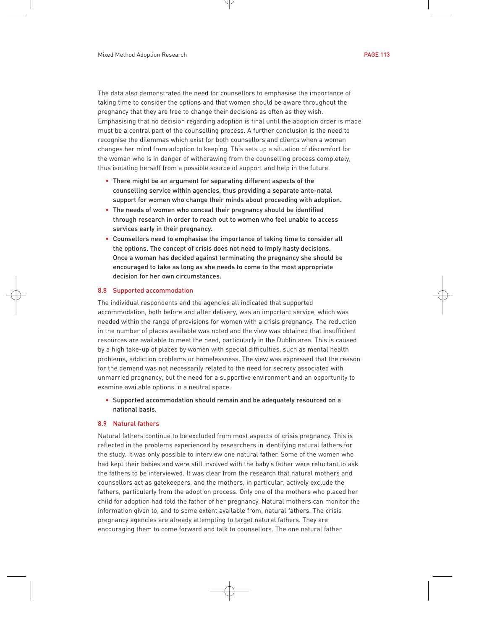The data also demonstrated the need for counsellors to emphasise the importance of taking time to consider the options and that women should be aware throughout the pregnancy that they are free to change their decisions as often as they wish. Emphasising that no decision regarding adoption is final until the adoption order is made must be a central part of the counselling process. A further conclusion is the need to recognise the dilemmas which exist for both counsellors and clients when a woman changes her mind from adoption to keeping. This sets up a situation of discomfort for the woman who is in danger of withdrawing from the counselling process completely, thus isolating herself from a possible source of support and help in the future.

- There might be an argument for separating different aspects of the counselling service within agencies, thus providing a separate ante-natal support for women who change their minds about proceeding with adoption.
- The needs of women who conceal their pregnancy should be identified through research in order to reach out to women who feel unable to access services early in their pregnancy.
- Counsellors need to emphasise the importance of taking time to consider all the options. The concept of crisis does not need to imply hasty decisions. Once a woman has decided against terminating the pregnancy she should be encouraged to take as long as she needs to come to the most appropriate decision for her own circumstances.

#### 8.8 Supported accommodation

The individual respondents and the agencies all indicated that supported accommodation, both before and after delivery, was an important service, which was needed within the range of provisions for women with a crisis pregnancy. The reduction in the number of places available was noted and the view was obtained that insufficient resources are available to meet the need, particularly in the Dublin area. This is caused by a high take-up of places by women with special difficulties, such as mental health problems, addiction problems or homelessness. The view was expressed that the reason for the demand was not necessarily related to the need for secrecy associated with unmarried pregnancy, but the need for a supportive environment and an opportunity to examine available options in a neutral space.

• Supported accommodation should remain and be adequately resourced on a national basis.

#### 8.9 Natural fathers

Natural fathers continue to be excluded from most aspects of crisis pregnancy. This is reflected in the problems experienced by researchers in identifying natural fathers for the study. It was only possible to interview one natural father. Some of the women who had kept their babies and were still involved with the baby's father were reluctant to ask the fathers to be interviewed. It was clear from the research that natural mothers and counsellors act as gatekeepers, and the mothers, in particular, actively exclude the fathers, particularly from the adoption process. Only one of the mothers who placed her child for adoption had told the father of her pregnancy. Natural mothers can monitor the information given to, and to some extent available from, natural fathers. The crisis pregnancy agencies are already attempting to target natural fathers. They are encouraging them to come forward and talk to counsellors. The one natural father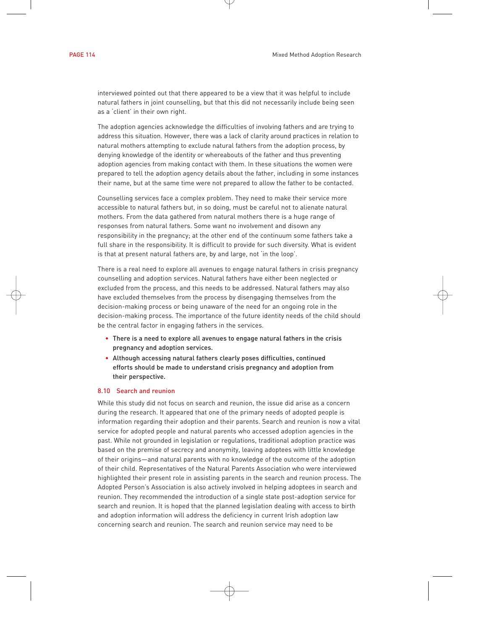interviewed pointed out that there appeared to be a view that it was helpful to include natural fathers in joint counselling, but that this did not necessarily include being seen as a 'client' in their own right.

The adoption agencies acknowledge the difficulties of involving fathers and are trying to address this situation. However, there was a lack of clarity around practices in relation to natural mothers attempting to exclude natural fathers from the adoption process, by denying knowledge of the identity or whereabouts of the father and thus preventing adoption agencies from making contact with them. In these situations the women were prepared to tell the adoption agency details about the father, including in some instances their name, but at the same time were not prepared to allow the father to be contacted.

Counselling services face a complex problem. They need to make their service more accessible to natural fathers but, in so doing, must be careful not to alienate natural mothers. From the data gathered from natural mothers there is a huge range of responses from natural fathers. Some want no involvement and disown any responsibility in the pregnancy; at the other end of the continuum some fathers take a full share in the responsibility. It is difficult to provide for such diversity. What is evident is that at present natural fathers are, by and large, not 'in the loop'.

There is a real need to explore all avenues to engage natural fathers in crisis pregnancy counselling and adoption services. Natural fathers have either been neglected or excluded from the process, and this needs to be addressed. Natural fathers may also have excluded themselves from the process by disengaging themselves from the decision-making process or being unaware of the need for an ongoing role in the decision-making process. The importance of the future identity needs of the child should be the central factor in engaging fathers in the services.

- There is a need to explore all avenues to engage natural fathers in the crisis pregnancy and adoption services.
- Although accessing natural fathers clearly poses difficulties, continued efforts should be made to understand crisis pregnancy and adoption from their perspective.

#### 8.10 Search and reunion

While this study did not focus on search and reunion, the issue did arise as a concern during the research. It appeared that one of the primary needs of adopted people is information regarding their adoption and their parents. Search and reunion is now a vital service for adopted people and natural parents who accessed adoption agencies in the past. While not grounded in legislation or regulations, traditional adoption practice was based on the premise of secrecy and anonymity, leaving adoptees with little knowledge of their origins—and natural parents with no knowledge of the outcome of the adoption of their child. Representatives of the Natural Parents Association who were interviewed highlighted their present role in assisting parents in the search and reunion process. The Adopted Person's Association is also actively involved in helping adoptees in search and reunion. They recommended the introduction of a single state post-adoption service for search and reunion. It is hoped that the planned legislation dealing with access to birth and adoption information will address the deficiency in current Irish adoption law concerning search and reunion. The search and reunion service may need to be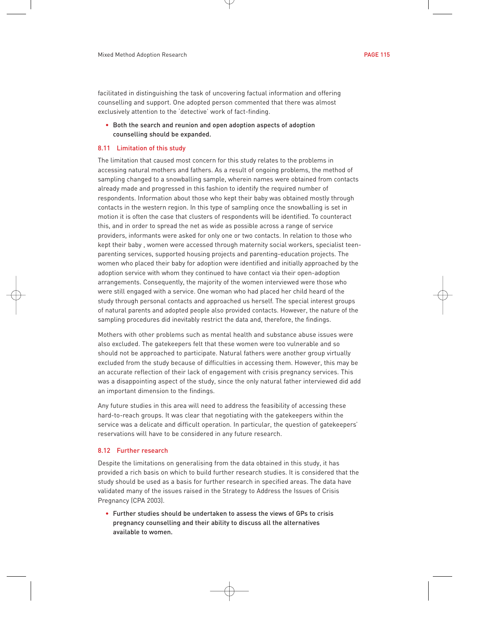facilitated in distinguishing the task of uncovering factual information and offering counselling and support. One adopted person commented that there was almost exclusively attention to the 'detective' work of fact-finding.

• Both the search and reunion and open adoption aspects of adoption counselling should be expanded.

#### 8.11 Limitation of this study

The limitation that caused most concern for this study relates to the problems in accessing natural mothers and fathers. As a result of ongoing problems, the method of sampling changed to a snowballing sample, wherein names were obtained from contacts already made and progressed in this fashion to identify the required number of respondents. Information about those who kept their baby was obtained mostly through contacts in the western region. In this type of sampling once the snowballing is set in motion it is often the case that clusters of respondents will be identified. To counteract this, and in order to spread the net as wide as possible across a range of service providers, informants were asked for only one or two contacts. In relation to those who kept their baby , women were accessed through maternity social workers, specialist teenparenting services, supported housing projects and parenting-education projects. The women who placed their baby for adoption were identified and initially approached by the adoption service with whom they continued to have contact via their open-adoption arrangements. Consequently, the majority of the women interviewed were those who were still engaged with a service. One woman who had placed her child heard of the study through personal contacts and approached us herself. The special interest groups of natural parents and adopted people also provided contacts. However, the nature of the sampling procedures did inevitably restrict the data and, therefore, the findings.

Mothers with other problems such as mental health and substance abuse issues were also excluded. The gatekeepers felt that these women were too vulnerable and so should not be approached to participate. Natural fathers were another group virtually excluded from the study because of difficulties in accessing them. However, this may be an accurate reflection of their lack of engagement with crisis pregnancy services. This was a disappointing aspect of the study, since the only natural father interviewed did add an important dimension to the findings.

Any future studies in this area will need to address the feasibility of accessing these hard-to-reach groups. It was clear that negotiating with the gatekeepers within the service was a delicate and difficult operation. In particular, the question of gatekeepers' reservations will have to be considered in any future research.

### 8.12 Further research

Despite the limitations on generalising from the data obtained in this study, it has provided a rich basis on which to build further research studies. It is considered that the study should be used as a basis for further research in specified areas. The data have validated many of the issues raised in the Strategy to Address the Issues of Crisis Pregnancy (CPA 2003).

• Further studies should be undertaken to assess the views of GPs to crisis pregnancy counselling and their ability to discuss all the alternatives available to women.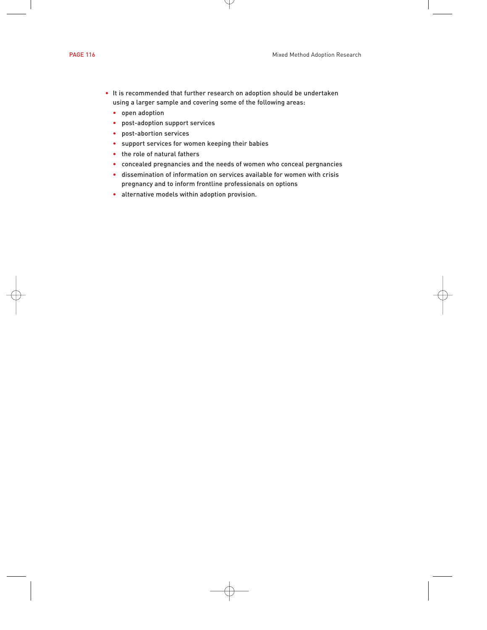- It is recommended that further research on adoption should be undertaken using a larger sample and covering some of the following areas:
	- open adoption
	- post-adoption support services
	- post-abortion services
	- support services for women keeping their babies
	- the role of natural fathers
	- concealed pregnancies and the needs of women who conceal pergnancies
	- dissemination of information on services available for women with crisis pregnancy and to inform frontline professionals on options
	- alternative models within adoption provision.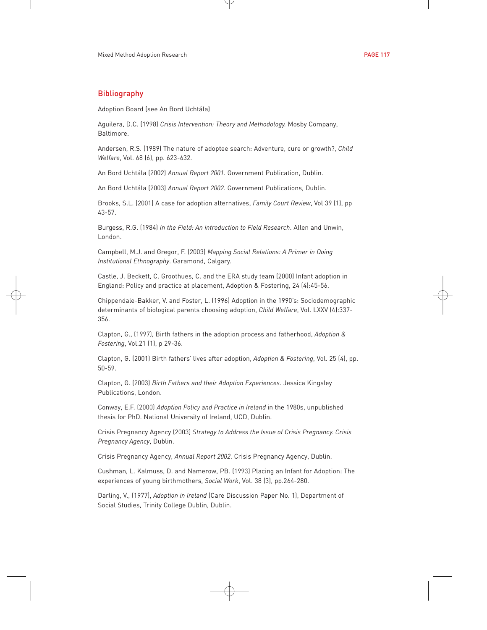## Bibliography

Adoption Board (see An Bord Uchtála)

Aguilera, D.C. (1998) *Crisis Intervention: Theory and Methodology.* Mosby Company, Baltimore.

Andersen, R.S. (1989) The nature of adoptee search: Adventure, cure or growth?, *Child Welfare*, Vol. 68 (6), pp. 623-632.

An Bord Uchtála (2002) *Annual Report 2001*. Government Publication, Dublin.

An Bord Uchtála (2003) *Annual Report 2002*. Government Publications, Dublin.

Brooks, S.L. (2001) A case for adoption alternatives, *Family Court Review*, Vol 39 (1), pp 43-57.

Burgess, R.G. (1984) *In the Field: An introduction to Field Research*. Allen and Unwin, London.

Campbell, M.J. and Gregor, F. (2003) *Mapping Social Relations: A Primer in Doing Institutional Ethnography*. Garamond, Calgary.

Castle, J. Beckett, C. Groothues, C. and the ERA study team (2000) Infant adoption in England: Policy and practice at placement, Adoption & Fostering, 24 (4):45-56.

Chippendale-Bakker, V. and Foster, L. (1996) Adoption in the 1990's: Sociodemographic determinants of biological parents choosing adoption, *Child Welfare*, Vol. LXXV (4):337- 356.

Clapton, G., (1997), Birth fathers in the adoption process and fatherhood, *Adoption & Fostering*, Vol.21 (1), p 29-36.

Clapton, G. (2001) Birth fathers' lives after adoption, *Adoption & Fostering*, Vol. 25 (4), pp. 50-59.

Clapton, G. (2003) *Birth Fathers and their Adoption Experiences*. Jessica Kingsley Publications, London.

Conway, E.F. (2000) *Adoption Policy and Practice in Ireland* in the 1980s, unpublished thesis for PhD. National University of Ireland, UCD, Dublin.

Crisis Pregnancy Agency (2003) *Strategy to Address the Issue of Crisis Pregnancy. Crisis Pregnancy Agency*, Dublin.

Crisis Pregnancy Agency, *Annual Report 2002*. Crisis Pregnancy Agency, Dublin.

Cushman, L. Kalmuss, D. and Namerow, PB. (1993) Placing an Infant for Adoption: The experiences of young birthmothers, *Social Work*, Vol. 38 (3), pp.264-280.

Darling, V., (1977), *Adoption in Ireland* (Care Discussion Paper No. 1), Department of Social Studies, Trinity College Dublin, Dublin.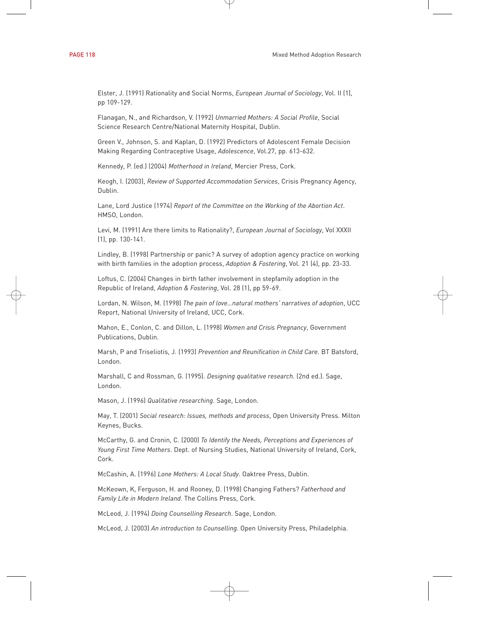Elster, J. (1991) Rationality and Social Norms, *European Journal of Sociology*, Vol. II (1), pp 109-129.

Flanagan, N., and Richardson, V. (1992) *Unmarried Mothers: A Social Profile*, Social Science Research Centre/National Maternity Hospital, Dublin.

Green V., Johnson, S. and Kaplan, D. (1992) Predictors of Adolescent Female Decision Making Regarding Contraceptive Usage, *Adolescence*, Vol.27, pp. 613-632.

Kennedy, P. (ed.) (2004) *Motherhood in Ireland*, Mercier Press, Cork.

Keogh, I. (2003), *Review of Supported Accommodation Services*, Crisis Pregnancy Agency, Dublin.

Lane, Lord Justice (1974) *Report of the Committee on the Working of the Abortion Act*. HMSO, London.

Levi, M. (1991) Are there limits to Rationality?, *European Journal of Sociology*, Vol XXXII (1), pp. 130-141.

Lindley, B. (1998) Partnership or panic? A survey of adoption agency practice on working with birth families in the adoption process, *Adoption & Fostering*, Vol. 21 (4), pp. 23-33.

Loftus, C. (2004) Changes in birth father involvement in stepfamily adoption in the Republic of Ireland, *Adoption & Fostering*, Vol. 28 (1), pp 59-69.

Lordan, N. Wilson, M. (1998) *The pain of love…natural mothers' narratives of adoption*, UCC Report, National University of Ireland, UCC, Cork.

Mahon, E., Conlon, C. and Dillon, L. (1998) *Women and Crisis Pregnancy*, Government Publications, Dublin.

Marsh, P and Triseliotis, J. (1993) *Prevention and Reunification in Child Care*. BT Batsford, London.

Marshall, C and Rossman, G. (1995). *Designing qualitative research*. (2nd ed.). Sage, London.

Mason, J. (1996) *Qualitative researching*. Sage, London.

May, T. (2001) *Social research: Issues, methods and process*, Open University Press. Milton Keynes, Bucks.

McCarthy, G. and Cronin, C. (2000) *To Identify the Needs, Perceptions and Experiences of Young First Time Mothers*. Dept. of Nursing Studies, National University of Ireland, Cork, Cork.

McCashin, A. (1996) *Lone Mothers: A Local Study*. Oaktree Press, Dublin.

McKeown, K, Ferguson, H. and Rooney, D. (1998) Changing Fathers? *Fatherhood and Family Life in Modern Ireland*. The Collins Press, Cork.

McLeod, J. (1994) *Doing Counselling Research*. Sage, London.

McLeod, J. (2003) *An introduction to Counselling.* Open University Press, Philadelphia.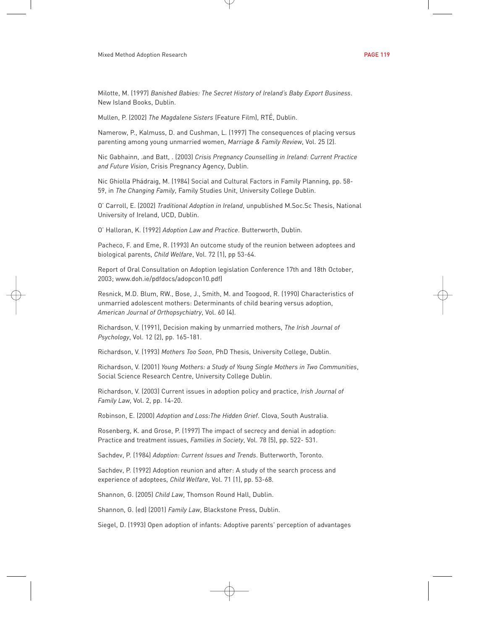Milotte, M. (1997) *Banished Babies: The Secret History of Ireland's Baby Export Business*. New Island Books, Dublin.

Mullen, P. (2002) *The Magdalene Sisters* (Feature Film), RTÉ, Dublin.

Namerow, P., Kalmuss, D. and Cushman, L. (1997) The consequences of placing versus parenting among young unmarried women, *Marriage & Family Review*, Vol. 25 (2).

Nic Gabhainn, .and Batt, . (2003) *Crisis Pregnancy Counselling in Ireland: Current Practice and Future Vision*, Crisis Pregnancy Agency, Dublin.

Nic Ghiolla Phádraig, M. (1984) Social and Cultural Factors in Family Planning, pp. 58- 59, in *The Changing Family*, Family Studies Unit, University College Dublin.

O' Carroll, E. (2002) *Traditional Adoption in Ireland*, unpublished M.Soc.Sc Thesis, National University of Ireland, UCD, Dublin.

O' Halloran, K. (1992) *Adoption Law and Practice*. Butterworth, Dublin.

Pacheco, F. and Eme, R. (1993) An outcome study of the reunion between adoptees and biological parents, *Child Welfare*, Vol. 72 (1), pp 53-64.

Report of Oral Consultation on Adoption legislation Conference 17th and 18th October, 2003; www.doh.ie/pdfdocs/adopcon10.pdf)

Resnick, M.D. Blum, RW., Bose, J., Smith, M. and Toogood, R. (1990) Characteristics of unmarried adolescent mothers: Determinants of child bearing versus adoption, *American Journal of Orthopsychiatry*, Vol. 60 (4).

Richardson, V. (1991), Decision making by unmarried mothers, *The Irish Journal of Psychology*, Vol. 12 (2), pp. 165-181.

Richardson, V. (1993) *Mothers Too Soon*, PhD Thesis, University College, Dublin.

Richardson, V. (2001) *Young Mothers: a Study of Young Single Mothers in Two Communities*, Social Science Research Centre, University College Dublin.

Richardson, V. (2003) Current issues in adoption policy and practice, *Irish Journal of Family Law*, Vol. 2, pp. 14-20.

Robinson, E. (2000) *Adoption and Loss:The Hidden Grief*. Clova, South Australia.

Rosenberg, K. and Grose, P. (1997) The impact of secrecy and denial in adoption: Practice and treatment issues, *Families in Society*, Vol. 78 (5), pp. 522- 531.

Sachdev, P. (1984) *Adoption: Current Issues and Trends*. Butterworth, Toronto.

Sachdev, P. (1992) Adoption reunion and after: A study of the search process and experience of adoptees, *Child Welfare*, Vol. 71 (1), pp. 53-68.

Shannon, G. (2005) *Child Law*, Thomson Round Hall, Dublin.

Shannon, G. (ed) (2001) *Family Law*, Blackstone Press, Dublin.

Siegel, D. (1993) Open adoption of infants: Adoptive parents' perception of advantages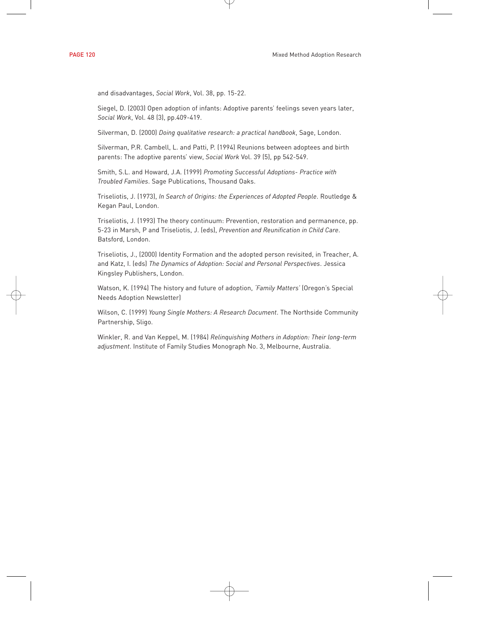and disadvantages, *Social Work*, Vol. 38, pp. 15-22.

Siegel, D. (2003) Open adoption of infants: Adoptive parents' feelings seven years later, *Social Work*, Vol. 48 (3), pp.409-419.

Silverman, D. (2000) *Doing qualitative research: a practical handbook*, Sage, London.

Silverman, P.R. Cambell, L. and Patti, P. (1994) Reunions between adoptees and birth parents: The adoptive parents' view, *Social Work* Vol. 39 (5), pp 542-549.

Smith, S.L. and Howard, J.A. (1999) *Promoting Successful Adoptions- Practice with Troubled Families*. Sage Publications, Thousand Oaks.

Triseliotis, J. (1973), *In Search of Origins: the Experiences of Adopted People*. Routledge & Kegan Paul, London.

Triseliotis, J. (1993) The theory continuum: Prevention, restoration and permanence, pp. 5-23 in Marsh, P and Triseliotis, J. (eds), *Prevention and Reunification in Child Care*. Batsford, London.

Triseliotis, J., (2000) Identity Formation and the adopted person revisited, in Treacher, A. and Katz, I. (eds) *The Dynamics of Adoption: Social and Personal Perspectives*. Jessica Kingsley Publishers, London.

Watson, K. (1994) The history and future of adoption, *'Family Matters'* (Oregon's Special Needs Adoption Newsletter)

Wilson, C. (1999) *Young Single Mothers: A Research Document*. The Northside Community Partnership, Sligo.

Winkler, R. and Van Keppel, M. (1984) *Relinquishing Mothers in Adoption: Their long-term adjustment*. Institute of Family Studies Monograph No. 3, Melbourne, Australia.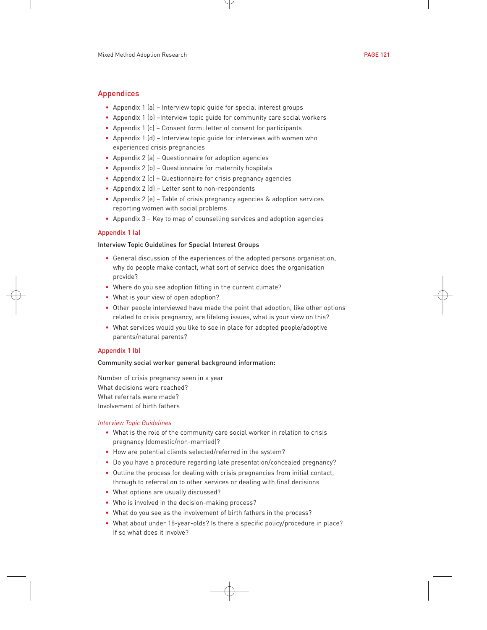# Appendices

- Appendix 1 (a) Interview topic guide for special interest groups
- Appendix 1 (b) –Interview topic guide for community care social workers
- Appendix 1 (c) Consent form: letter of consent for participants
- Appendix 1 (d) Interview topic guide for interviews with women who experienced crisis pregnancies
- Appendix 2 (a) Questionnaire for adoption agencies
- Appendix 2 (b) Questionnaire for maternity hospitals
- Appendix 2 (c) Questionnaire for crisis pregnancy agencies
- Appendix 2 (d) Letter sent to non-respondents
- Appendix 2 (e) Table of crisis pregnancy agencies & adoption services reporting women with social problems
- Appendix 3 Key to map of counselling services and adoption agencies

## Appendix 1 (a)

### Interview Topic Guidelines for Special Interest Groups

- General discussion of the experiences of the adopted persons organisation, why do people make contact, what sort of service does the organisation provide?
- Where do you see adoption fitting in the current climate?
- What is your view of open adoption?
- Other people interviewed have made the point that adoption, like other options related to crisis pregnancy, are lifelong issues, what is your view on this?
- What services would you like to see in place for adopted people/adoptive parents/natural parents?

## Appendix 1 (b)

#### Community social worker general background information:

Number of crisis pregnancy seen in a year What decisions were reached? What referrals were made? Involvement of birth fathers

#### *Interview Topic Guidelines*

- What is the role of the community care social worker in relation to crisis pregnancy (domestic/non-married)?
- How are potential clients selected/referred in the system?
- Do you have a procedure regarding late presentation/concealed pregnancy?
- Outline the process for dealing with crisis pregnancies from initial contact, through to referral on to other services or dealing with final decisions
- What options are usually discussed?
- Who is involved in the decision-making process?
- What do you see as the involvement of birth fathers in the process?
- What about under 18-year-olds? Is there a specific policy/procedure in place? If so what does it involve?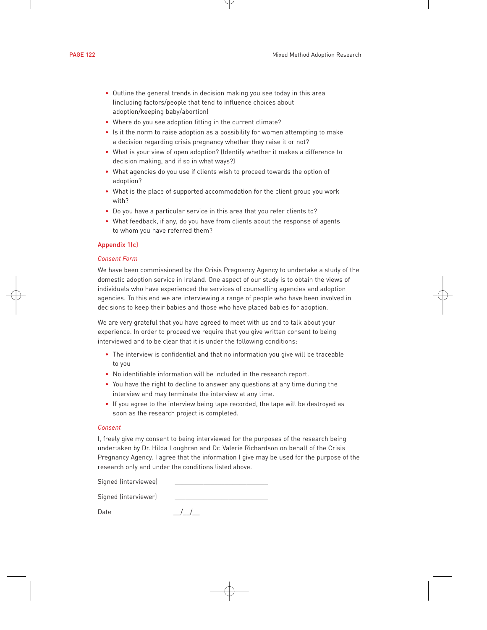- Outline the general trends in decision making you see today in this area (including factors/people that tend to influence choices about adoption/keeping baby/abortion)
- Where do you see adoption fitting in the current climate?
- Is it the norm to raise adoption as a possibility for women attempting to make a decision regarding crisis pregnancy whether they raise it or not?
- What is your view of open adoption? (Identify whether it makes a difference to decision making, and if so in what ways?)
- What agencies do you use if clients wish to proceed towards the option of adoption?
- What is the place of supported accommodation for the client group you work with?
- Do you have a particular service in this area that you refer clients to?
- What feedback, if any, do you have from clients about the response of agents to whom you have referred them?

#### Appendix 1(c)

#### *Consent Form*

We have been commissioned by the Crisis Pregnancy Agency to undertake a study of the domestic adoption service in Ireland. One aspect of our study is to obtain the views of individuals who have experienced the services of counselling agencies and adoption agencies. To this end we are interviewing a range of people who have been involved in decisions to keep their babies and those who have placed babies for adoption.

We are very grateful that you have agreed to meet with us and to talk about your experience. In order to proceed we require that you give written consent to being interviewed and to be clear that it is under the following conditions:

- The interview is confidential and that no information you give will be traceable to you
- No identifiable information will be included in the research report.
- You have the right to decline to answer any questions at any time during the interview and may terminate the interview at any time.
- If you agree to the interview being tape recorded, the tape will be destroyed as soon as the research project is completed.

#### *Consent*

I, freely give my consent to being interviewed for the purposes of the research being undertaken by Dr. Hilda Loughran and Dr. Valerie Richardson on behalf of the Crisis Pregnancy Agency. I agree that the information I give may be used for the purpose of the research only and under the conditions listed above.

Signed (interviewee)

Signed (interviewer)

Date  $/$  /  $/$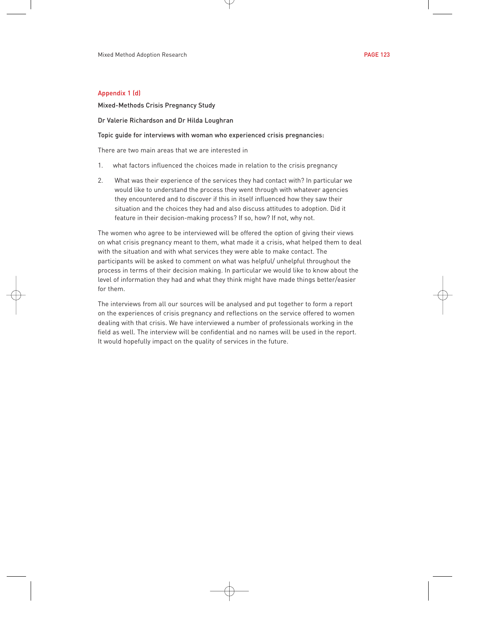## Appendix 1 (d)

Mixed-Methods Crisis Pregnancy Study

Dr Valerie Richardson and Dr Hilda Loughran

#### Topic guide for interviews with woman who experienced crisis pregnancies:

There are two main areas that we are interested in

- 1. what factors influenced the choices made in relation to the crisis pregnancy
- 2. What was their experience of the services they had contact with? In particular we would like to understand the process they went through with whatever agencies they encountered and to discover if this in itself influenced how they saw their situation and the choices they had and also discuss attitudes to adoption. Did it feature in their decision-making process? If so, how? If not, why not.

The women who agree to be interviewed will be offered the option of giving their views on what crisis pregnancy meant to them, what made it a crisis, what helped them to deal with the situation and with what services they were able to make contact. The participants will be asked to comment on what was helpful/ unhelpful throughout the process in terms of their decision making. In particular we would like to know about the level of information they had and what they think might have made things better/easier for them.

The interviews from all our sources will be analysed and put together to form a report on the experiences of crisis pregnancy and reflections on the service offered to women dealing with that crisis. We have interviewed a number of professionals working in the field as well. The interview will be confidential and no names will be used in the report. It would hopefully impact on the quality of services in the future.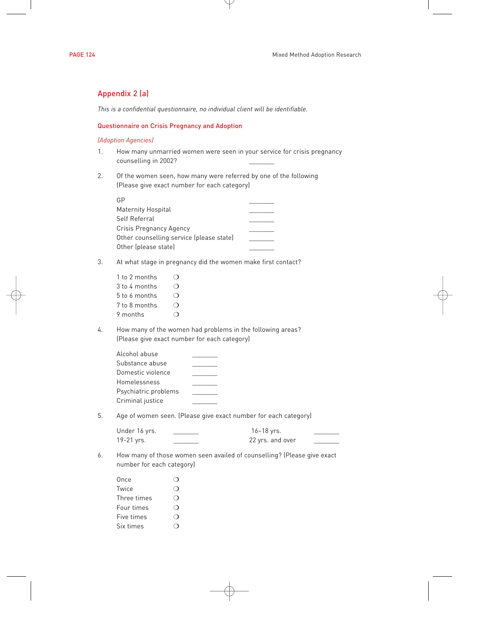# Appendix 2 (a)

*This is a confidential questionnaire, no individual client will be identifiable.*

## Questionnaire on Crisis Pregnancy and Adoption

## *(Adoption Agencies)*

- 1. How many unmarried women were seen in your service for crisis pregnancy counselling in 2002?
- 2. Of the women seen, how many were referred by one of the following (Please give exact number for each category)

3. At what stage in pregnancy did the women make first contact?

| 1 to 2 months |  |
|---------------|--|
| 3 to 4 months |  |
| 5 to 6 months |  |
| 7 to 8 months |  |
| 9 months      |  |

4. How many of the women had problems in the following areas? (Please give exact number for each category)

| Alcohol abuse        |  |
|----------------------|--|
| Substance abuse      |  |
| Domestic violence    |  |
| Homelessness         |  |
| Psychiatric problems |  |
| Criminal justice     |  |

5. Age of women seen. (Please give exact number for each category)

| Under 16 yrs. | 16-18 yrs.       |  |
|---------------|------------------|--|
| 19-21 yrs.    | 22 yrs. and over |  |

6. How many of those women seen availed of counselling? (Please give exact number for each category)

| Once        |  |
|-------------|--|
| Twice       |  |
| Three times |  |
| Four times  |  |
| Five times  |  |
| Six times   |  |
|             |  |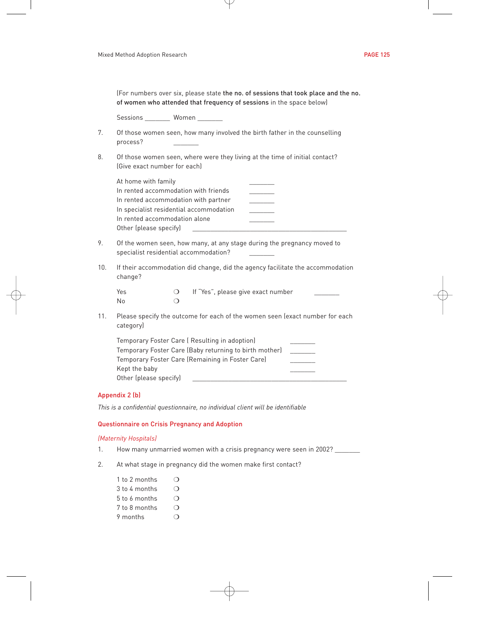|     | (For numbers over six, please state the no. of sessions that took place and the no.<br>of women who attended that frequency of sessions in the space below)                                               |                                   |  |                                    |                          |  |
|-----|-----------------------------------------------------------------------------------------------------------------------------------------------------------------------------------------------------------|-----------------------------------|--|------------------------------------|--------------------------|--|
|     | Sessions _________ Women _______                                                                                                                                                                          |                                   |  |                                    |                          |  |
| 7.  | Of those women seen, how many involved the birth father in the counselling<br>process?                                                                                                                    |                                   |  |                                    |                          |  |
| 8.  | Of those women seen, where were they living at the time of initial contact?<br>(Give exact number for each)                                                                                               |                                   |  |                                    |                          |  |
|     | At home with family<br>In rented accommodation with friends<br>In rented accommodation with partner<br>In specialist residential accommodation<br>In rented accommodation alone<br>Other (please specify) |                                   |  |                                    |                          |  |
| 9.  | Of the women seen, how many, at any stage during the pregnancy moved to<br>specialist residential accommodation?                                                                                          |                                   |  |                                    |                          |  |
| 10. | If their accommodation did change, did the agency facilitate the accommodation<br>change?                                                                                                                 |                                   |  |                                    |                          |  |
|     | Yes<br>No                                                                                                                                                                                                 | $\circ$<br>$\circ$                |  | If "Yes", please give exact number |                          |  |
| 11. | Please specify the outcome for each of the women seen (exact number for each<br>category)                                                                                                                 |                                   |  |                                    |                          |  |
|     | Temporary Foster Care (Resulting in adoption)<br>Temporary Foster Care (Baby returning to birth mother)<br>Temporary Foster Care (Remaining in Foster Care)<br>Kept the baby<br>Other (please specify)    |                                   |  |                                    | <b>Contract Contract</b> |  |
|     | Appendix 2 (b)                                                                                                                                                                                            |                                   |  |                                    |                          |  |
|     | This is a confidential questionnaire, no individual client will be identifiable                                                                                                                           |                                   |  |                                    |                          |  |
|     | Questionnaire on Crisis Pregnancy and Adoption                                                                                                                                                            |                                   |  |                                    |                          |  |
|     | (Maternity Hospitals)                                                                                                                                                                                     |                                   |  |                                    |                          |  |
| 1.  | How many unmarried women with a crisis pregnancy were seen in 2002? _______                                                                                                                               |                                   |  |                                    |                          |  |
| 2.  | At what stage in pregnancy did the women make first contact?                                                                                                                                              |                                   |  |                                    |                          |  |
|     | 1 to 2 months<br>3 to 4 months<br>5 to 6 months<br>7 to 8 months<br>9 months                                                                                                                              | ◯<br>O<br>$\circ$<br>O<br>$\circ$ |  |                                    |                          |  |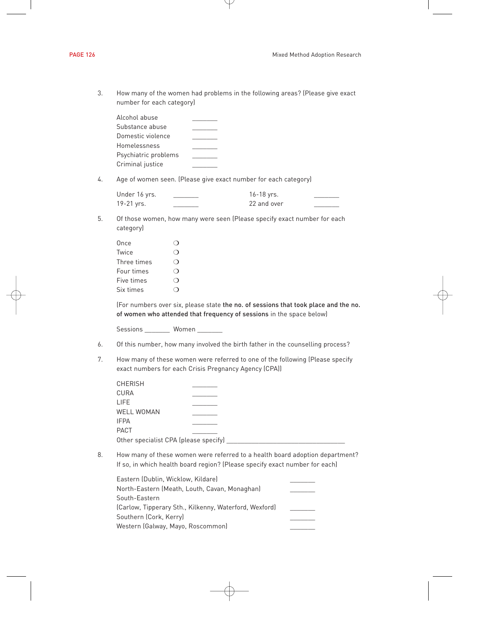| How many of the women had problems in the following areas? (Please give exact |
|-------------------------------------------------------------------------------|
| number for each category)                                                     |

| Alcohol abuse        |  |
|----------------------|--|
| Substance abuse      |  |
| Domestic violence    |  |
| Homelessness         |  |
| Psychiatric problems |  |
| Criminal justice     |  |
|                      |  |

4. Age of women seen. (Please give exact number for each category)

| Under 16 yrs. | 16-18 yrs.  |  |
|---------------|-------------|--|
| 19-21 yrs.    | 22 and over |  |

5. Of those women, how many were seen (Please specify exact number for each category)

| Once        |  |
|-------------|--|
| Twice       |  |
| Three times |  |
| Four times  |  |
| Five times  |  |
| Six times   |  |

(For numbers over six, please state the no. of sessions that took place and the no. of women who attended that frequency of sessions in the space below)

Sessions \_\_\_\_\_\_\_\_ Women \_\_\_\_\_\_\_

- 6. Of this number, how many involved the birth father in the counselling process?
- 7. How many of these women were referred to one of the following (Please specify exact numbers for each Crisis Pregnancy Agency (CPA))

| <b>CHERISH</b>                        |  |
|---------------------------------------|--|
| CURA                                  |  |
| LIFE.                                 |  |
| <b>WELL WOMAN</b>                     |  |
| <b>IFPA</b>                           |  |
| PACT                                  |  |
| Other specialist CPA (please specify) |  |

8. How many of these women were referred to a health board adoption department? If so, in which health board region? (Please specify exact number for each)

| Eastern (Dublin, Wicklow, Kildare)                     |  |
|--------------------------------------------------------|--|
| North-Eastern (Meath, Louth, Cavan, Monaghan)          |  |
| South-Eastern                                          |  |
| (Carlow, Tipperary Sth., Kilkenny, Waterford, Wexford) |  |
| Southern (Cork, Kerry)                                 |  |
| Western (Galway, Mayo, Roscommon)                      |  |
|                                                        |  |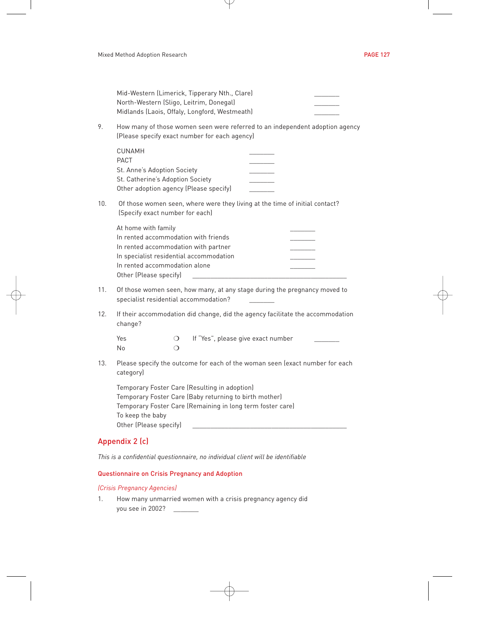|     |                                                                                                                                                                                                                     | Mid-Western (Limerick, Tipperary Nth., Clare)<br>North-Western (Sligo, Leitrim, Donegal)<br>Midlands (Laois, Offaly, Longford, Westmeath) |  |  |
|-----|---------------------------------------------------------------------------------------------------------------------------------------------------------------------------------------------------------------------|-------------------------------------------------------------------------------------------------------------------------------------------|--|--|
| 9.  |                                                                                                                                                                                                                     | How many of those women seen were referred to an independent adoption agency<br>(Please specify exact number for each agency)             |  |  |
|     | <b>CUNAMH</b><br>PACT<br>St. Anne's Adoption Society<br>St. Catherine's Adoption Society                                                                                                                            | Other adoption agency (Please specify)                                                                                                    |  |  |
| 10. | Of those women seen, where were they living at the time of initial contact?<br>(Specify exact number for each)                                                                                                      |                                                                                                                                           |  |  |
|     | At home with family<br>In rented accommodation alone<br>Other (Please specify)                                                                                                                                      | In rented accommodation with friends<br>In rented accommodation with partner<br>In specialist residential accommodation                   |  |  |
| 11. | Of those women seen, how many, at any stage during the pregnancy moved to<br>specialist residential accommodation?                                                                                                  |                                                                                                                                           |  |  |
| 12. | change?                                                                                                                                                                                                             | If their accommodation did change, did the agency facilitate the accommodation                                                            |  |  |
|     | Yes<br>No                                                                                                                                                                                                           | If "Yes", please give exact number<br>$\circ$<br>$\Omega$                                                                                 |  |  |
| 13. | Please specify the outcome for each of the woman seen (exact number for each<br>category)                                                                                                                           |                                                                                                                                           |  |  |
|     | Temporary Foster Care (Resulting in adoption)<br>Temporary Foster Care (Baby returning to birth mother)<br>Temporary Foster Care (Remaining in long term foster care)<br>To keep the baby<br>Other (Please specify) |                                                                                                                                           |  |  |
|     | Appendix 2 (c)                                                                                                                                                                                                      |                                                                                                                                           |  |  |

*This is a confidential questionnaire, no individual client will be identifiable*

# Questionnaire on Crisis Pregnancy and Adoption

# *(Crisis Pregnancy Agencies)*

1. How many unmarried women with a crisis pregnancy agency did you see in 2002? \_\_\_\_\_\_\_\_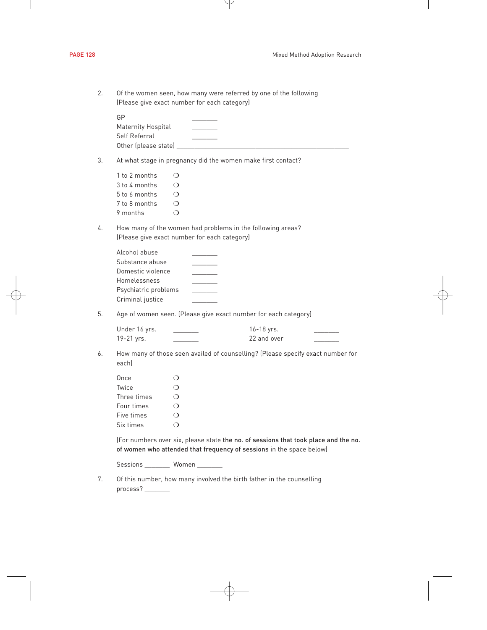| 2. | Of the women seen, how many were referred by one of the following<br>(Please give exact number for each category)                                           |                                                                                                                     |                           |  |
|----|-------------------------------------------------------------------------------------------------------------------------------------------------------------|---------------------------------------------------------------------------------------------------------------------|---------------------------|--|
|    | GP<br>Maternity Hospital<br>Self Referral                                                                                                                   | Other (please state) Management and the contract of the contract of the contract of the contract of the contract of |                           |  |
| 3. |                                                                                                                                                             | At what stage in pregnancy did the women make first contact?                                                        |                           |  |
|    | 1 to 2 months<br>3 to 4 months<br>5 to 6 months<br>7 to 8 months<br>9 months                                                                                | O<br>$\circ$<br>$\circ$<br>$\circ$<br>$\circ$                                                                       |                           |  |
| 4. |                                                                                                                                                             | How many of the women had problems in the following areas?<br>(Please give exact number for each category)          |                           |  |
|    | Alcohol abuse<br>Substance abuse<br>Domestic violence<br>Homelessness<br>Psychiatric problems<br>Criminal justice                                           |                                                                                                                     |                           |  |
| 5. | Age of women seen. (Please give exact number for each category)                                                                                             |                                                                                                                     |                           |  |
|    | Under 16 yrs.<br>19-21 yrs.                                                                                                                                 |                                                                                                                     | 16-18 yrs.<br>22 and over |  |
| 6. | How many of those seen availed of counselling? (Please specify exact number for<br>eachl                                                                    |                                                                                                                     |                           |  |
|    | Once<br>Twice<br>Three times<br>Four times<br>Five times<br>Six times                                                                                       | $\circ$<br>$\circ$<br>$\Omega$<br>$\circ$<br>$\circ$<br>$\circ$                                                     |                           |  |
|    | (For numbers over six, please state the no. of sessions that took place and the no.<br>of women who attended that frequency of sessions in the space below) |                                                                                                                     |                           |  |
|    |                                                                                                                                                             | Sessions _________ Women _______                                                                                    |                           |  |
| 7. | process?                                                                                                                                                    | Of this number, how many involved the birth father in the counselling                                               |                           |  |
|    |                                                                                                                                                             |                                                                                                                     |                           |  |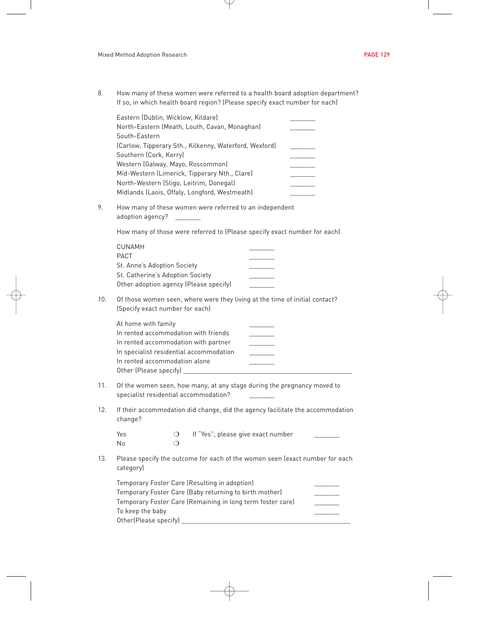8. How many of these women were referred to a health board adoption department? If so, in which health board region? (Please specify exact number for each)

| Eastern (Dublin, Wicklow, Kildare)                     |  |
|--------------------------------------------------------|--|
| North-Eastern (Meath, Louth, Cavan, Monaghan)          |  |
| South-Eastern                                          |  |
| (Carlow, Tipperary Sth., Kilkenny, Waterford, Wexford) |  |
| Southern (Cork, Kerry)                                 |  |
| Western (Galway, Mayo, Roscommon)                      |  |
| Mid-Western (Limerick, Tipperary Nth., Clare)          |  |
| North-Western (Sligo, Leitrim, Donegal)                |  |
| Midlands (Laois, Offaly, Longford, Westmeath)          |  |
|                                                        |  |

9. How many of these women were referred to an independent adoption agency?

How many of those were referred to (Please specify exact number for each)

| CUNAMH                                 |  |
|----------------------------------------|--|
| PACT                                   |  |
| St. Anne's Adoption Society            |  |
| St. Catherine's Adoption Society       |  |
| Other adoption agency (Please specify) |  |
|                                        |  |

10. Of those women seen, where were they living at the time of initial contact? (Specify exact number for each)

| At home with family                     |  |
|-----------------------------------------|--|
| In rented accommodation with friends    |  |
| In rented accommodation with partner    |  |
| In specialist residential accommodation |  |
| In rented accommodation alone           |  |
| Other (Please specify)                  |  |

- 11. Of the women seen, how many, at any stage during the pregnancy moved to specialist residential accommodation? \_\_\_\_\_\_\_
- 12. If their accommodation did change, did the agency facilitate the accommodation change?

| Yes | If "Yes", please give exact number |  |
|-----|------------------------------------|--|
| Nο  |                                    |  |

13. Please specify the outcome for each of the women seen (exact number for each category)

| Temporary Foster Care (Resulting in adoption)              |  |
|------------------------------------------------------------|--|
| Temporary Foster Care (Baby returning to birth mother)     |  |
| Temporary Foster Care (Remaining in long term foster care) |  |
| To keep the baby                                           |  |
| Other(Please specify)                                      |  |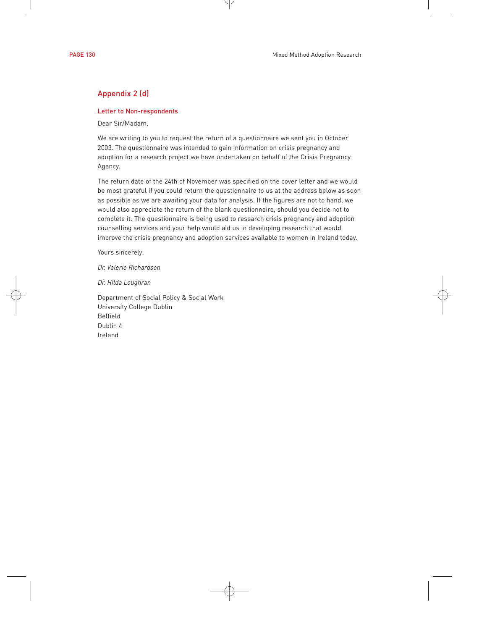# Appendix 2 (d)

#### Letter to Non-respondents

Dear Sir/Madam,

We are writing to you to request the return of a questionnaire we sent you in October 2003. The questionnaire was intended to gain information on crisis pregnancy and adoption for a research project we have undertaken on behalf of the Crisis Pregnancy Agency.

The return date of the 24th of November was specified on the cover letter and we would be most grateful if you could return the questionnaire to us at the address below as soon as possible as we are awaiting your data for analysis. If the figures are not to hand, we would also appreciate the return of the blank questionnaire, should you decide not to complete it. The questionnaire is being used to research crisis pregnancy and adoption counselling services and your help would aid us in developing research that would improve the crisis pregnancy and adoption services available to women in Ireland today.

Yours sincerely,

*Dr. Valerie Richardson*

*Dr. Hilda Loughran*

Department of Social Policy & Social Work University College Dublin Belfield Dublin 4 Ireland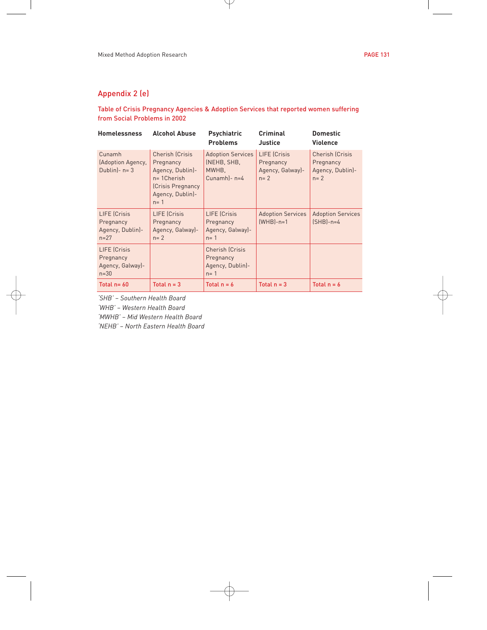# Appendix 2 (e)

# Table of Crisis Pregnancy Agencies & Adoption Services that reported women suffering from Social Problems in 2002

| <b>Homelessness</b>                                       | <b>Alcohol Abuse</b>                                                                                                    | <b>Psychiatric</b><br><b>Problems</b>                              | Criminal<br>Justice                                             | <b>Domestic</b><br><b>Violence</b>                          |
|-----------------------------------------------------------|-------------------------------------------------------------------------------------------------------------------------|--------------------------------------------------------------------|-----------------------------------------------------------------|-------------------------------------------------------------|
| Cunamh<br>(Adoption Agency,<br>Dublin) - $n = 3$          | Cherish (Crisis<br>Pregnancy<br>Agency, Dublin)-<br>$n = 1$ Cherish<br>(Crisis Pregnancy<br>Agency, Dublin)-<br>$n = 1$ | <b>Adoption Services</b><br>(NEHB, SHB,<br>MWHB.<br>Cunamh)- n=4   | <b>LIFE</b> (Crisis<br>Pregnancy<br>Agency, Galway)-<br>$n = 2$ | Cherish (Crisis<br>Pregnancy<br>Agency, Dublin)-<br>$n = 2$ |
| LIFE (Crisis<br>Pregnancy<br>Agency, Dublin)-<br>$n = 27$ | <b>LIFE</b> (Crisis<br>Pregnancy<br>Agency, Galway)-<br>$n = 2$                                                         | <b>LIFE</b> (Crisis<br>Pregnancy<br>Agency, Galway)-<br>$n = 1$    | <b>Adoption Services</b><br>$[WHB]-n=1$                         | <b>Adoption Services</b><br>$(SHB)-n=4$                     |
| LIFE (Crisis<br>Pregnancy<br>Agency, Galway)-<br>$n = 30$ |                                                                                                                         | <b>Cherish (Crisis</b><br>Pregnancy<br>Agency, Dublin)-<br>$n = 1$ |                                                                 |                                                             |
| Total $n = 60$                                            | Total $n = 3$                                                                                                           | Total $n = 6$                                                      | Total $n = 3$                                                   | Total $n = 6$                                               |

*'SHB' – Southern Health Board*

*'WHB' – Western Health Board*

*'MWHB' – Mid Western Health Board*

*'NEHB' – North Eastern Health Board*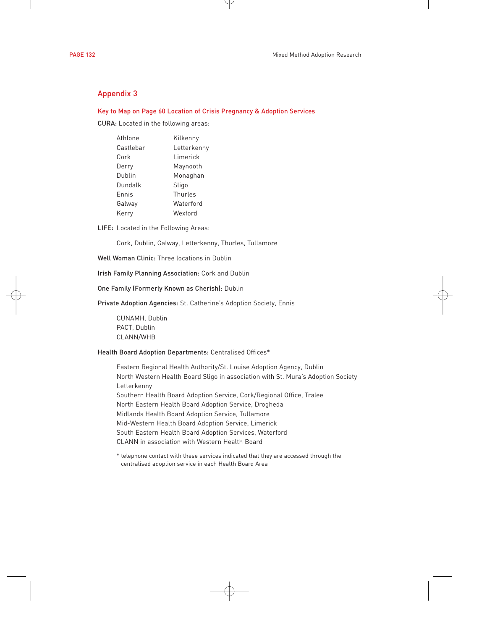# Appendix 3

### Key to Map on Page 60 Location of Crisis Pregnancy & Adoption Services

CURA: Located in the following areas:

| Athlone   | Kilkenny    |
|-----------|-------------|
| Castlebar | Letterkenny |
| Cork      | Limerick    |
| Derry     | Maynooth    |
| Dublin    | Monaghan    |
| Dundalk   | Sligo       |
| Ennis     | Thurles     |
| Galway    | Waterford   |
| Kerry     | Wexford     |

LIFE: Located in the Following Areas:

Cork, Dublin, Galway, Letterkenny, Thurles, Tullamore

Well Woman Clinic: Three locations in Dublin

Irish Family Planning Association: Cork and Dublin

One Family (Formerly Known as Cherish): Dublin

Private Adoption Agencies: St. Catherine's Adoption Society, Ennis

CUNAMH, Dublin PACT, Dublin CLANN/WHB

#### Health Board Adoption Departments: Centralised Offices\*

Eastern Regional Health Authority/St. Louise Adoption Agency, Dublin North Western Health Board Sligo in association with St. Mura's Adoption Society Letterkenny Southern Health Board Adoption Service, Cork/Regional Office, Tralee North Eastern Health Board Adoption Service, Drogheda Midlands Health Board Adoption Service, Tullamore Mid-Western Health Board Adoption Service, Limerick South Eastern Health Board Adoption Services, Waterford CLANN in association with Western Health Board

\* telephone contact with these services indicated that they are accessed through the centralised adoption service in each Health Board Area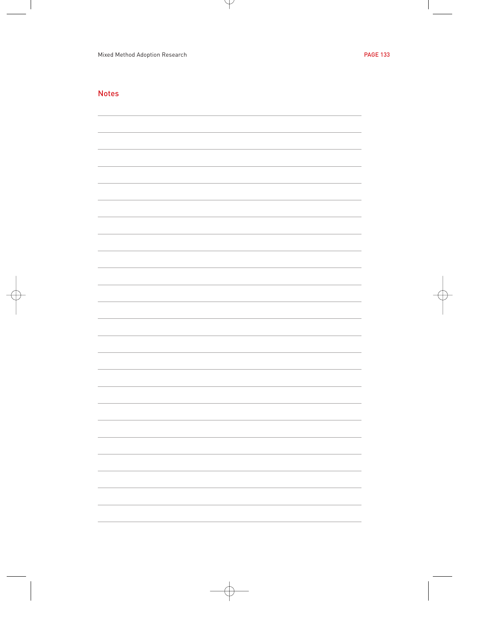# Notes

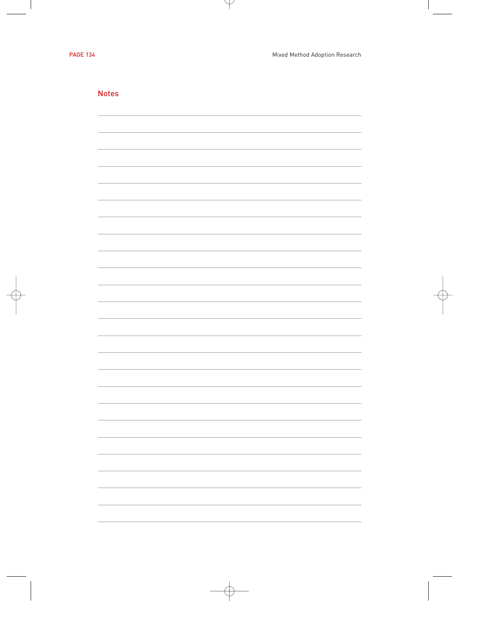| <b>Notes</b> |   |
|--------------|---|
|              |   |
|              |   |
|              |   |
|              |   |
|              |   |
|              |   |
|              |   |
|              |   |
|              |   |
|              |   |
|              |   |
|              |   |
|              |   |
|              |   |
|              |   |
|              |   |
|              |   |
|              |   |
|              |   |
|              |   |
|              |   |
|              |   |
|              |   |
|              |   |
|              |   |
|              |   |
|              |   |
|              |   |
|              |   |
|              |   |
|              |   |
|              |   |
|              |   |
|              |   |
|              |   |
|              |   |
|              |   |
|              |   |
|              |   |
|              | - |
|              |   |
|              |   |
|              |   |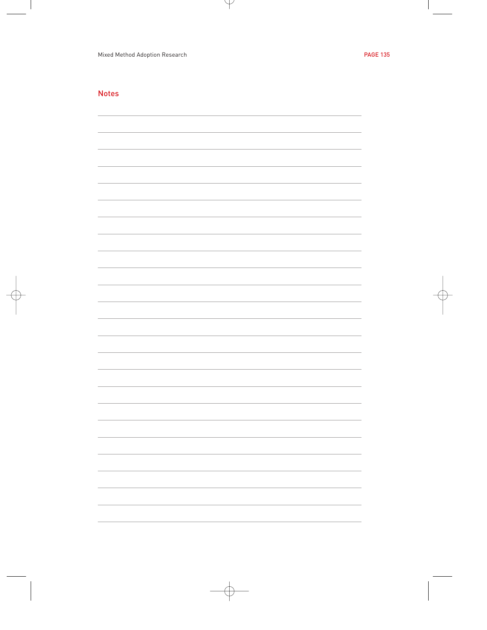# Notes